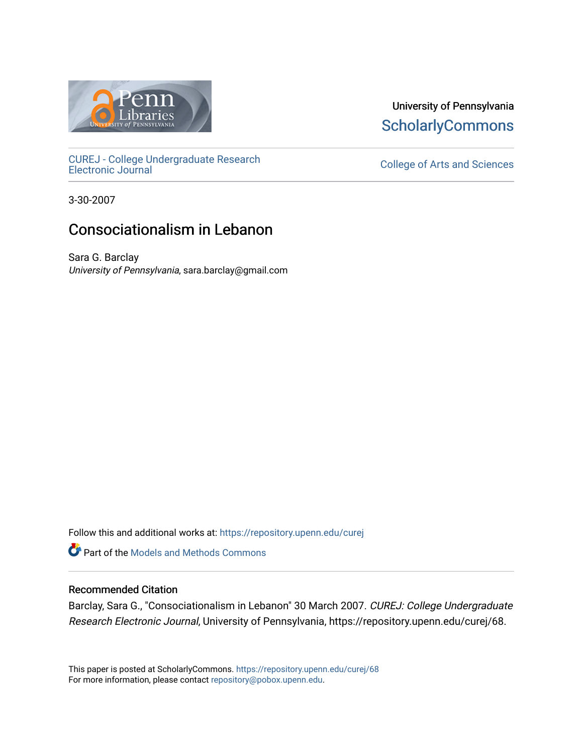

[CUREJ - College Undergraduate Research](https://repository.upenn.edu/curej) 

University of Pennsylvania **ScholarlyCommons** 

College of Arts and Sciences

3-30-2007

## Consociationalism in Lebanon

Sara G. Barclay University of Pennsylvania, sara.barclay@gmail.com

Follow this and additional works at: [https://repository.upenn.edu/curej](https://repository.upenn.edu/curej?utm_source=repository.upenn.edu%2Fcurej%2F68&utm_medium=PDF&utm_campaign=PDFCoverPages)

Part of the [Models and Methods Commons](http://network.bepress.com/hgg/discipline/390?utm_source=repository.upenn.edu%2Fcurej%2F68&utm_medium=PDF&utm_campaign=PDFCoverPages) 

#### Recommended Citation

Barclay, Sara G., "Consociationalism in Lebanon" 30 March 2007. CUREJ: College Undergraduate Research Electronic Journal, University of Pennsylvania, https://repository.upenn.edu/curej/68.

This paper is posted at ScholarlyCommons.<https://repository.upenn.edu/curej/68> For more information, please contact [repository@pobox.upenn.edu.](mailto:repository@pobox.upenn.edu)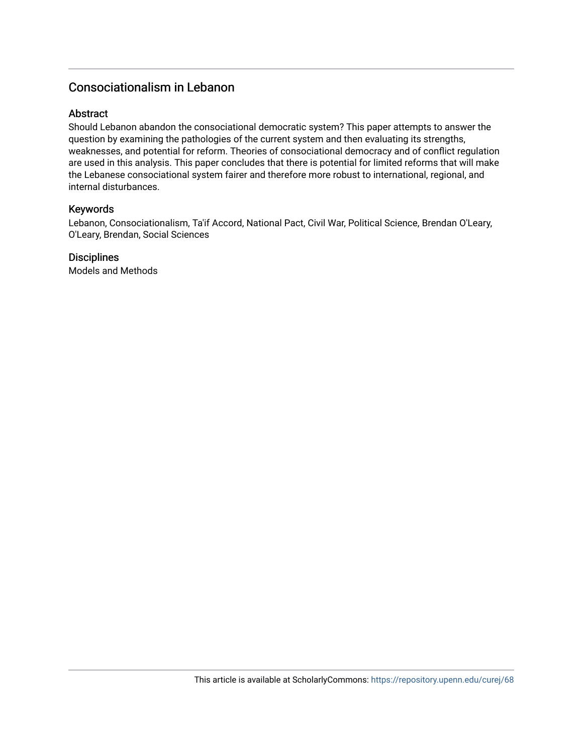## Consociationalism in Lebanon

#### **Abstract**

Should Lebanon abandon the consociational democratic system? This paper attempts to answer the question by examining the pathologies of the current system and then evaluating its strengths, weaknesses, and potential for reform. Theories of consociational democracy and of conflict regulation are used in this analysis. This paper concludes that there is potential for limited reforms that will make the Lebanese consociational system fairer and therefore more robust to international, regional, and internal disturbances.

#### Keywords

Lebanon, Consociationalism, Ta'if Accord, National Pact, Civil War, Political Science, Brendan O'Leary, O'Leary, Brendan, Social Sciences

#### **Disciplines**

Models and Methods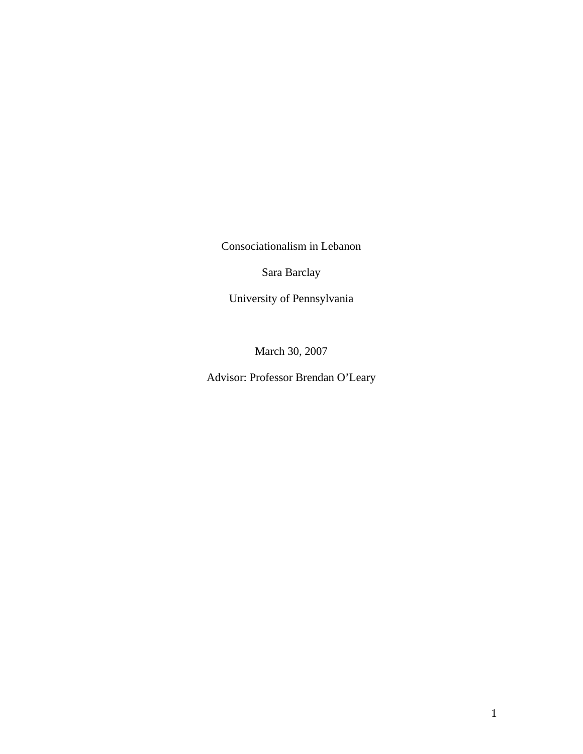Consociationalism in Lebanon

Sara Barclay

University of Pennsylvania

March 30, 2007

Advisor: Professor Brendan O'Leary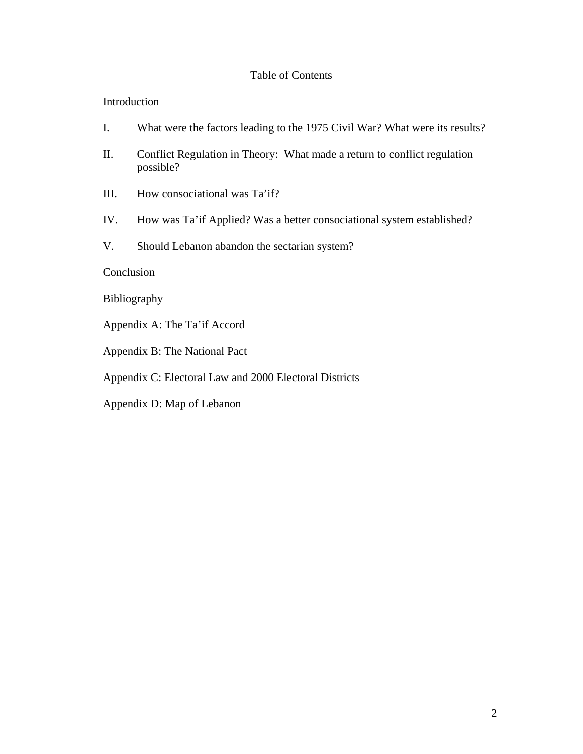### Table of Contents

#### Introduction

- I. What were the factors leading to the 1975 Civil War? What were its results?
- II. Conflict Regulation in Theory: What made a return to conflict regulation possible?
- III. How consociational was Ta'if?
- IV. How was Ta'if Applied? Was a better consociational system established?
- V. Should Lebanon abandon the sectarian system?

#### Conclusion

- Bibliography
- Appendix A: The Ta'if Accord
- Appendix B: The National Pact
- Appendix C: Electoral Law and 2000 Electoral Districts
- Appendix D: Map of Lebanon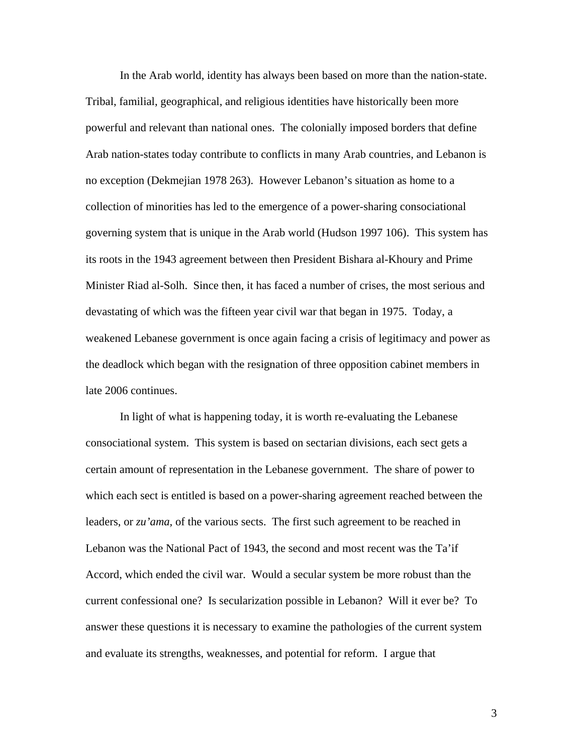In the Arab world, identity has always been based on more than the nation-state. Tribal, familial, geographical, and religious identities have historically been more powerful and relevant than national ones. The colonially imposed borders that define Arab nation-states today contribute to conflicts in many Arab countries, and Lebanon is no exception (Dekmejian 1978 263). However Lebanon's situation as home to a collection of minorities has led to the emergence of a power-sharing consociational governing system that is unique in the Arab world (Hudson 1997 106). This system has its roots in the 1943 agreement between then President Bishara al-Khoury and Prime Minister Riad al-Solh. Since then, it has faced a number of crises, the most serious and devastating of which was the fifteen year civil war that began in 1975. Today, a weakened Lebanese government is once again facing a crisis of legitimacy and power as the deadlock which began with the resignation of three opposition cabinet members in late 2006 continues.

In light of what is happening today, it is worth re-evaluating the Lebanese consociational system. This system is based on sectarian divisions, each sect gets a certain amount of representation in the Lebanese government. The share of power to which each sect is entitled is based on a power-sharing agreement reached between the leaders, or *zu'ama,* of the various sects. The first such agreement to be reached in Lebanon was the National Pact of 1943, the second and most recent was the Ta'if Accord, which ended the civil war. Would a secular system be more robust than the current confessional one? Is secularization possible in Lebanon? Will it ever be? To answer these questions it is necessary to examine the pathologies of the current system and evaluate its strengths, weaknesses, and potential for reform. I argue that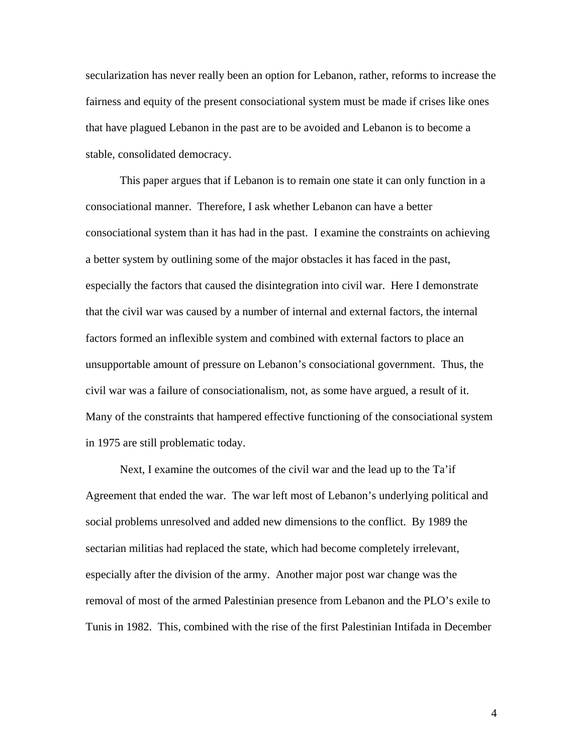secularization has never really been an option for Lebanon, rather, reforms to increase the fairness and equity of the present consociational system must be made if crises like ones that have plagued Lebanon in the past are to be avoided and Lebanon is to become a stable, consolidated democracy.

This paper argues that if Lebanon is to remain one state it can only function in a consociational manner. Therefore, I ask whether Lebanon can have a better consociational system than it has had in the past. I examine the constraints on achieving a better system by outlining some of the major obstacles it has faced in the past, especially the factors that caused the disintegration into civil war. Here I demonstrate that the civil war was caused by a number of internal and external factors, the internal factors formed an inflexible system and combined with external factors to place an unsupportable amount of pressure on Lebanon's consociational government. Thus, the civil war was a failure of consociationalism, not, as some have argued, a result of it. Many of the constraints that hampered effective functioning of the consociational system in 1975 are still problematic today.

 Next, I examine the outcomes of the civil war and the lead up to the Ta'if Agreement that ended the war. The war left most of Lebanon's underlying political and social problems unresolved and added new dimensions to the conflict. By 1989 the sectarian militias had replaced the state, which had become completely irrelevant, especially after the division of the army. Another major post war change was the removal of most of the armed Palestinian presence from Lebanon and the PLO's exile to Tunis in 1982. This, combined with the rise of the first Palestinian Intifada in December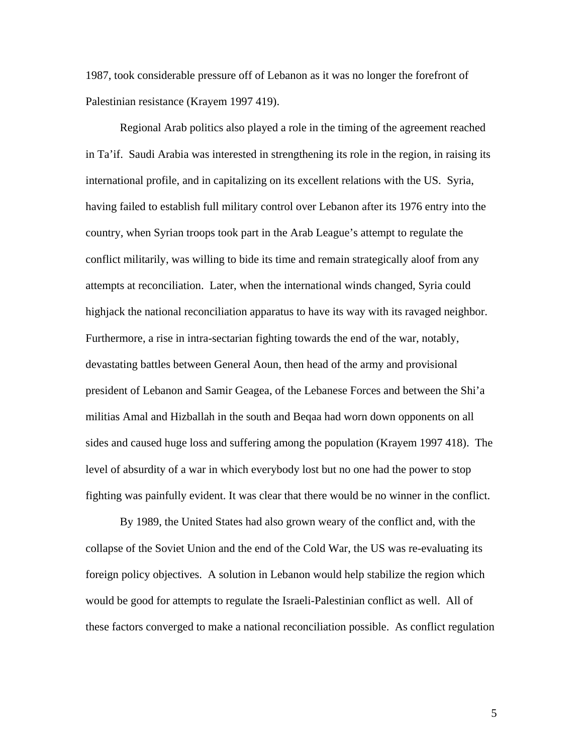1987, took considerable pressure off of Lebanon as it was no longer the forefront of Palestinian resistance (Krayem 1997 419).

Regional Arab politics also played a role in the timing of the agreement reached in Ta'if. Saudi Arabia was interested in strengthening its role in the region, in raising its international profile, and in capitalizing on its excellent relations with the US. Syria, having failed to establish full military control over Lebanon after its 1976 entry into the country, when Syrian troops took part in the Arab League's attempt to regulate the conflict militarily, was willing to bide its time and remain strategically aloof from any attempts at reconciliation. Later, when the international winds changed, Syria could highjack the national reconciliation apparatus to have its way with its ravaged neighbor. Furthermore, a rise in intra-sectarian fighting towards the end of the war, notably, devastating battles between General Aoun, then head of the army and provisional president of Lebanon and Samir Geagea, of the Lebanese Forces and between the Shi'a militias Amal and Hizballah in the south and Beqaa had worn down opponents on all sides and caused huge loss and suffering among the population (Krayem 1997 418). The level of absurdity of a war in which everybody lost but no one had the power to stop fighting was painfully evident. It was clear that there would be no winner in the conflict.

By 1989, the United States had also grown weary of the conflict and, with the collapse of the Soviet Union and the end of the Cold War, the US was re-evaluating its foreign policy objectives. A solution in Lebanon would help stabilize the region which would be good for attempts to regulate the Israeli-Palestinian conflict as well. All of these factors converged to make a national reconciliation possible. As conflict regulation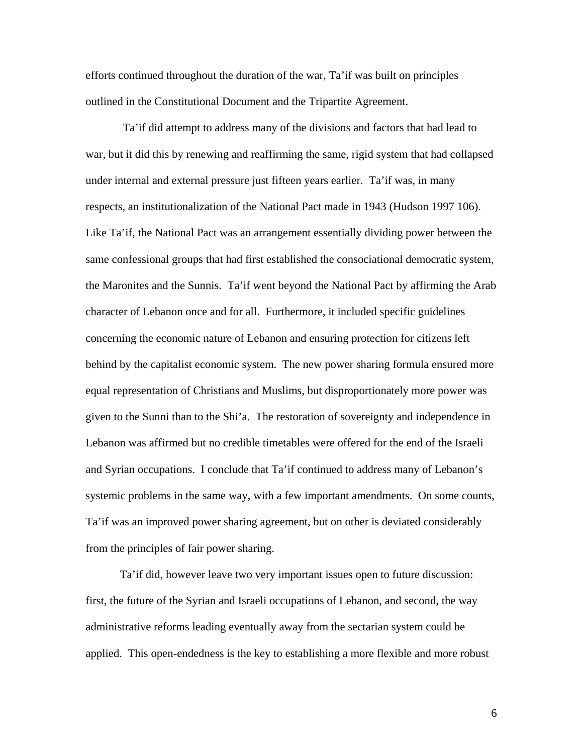efforts continued throughout the duration of the war, Ta'if was built on principles outlined in the Constitutional Document and the Tripartite Agreement.

 Ta'if did attempt to address many of the divisions and factors that had lead to war, but it did this by renewing and reaffirming the same, rigid system that had collapsed under internal and external pressure just fifteen years earlier. Ta'if was, in many respects, an institutionalization of the National Pact made in 1943 (Hudson 1997 106). Like Ta'if, the National Pact was an arrangement essentially dividing power between the same confessional groups that had first established the consociational democratic system, the Maronites and the Sunnis. Ta'if went beyond the National Pact by affirming the Arab character of Lebanon once and for all. Furthermore, it included specific guidelines concerning the economic nature of Lebanon and ensuring protection for citizens left behind by the capitalist economic system. The new power sharing formula ensured more equal representation of Christians and Muslims, but disproportionately more power was given to the Sunni than to the Shi'a. The restoration of sovereignty and independence in Lebanon was affirmed but no credible timetables were offered for the end of the Israeli and Syrian occupations. I conclude that Ta'if continued to address many of Lebanon's systemic problems in the same way, with a few important amendments. On some counts, Ta'if was an improved power sharing agreement, but on other is deviated considerably from the principles of fair power sharing.

Ta'if did, however leave two very important issues open to future discussion: first, the future of the Syrian and Israeli occupations of Lebanon, and second, the way administrative reforms leading eventually away from the sectarian system could be applied. This open-endedness is the key to establishing a more flexible and more robust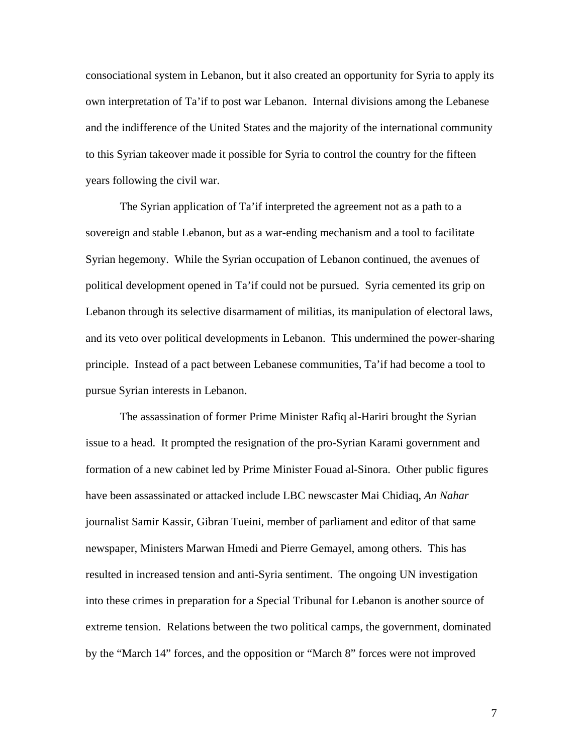consociational system in Lebanon, but it also created an opportunity for Syria to apply its own interpretation of Ta'if to post war Lebanon. Internal divisions among the Lebanese and the indifference of the United States and the majority of the international community to this Syrian takeover made it possible for Syria to control the country for the fifteen years following the civil war.

The Syrian application of Ta'if interpreted the agreement not as a path to a sovereign and stable Lebanon, but as a war-ending mechanism and a tool to facilitate Syrian hegemony. While the Syrian occupation of Lebanon continued, the avenues of political development opened in Ta'if could not be pursued. Syria cemented its grip on Lebanon through its selective disarmament of militias, its manipulation of electoral laws, and its veto over political developments in Lebanon. This undermined the power-sharing principle. Instead of a pact between Lebanese communities, Ta'if had become a tool to pursue Syrian interests in Lebanon.

The assassination of former Prime Minister Rafiq al-Hariri brought the Syrian issue to a head. It prompted the resignation of the pro-Syrian Karami government and formation of a new cabinet led by Prime Minister Fouad al-Sinora. Other public figures have been assassinated or attacked include LBC newscaster Mai Chidiaq, *An Nahar* journalist Samir Kassir, Gibran Tueini, member of parliament and editor of that same newspaper, Ministers Marwan Hmedi and Pierre Gemayel, among others. This has resulted in increased tension and anti-Syria sentiment. The ongoing UN investigation into these crimes in preparation for a Special Tribunal for Lebanon is another source of extreme tension. Relations between the two political camps, the government, dominated by the "March 14" forces, and the opposition or "March 8" forces were not improved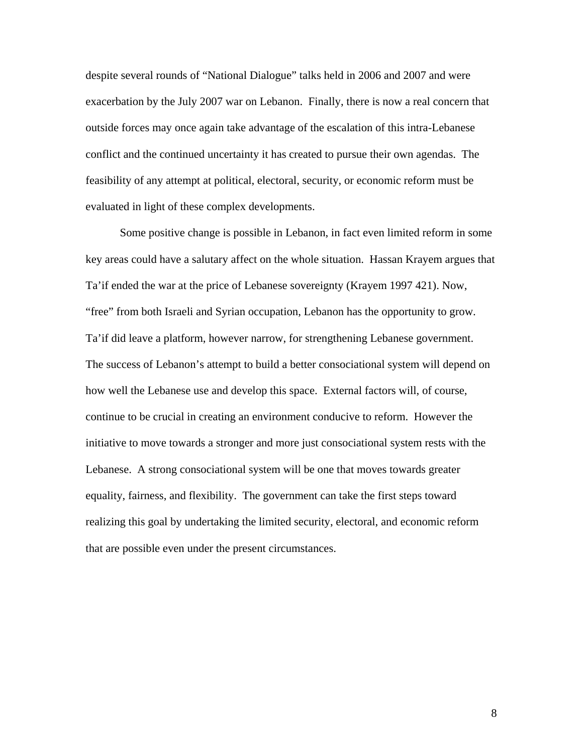despite several rounds of "National Dialogue" talks held in 2006 and 2007 and were exacerbation by the July 2007 war on Lebanon. Finally, there is now a real concern that outside forces may once again take advantage of the escalation of this intra-Lebanese conflict and the continued uncertainty it has created to pursue their own agendas. The feasibility of any attempt at political, electoral, security, or economic reform must be evaluated in light of these complex developments.

Some positive change is possible in Lebanon, in fact even limited reform in some key areas could have a salutary affect on the whole situation. Hassan Krayem argues that Ta'if ended the war at the price of Lebanese sovereignty (Krayem 1997 421). Now, "free" from both Israeli and Syrian occupation, Lebanon has the opportunity to grow. Ta'if did leave a platform, however narrow, for strengthening Lebanese government. The success of Lebanon's attempt to build a better consociational system will depend on how well the Lebanese use and develop this space. External factors will, of course, continue to be crucial in creating an environment conducive to reform. However the initiative to move towards a stronger and more just consociational system rests with the Lebanese. A strong consociational system will be one that moves towards greater equality, fairness, and flexibility. The government can take the first steps toward realizing this goal by undertaking the limited security, electoral, and economic reform that are possible even under the present circumstances.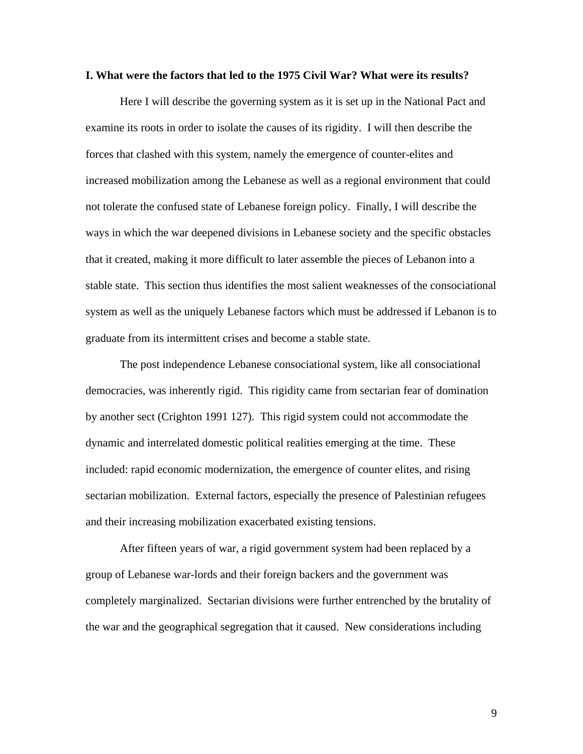#### **I. What were the factors that led to the 1975 Civil War? What were its results?**

Here I will describe the governing system as it is set up in the National Pact and examine its roots in order to isolate the causes of its rigidity. I will then describe the forces that clashed with this system, namely the emergence of counter-elites and increased mobilization among the Lebanese as well as a regional environment that could not tolerate the confused state of Lebanese foreign policy. Finally, I will describe the ways in which the war deepened divisions in Lebanese society and the specific obstacles that it created, making it more difficult to later assemble the pieces of Lebanon into a stable state. This section thus identifies the most salient weaknesses of the consociational system as well as the uniquely Lebanese factors which must be addressed if Lebanon is to graduate from its intermittent crises and become a stable state.

The post independence Lebanese consociational system, like all consociational democracies, was inherently rigid. This rigidity came from sectarian fear of domination by another sect (Crighton 1991 127). This rigid system could not accommodate the dynamic and interrelated domestic political realities emerging at the time. These included: rapid economic modernization, the emergence of counter elites, and rising sectarian mobilization. External factors, especially the presence of Palestinian refugees and their increasing mobilization exacerbated existing tensions.

After fifteen years of war, a rigid government system had been replaced by a group of Lebanese war-lords and their foreign backers and the government was completely marginalized. Sectarian divisions were further entrenched by the brutality of the war and the geographical segregation that it caused. New considerations including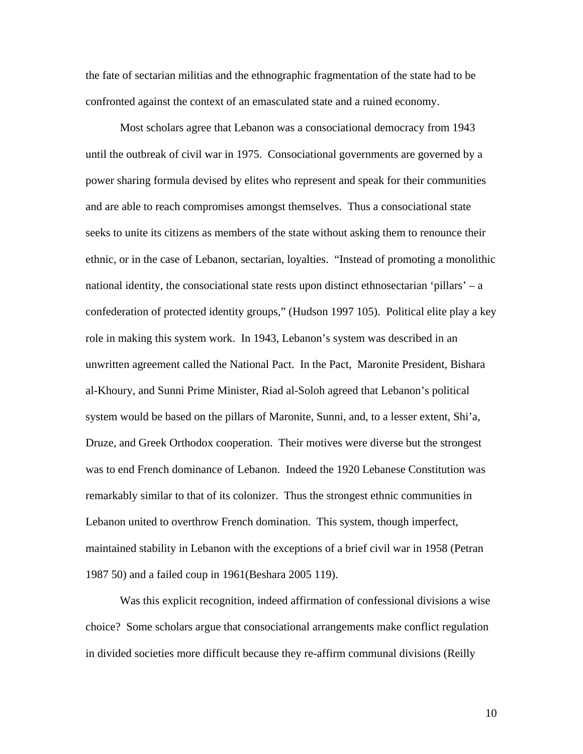the fate of sectarian militias and the ethnographic fragmentation of the state had to be confronted against the context of an emasculated state and a ruined economy.

Most scholars agree that Lebanon was a consociational democracy from 1943 until the outbreak of civil war in 1975. Consociational governments are governed by a power sharing formula devised by elites who represent and speak for their communities and are able to reach compromises amongst themselves. Thus a consociational state seeks to unite its citizens as members of the state without asking them to renounce their ethnic, or in the case of Lebanon, sectarian, loyalties. "Instead of promoting a monolithic national identity, the consociational state rests upon distinct ethnosectarian 'pillars' – a confederation of protected identity groups," (Hudson 1997 105). Political elite play a key role in making this system work. In 1943, Lebanon's system was described in an unwritten agreement called the National Pact. In the Pact, Maronite President, Bishara al-Khoury, and Sunni Prime Minister, Riad al-Soloh agreed that Lebanon's political system would be based on the pillars of Maronite, Sunni, and, to a lesser extent, Shi'a, Druze, and Greek Orthodox cooperation. Their motives were diverse but the strongest was to end French dominance of Lebanon. Indeed the 1920 Lebanese Constitution was remarkably similar to that of its colonizer. Thus the strongest ethnic communities in Lebanon united to overthrow French domination. This system, though imperfect, maintained stability in Lebanon with the exceptions of a brief civil war in 1958 (Petran 1987 50) and a failed coup in 1961(Beshara 2005 119).

 Was this explicit recognition, indeed affirmation of confessional divisions a wise choice? Some scholars argue that consociational arrangements make conflict regulation in divided societies more difficult because they re-affirm communal divisions (Reilly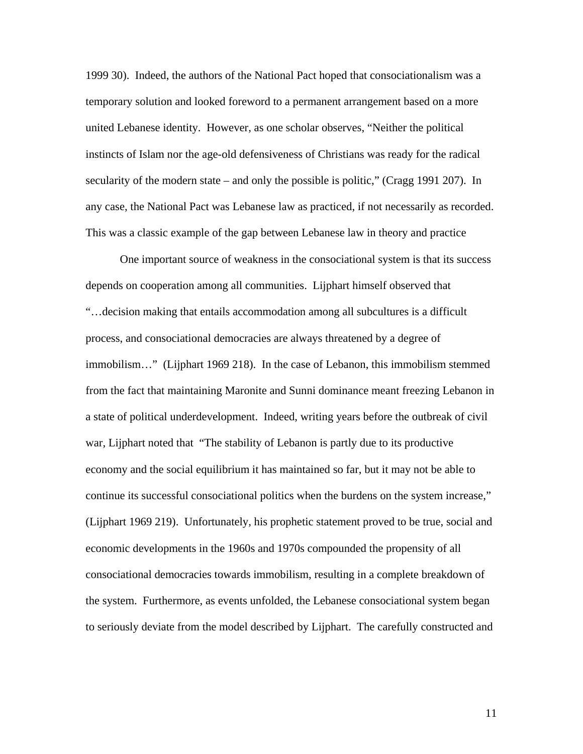1999 30). Indeed, the authors of the National Pact hoped that consociationalism was a temporary solution and looked foreword to a permanent arrangement based on a more united Lebanese identity. However, as one scholar observes, "Neither the political instincts of Islam nor the age-old defensiveness of Christians was ready for the radical secularity of the modern state – and only the possible is politic," (Cragg 1991 207). In any case, the National Pact was Lebanese law as practiced, if not necessarily as recorded. This was a classic example of the gap between Lebanese law in theory and practice

One important source of weakness in the consociational system is that its success depends on cooperation among all communities. Lijphart himself observed that "…decision making that entails accommodation among all subcultures is a difficult process, and consociational democracies are always threatened by a degree of immobilism…" (Lijphart 1969 218). In the case of Lebanon, this immobilism stemmed from the fact that maintaining Maronite and Sunni dominance meant freezing Lebanon in a state of political underdevelopment. Indeed, writing years before the outbreak of civil war, Lijphart noted that "The stability of Lebanon is partly due to its productive economy and the social equilibrium it has maintained so far, but it may not be able to continue its successful consociational politics when the burdens on the system increase," (Lijphart 1969 219). Unfortunately, his prophetic statement proved to be true, social and economic developments in the 1960s and 1970s compounded the propensity of all consociational democracies towards immobilism, resulting in a complete breakdown of the system. Furthermore, as events unfolded, the Lebanese consociational system began to seriously deviate from the model described by Lijphart. The carefully constructed and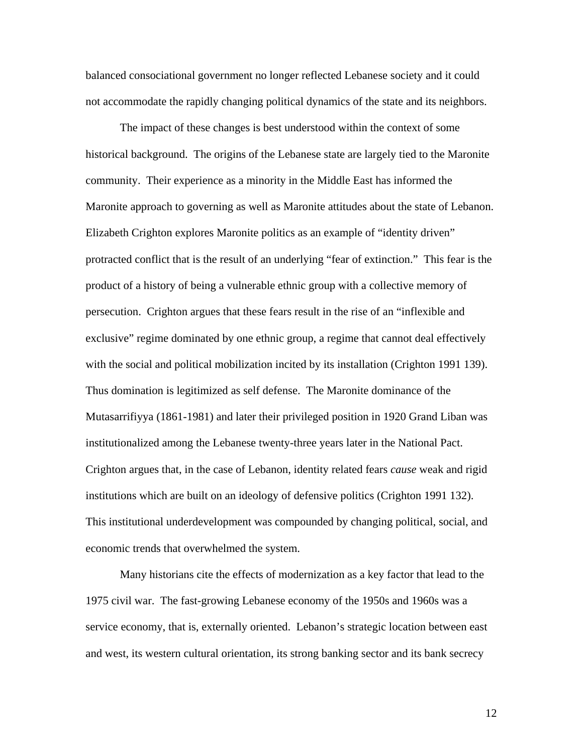balanced consociational government no longer reflected Lebanese society and it could not accommodate the rapidly changing political dynamics of the state and its neighbors.

The impact of these changes is best understood within the context of some historical background. The origins of the Lebanese state are largely tied to the Maronite community. Their experience as a minority in the Middle East has informed the Maronite approach to governing as well as Maronite attitudes about the state of Lebanon. Elizabeth Crighton explores Maronite politics as an example of "identity driven" protracted conflict that is the result of an underlying "fear of extinction." This fear is the product of a history of being a vulnerable ethnic group with a collective memory of persecution. Crighton argues that these fears result in the rise of an "inflexible and exclusive" regime dominated by one ethnic group, a regime that cannot deal effectively with the social and political mobilization incited by its installation (Crighton 1991 139). Thus domination is legitimized as self defense. The Maronite dominance of the Mutasarrifiyya (1861-1981) and later their privileged position in 1920 Grand Liban was institutionalized among the Lebanese twenty-three years later in the National Pact. Crighton argues that, in the case of Lebanon, identity related fears *cause* weak and rigid institutions which are built on an ideology of defensive politics (Crighton 1991 132). This institutional underdevelopment was compounded by changing political, social, and economic trends that overwhelmed the system.

 Many historians cite the effects of modernization as a key factor that lead to the 1975 civil war. The fast-growing Lebanese economy of the 1950s and 1960s was a service economy, that is, externally oriented. Lebanon's strategic location between east and west, its western cultural orientation, its strong banking sector and its bank secrecy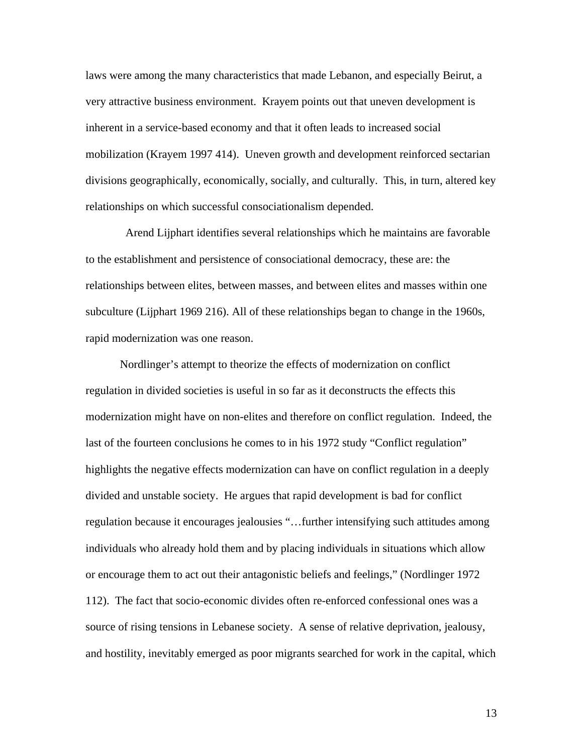laws were among the many characteristics that made Lebanon, and especially Beirut, a very attractive business environment. Krayem points out that uneven development is inherent in a service-based economy and that it often leads to increased social mobilization (Krayem 1997 414). Uneven growth and development reinforced sectarian divisions geographically, economically, socially, and culturally. This, in turn, altered key relationships on which successful consociationalism depended.

 Arend Lijphart identifies several relationships which he maintains are favorable to the establishment and persistence of consociational democracy, these are: the relationships between elites, between masses, and between elites and masses within one subculture (Lijphart 1969 216). All of these relationships began to change in the 1960s, rapid modernization was one reason.

Nordlinger's attempt to theorize the effects of modernization on conflict regulation in divided societies is useful in so far as it deconstructs the effects this modernization might have on non-elites and therefore on conflict regulation. Indeed, the last of the fourteen conclusions he comes to in his 1972 study "Conflict regulation" highlights the negative effects modernization can have on conflict regulation in a deeply divided and unstable society. He argues that rapid development is bad for conflict regulation because it encourages jealousies "…further intensifying such attitudes among individuals who already hold them and by placing individuals in situations which allow or encourage them to act out their antagonistic beliefs and feelings," (Nordlinger 1972 112). The fact that socio-economic divides often re-enforced confessional ones was a source of rising tensions in Lebanese society. A sense of relative deprivation, jealousy, and hostility, inevitably emerged as poor migrants searched for work in the capital, which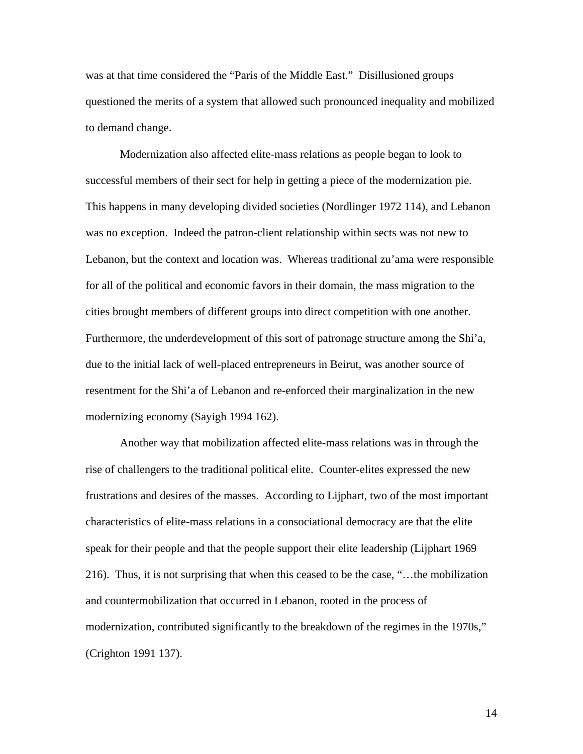was at that time considered the "Paris of the Middle East." Disillusioned groups questioned the merits of a system that allowed such pronounced inequality and mobilized to demand change.

Modernization also affected elite-mass relations as people began to look to successful members of their sect for help in getting a piece of the modernization pie. This happens in many developing divided societies (Nordlinger 1972 114), and Lebanon was no exception. Indeed the patron-client relationship within sects was not new to Lebanon, but the context and location was. Whereas traditional zu'ama were responsible for all of the political and economic favors in their domain, the mass migration to the cities brought members of different groups into direct competition with one another. Furthermore, the underdevelopment of this sort of patronage structure among the Shi'a, due to the initial lack of well-placed entrepreneurs in Beirut, was another source of resentment for the Shi'a of Lebanon and re-enforced their marginalization in the new modernizing economy (Sayigh 1994 162).

Another way that mobilization affected elite-mass relations was in through the rise of challengers to the traditional political elite. Counter-elites expressed the new frustrations and desires of the masses. According to Lijphart, two of the most important characteristics of elite-mass relations in a consociational democracy are that the elite speak for their people and that the people support their elite leadership (Lijphart 1969 216). Thus, it is not surprising that when this ceased to be the case, "…the mobilization and countermobilization that occurred in Lebanon, rooted in the process of modernization, contributed significantly to the breakdown of the regimes in the 1970s," (Crighton 1991 137).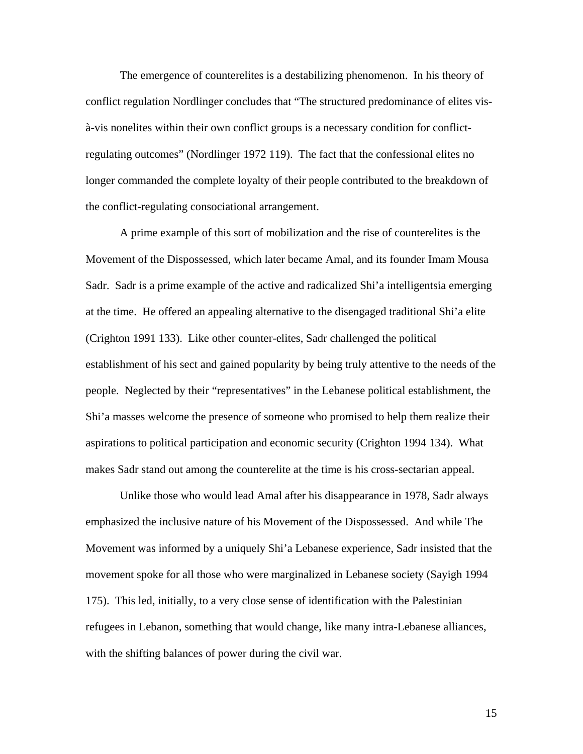The emergence of counterelites is a destabilizing phenomenon. In his theory of conflict regulation Nordlinger concludes that "The structured predominance of elites visà-vis nonelites within their own conflict groups is a necessary condition for conflictregulating outcomes" (Nordlinger 1972 119). The fact that the confessional elites no longer commanded the complete loyalty of their people contributed to the breakdown of the conflict-regulating consociational arrangement.

A prime example of this sort of mobilization and the rise of counterelites is the Movement of the Dispossessed, which later became Amal, and its founder Imam Mousa Sadr. Sadr is a prime example of the active and radicalized Shi'a intelligentsia emerging at the time. He offered an appealing alternative to the disengaged traditional Shi'a elite (Crighton 1991 133). Like other counter-elites, Sadr challenged the political establishment of his sect and gained popularity by being truly attentive to the needs of the people. Neglected by their "representatives" in the Lebanese political establishment, the Shi'a masses welcome the presence of someone who promised to help them realize their aspirations to political participation and economic security (Crighton 1994 134). What makes Sadr stand out among the counterelite at the time is his cross-sectarian appeal.

Unlike those who would lead Amal after his disappearance in 1978, Sadr always emphasized the inclusive nature of his Movement of the Dispossessed. And while The Movement was informed by a uniquely Shi'a Lebanese experience, Sadr insisted that the movement spoke for all those who were marginalized in Lebanese society (Sayigh 1994 175). This led, initially, to a very close sense of identification with the Palestinian refugees in Lebanon, something that would change, like many intra-Lebanese alliances, with the shifting balances of power during the civil war.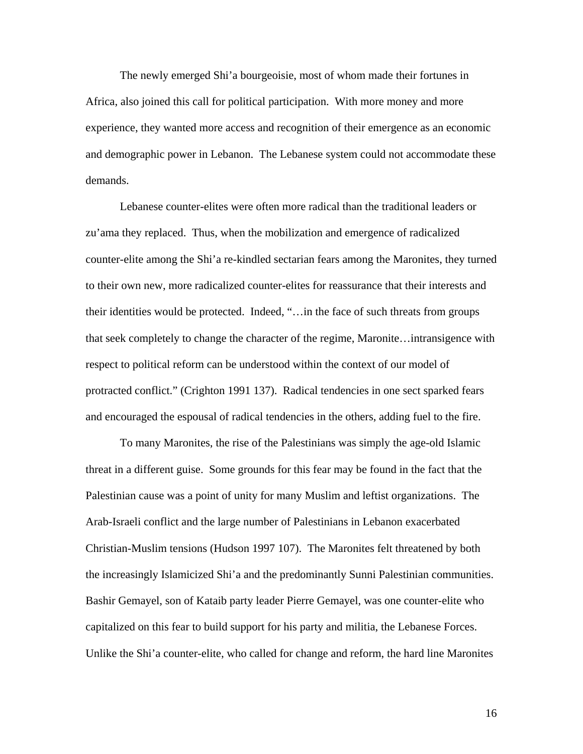The newly emerged Shi'a bourgeoisie, most of whom made their fortunes in Africa, also joined this call for political participation. With more money and more experience, they wanted more access and recognition of their emergence as an economic and demographic power in Lebanon. The Lebanese system could not accommodate these demands.

Lebanese counter-elites were often more radical than the traditional leaders or zu'ama they replaced. Thus, when the mobilization and emergence of radicalized counter-elite among the Shi'a re-kindled sectarian fears among the Maronites, they turned to their own new, more radicalized counter-elites for reassurance that their interests and their identities would be protected. Indeed, "…in the face of such threats from groups that seek completely to change the character of the regime, Maronite…intransigence with respect to political reform can be understood within the context of our model of protracted conflict." (Crighton 1991 137). Radical tendencies in one sect sparked fears and encouraged the espousal of radical tendencies in the others, adding fuel to the fire.

To many Maronites, the rise of the Palestinians was simply the age-old Islamic threat in a different guise. Some grounds for this fear may be found in the fact that the Palestinian cause was a point of unity for many Muslim and leftist organizations. The Arab-Israeli conflict and the large number of Palestinians in Lebanon exacerbated Christian-Muslim tensions (Hudson 1997 107). The Maronites felt threatened by both the increasingly Islamicized Shi'a and the predominantly Sunni Palestinian communities. Bashir Gemayel, son of Kataib party leader Pierre Gemayel, was one counter-elite who capitalized on this fear to build support for his party and militia, the Lebanese Forces. Unlike the Shi'a counter-elite, who called for change and reform, the hard line Maronites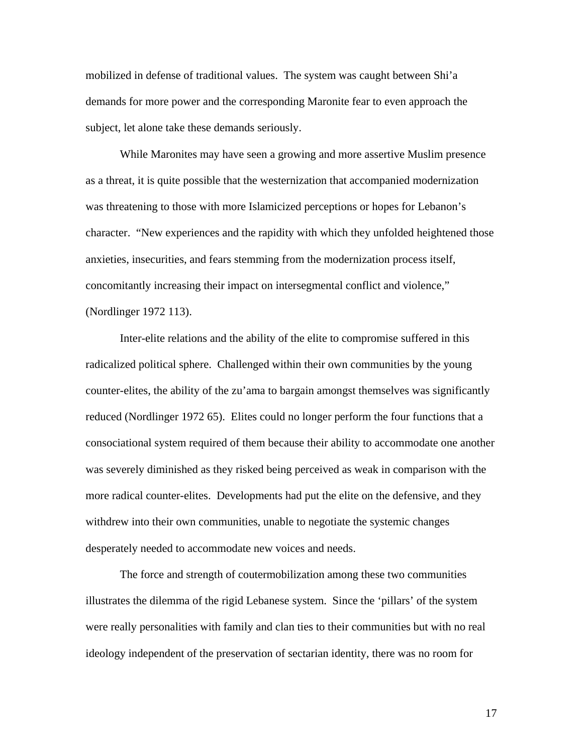mobilized in defense of traditional values. The system was caught between Shi'a demands for more power and the corresponding Maronite fear to even approach the subject, let alone take these demands seriously.

While Maronites may have seen a growing and more assertive Muslim presence as a threat, it is quite possible that the westernization that accompanied modernization was threatening to those with more Islamicized perceptions or hopes for Lebanon's character. "New experiences and the rapidity with which they unfolded heightened those anxieties, insecurities, and fears stemming from the modernization process itself, concomitantly increasing their impact on intersegmental conflict and violence," (Nordlinger 1972 113).

Inter-elite relations and the ability of the elite to compromise suffered in this radicalized political sphere. Challenged within their own communities by the young counter-elites, the ability of the zu'ama to bargain amongst themselves was significantly reduced (Nordlinger 1972 65). Elites could no longer perform the four functions that a consociational system required of them because their ability to accommodate one another was severely diminished as they risked being perceived as weak in comparison with the more radical counter-elites. Developments had put the elite on the defensive, and they withdrew into their own communities, unable to negotiate the systemic changes desperately needed to accommodate new voices and needs.

The force and strength of coutermobilization among these two communities illustrates the dilemma of the rigid Lebanese system. Since the 'pillars' of the system were really personalities with family and clan ties to their communities but with no real ideology independent of the preservation of sectarian identity, there was no room for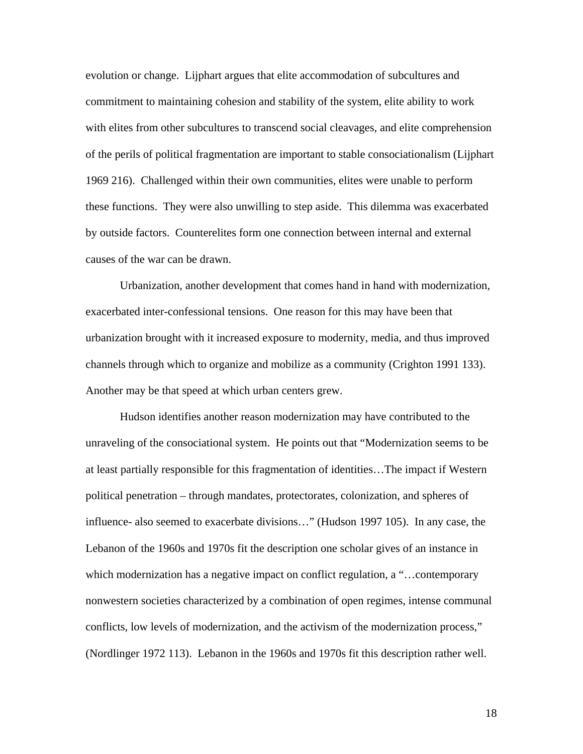evolution or change. Lijphart argues that elite accommodation of subcultures and commitment to maintaining cohesion and stability of the system, elite ability to work with elites from other subcultures to transcend social cleavages, and elite comprehension of the perils of political fragmentation are important to stable consociationalism (Lijphart 1969 216). Challenged within their own communities, elites were unable to perform these functions. They were also unwilling to step aside. This dilemma was exacerbated by outside factors. Counterelites form one connection between internal and external causes of the war can be drawn.

Urbanization, another development that comes hand in hand with modernization, exacerbated inter-confessional tensions. One reason for this may have been that urbanization brought with it increased exposure to modernity, media, and thus improved channels through which to organize and mobilize as a community (Crighton 1991 133). Another may be that speed at which urban centers grew.

Hudson identifies another reason modernization may have contributed to the unraveling of the consociational system. He points out that "Modernization seems to be at least partially responsible for this fragmentation of identities…The impact if Western political penetration – through mandates, protectorates, colonization, and spheres of influence- also seemed to exacerbate divisions…" (Hudson 1997 105). In any case, the Lebanon of the 1960s and 1970s fit the description one scholar gives of an instance in which modernization has a negative impact on conflict regulation, a "...contemporary nonwestern societies characterized by a combination of open regimes, intense communal conflicts, low levels of modernization, and the activism of the modernization process," (Nordlinger 1972 113). Lebanon in the 1960s and 1970s fit this description rather well.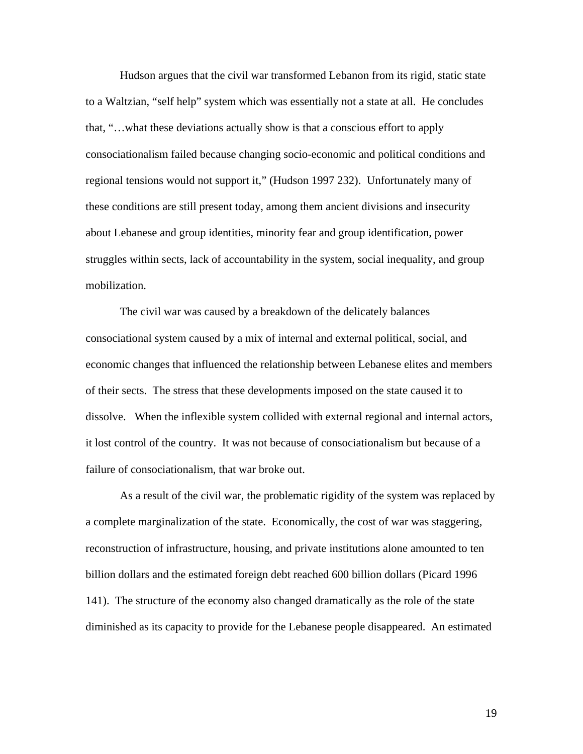Hudson argues that the civil war transformed Lebanon from its rigid, static state to a Waltzian, "self help" system which was essentially not a state at all. He concludes that, "…what these deviations actually show is that a conscious effort to apply consociationalism failed because changing socio-economic and political conditions and regional tensions would not support it," (Hudson 1997 232). Unfortunately many of these conditions are still present today, among them ancient divisions and insecurity about Lebanese and group identities, minority fear and group identification, power struggles within sects, lack of accountability in the system, social inequality, and group mobilization.

The civil war was caused by a breakdown of the delicately balances consociational system caused by a mix of internal and external political, social, and economic changes that influenced the relationship between Lebanese elites and members of their sects. The stress that these developments imposed on the state caused it to dissolve. When the inflexible system collided with external regional and internal actors, it lost control of the country. It was not because of consociationalism but because of a failure of consociationalism, that war broke out.

As a result of the civil war, the problematic rigidity of the system was replaced by a complete marginalization of the state. Economically, the cost of war was staggering, reconstruction of infrastructure, housing, and private institutions alone amounted to ten billion dollars and the estimated foreign debt reached 600 billion dollars (Picard 1996 141). The structure of the economy also changed dramatically as the role of the state diminished as its capacity to provide for the Lebanese people disappeared. An estimated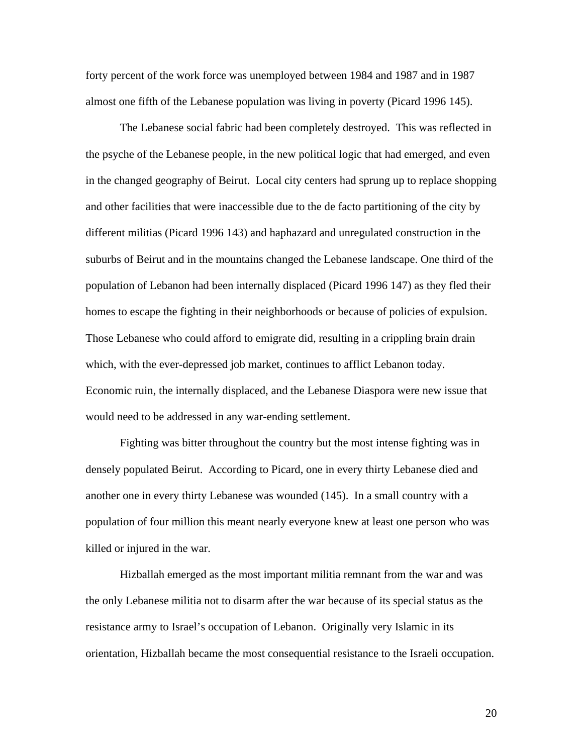forty percent of the work force was unemployed between 1984 and 1987 and in 1987 almost one fifth of the Lebanese population was living in poverty (Picard 1996 145).

The Lebanese social fabric had been completely destroyed. This was reflected in the psyche of the Lebanese people, in the new political logic that had emerged, and even in the changed geography of Beirut. Local city centers had sprung up to replace shopping and other facilities that were inaccessible due to the de facto partitioning of the city by different militias (Picard 1996 143) and haphazard and unregulated construction in the suburbs of Beirut and in the mountains changed the Lebanese landscape. One third of the population of Lebanon had been internally displaced (Picard 1996 147) as they fled their homes to escape the fighting in their neighborhoods or because of policies of expulsion. Those Lebanese who could afford to emigrate did, resulting in a crippling brain drain which, with the ever-depressed job market, continues to afflict Lebanon today. Economic ruin, the internally displaced, and the Lebanese Diaspora were new issue that would need to be addressed in any war-ending settlement.

Fighting was bitter throughout the country but the most intense fighting was in densely populated Beirut. According to Picard, one in every thirty Lebanese died and another one in every thirty Lebanese was wounded (145). In a small country with a population of four million this meant nearly everyone knew at least one person who was killed or injured in the war.

Hizballah emerged as the most important militia remnant from the war and was the only Lebanese militia not to disarm after the war because of its special status as the resistance army to Israel's occupation of Lebanon. Originally very Islamic in its orientation, Hizballah became the most consequential resistance to the Israeli occupation.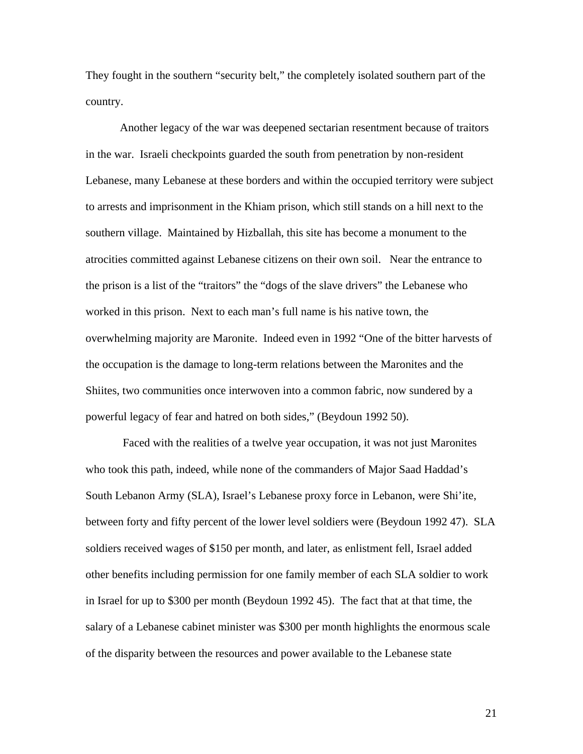They fought in the southern "security belt," the completely isolated southern part of the country.

Another legacy of the war was deepened sectarian resentment because of traitors in the war. Israeli checkpoints guarded the south from penetration by non-resident Lebanese, many Lebanese at these borders and within the occupied territory were subject to arrests and imprisonment in the Khiam prison, which still stands on a hill next to the southern village. Maintained by Hizballah, this site has become a monument to the atrocities committed against Lebanese citizens on their own soil. Near the entrance to the prison is a list of the "traitors" the "dogs of the slave drivers" the Lebanese who worked in this prison. Next to each man's full name is his native town, the overwhelming majority are Maronite. Indeed even in 1992 "One of the bitter harvests of the occupation is the damage to long-term relations between the Maronites and the Shiites, two communities once interwoven into a common fabric, now sundered by a powerful legacy of fear and hatred on both sides," (Beydoun 1992 50).

 Faced with the realities of a twelve year occupation, it was not just Maronites who took this path, indeed, while none of the commanders of Major Saad Haddad's South Lebanon Army (SLA), Israel's Lebanese proxy force in Lebanon, were Shi'ite, between forty and fifty percent of the lower level soldiers were (Beydoun 1992 47). SLA soldiers received wages of \$150 per month, and later, as enlistment fell, Israel added other benefits including permission for one family member of each SLA soldier to work in Israel for up to \$300 per month (Beydoun 1992 45). The fact that at that time, the salary of a Lebanese cabinet minister was \$300 per month highlights the enormous scale of the disparity between the resources and power available to the Lebanese state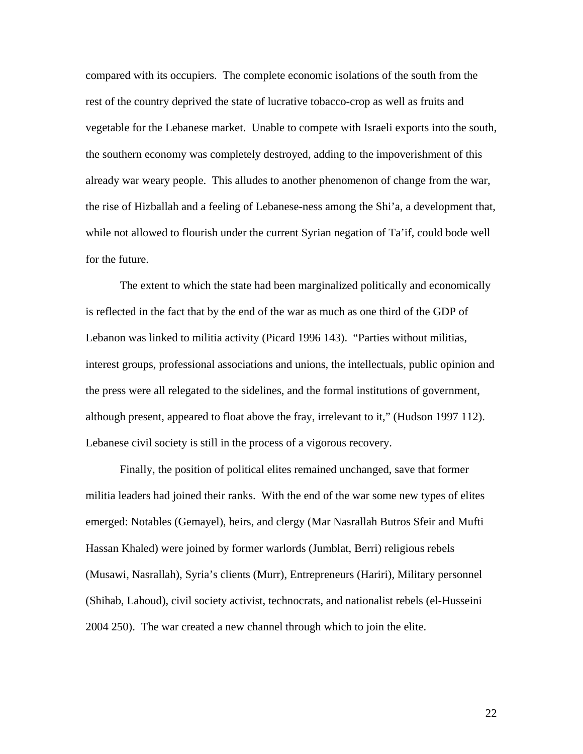compared with its occupiers. The complete economic isolations of the south from the rest of the country deprived the state of lucrative tobacco-crop as well as fruits and vegetable for the Lebanese market. Unable to compete with Israeli exports into the south, the southern economy was completely destroyed, adding to the impoverishment of this already war weary people. This alludes to another phenomenon of change from the war, the rise of Hizballah and a feeling of Lebanese-ness among the Shi'a, a development that, while not allowed to flourish under the current Syrian negation of Ta'if, could bode well for the future.

The extent to which the state had been marginalized politically and economically is reflected in the fact that by the end of the war as much as one third of the GDP of Lebanon was linked to militia activity (Picard 1996 143). "Parties without militias, interest groups, professional associations and unions, the intellectuals, public opinion and the press were all relegated to the sidelines, and the formal institutions of government, although present, appeared to float above the fray, irrelevant to it," (Hudson 1997 112). Lebanese civil society is still in the process of a vigorous recovery.

Finally, the position of political elites remained unchanged, save that former militia leaders had joined their ranks. With the end of the war some new types of elites emerged: Notables (Gemayel), heirs, and clergy (Mar Nasrallah Butros Sfeir and Mufti Hassan Khaled) were joined by former warlords (Jumblat, Berri) religious rebels (Musawi, Nasrallah), Syria's clients (Murr), Entrepreneurs (Hariri), Military personnel (Shihab, Lahoud), civil society activist, technocrats, and nationalist rebels (el-Husseini 2004 250). The war created a new channel through which to join the elite.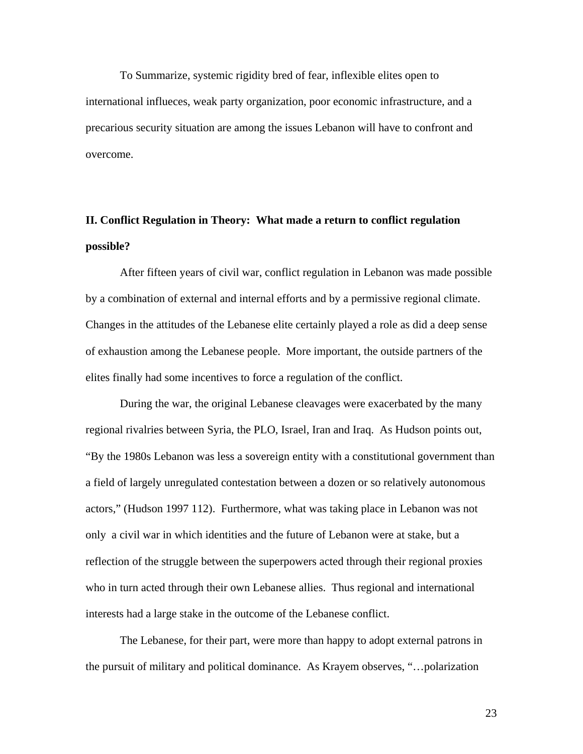To Summarize, systemic rigidity bred of fear, inflexible elites open to international influeces, weak party organization, poor economic infrastructure, and a precarious security situation are among the issues Lebanon will have to confront and overcome.

# **II. Conflict Regulation in Theory: What made a return to conflict regulation possible?**

After fifteen years of civil war, conflict regulation in Lebanon was made possible by a combination of external and internal efforts and by a permissive regional climate. Changes in the attitudes of the Lebanese elite certainly played a role as did a deep sense of exhaustion among the Lebanese people. More important, the outside partners of the elites finally had some incentives to force a regulation of the conflict.

During the war, the original Lebanese cleavages were exacerbated by the many regional rivalries between Syria, the PLO, Israel, Iran and Iraq. As Hudson points out, "By the 1980s Lebanon was less a sovereign entity with a constitutional government than a field of largely unregulated contestation between a dozen or so relatively autonomous actors," (Hudson 1997 112). Furthermore, what was taking place in Lebanon was not only a civil war in which identities and the future of Lebanon were at stake, but a reflection of the struggle between the superpowers acted through their regional proxies who in turn acted through their own Lebanese allies. Thus regional and international interests had a large stake in the outcome of the Lebanese conflict.

The Lebanese, for their part, were more than happy to adopt external patrons in the pursuit of military and political dominance. As Krayem observes, "…polarization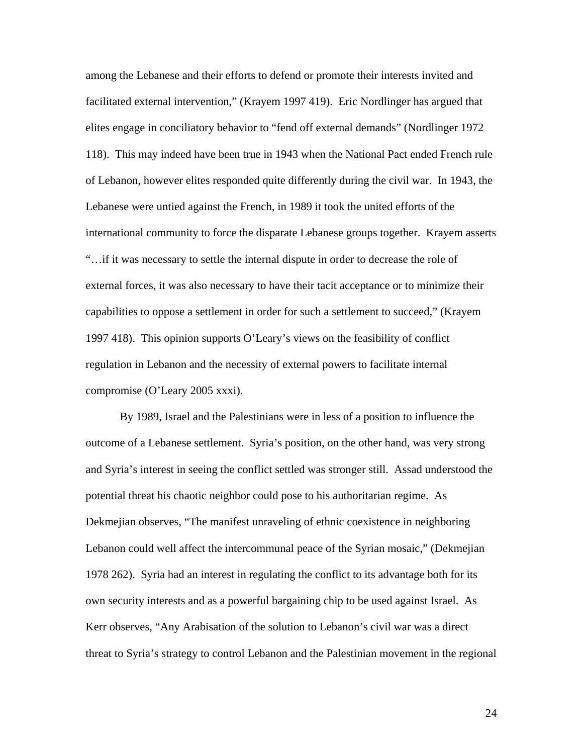among the Lebanese and their efforts to defend or promote their interests invited and facilitated external intervention," (Krayem 1997 419). Eric Nordlinger has argued that elites engage in conciliatory behavior to "fend off external demands" (Nordlinger 1972 118). This may indeed have been true in 1943 when the National Pact ended French rule of Lebanon, however elites responded quite differently during the civil war. In 1943, the Lebanese were untied against the French, in 1989 it took the united efforts of the international community to force the disparate Lebanese groups together. Krayem asserts "…if it was necessary to settle the internal dispute in order to decrease the role of external forces, it was also necessary to have their tacit acceptance or to minimize their capabilities to oppose a settlement in order for such a settlement to succeed," (Krayem 1997 418). This opinion supports O'Leary's views on the feasibility of conflict regulation in Lebanon and the necessity of external powers to facilitate internal compromise (O'Leary 2005 xxxi).

By 1989, Israel and the Palestinians were in less of a position to influence the outcome of a Lebanese settlement. Syria's position, on the other hand, was very strong and Syria's interest in seeing the conflict settled was stronger still. Assad understood the potential threat his chaotic neighbor could pose to his authoritarian regime. As Dekmejian observes, "The manifest unraveling of ethnic coexistence in neighboring Lebanon could well affect the intercommunal peace of the Syrian mosaic," (Dekmejian 1978 262). Syria had an interest in regulating the conflict to its advantage both for its own security interests and as a powerful bargaining chip to be used against Israel. As Kerr observes, "Any Arabisation of the solution to Lebanon's civil war was a direct threat to Syria's strategy to control Lebanon and the Palestinian movement in the regional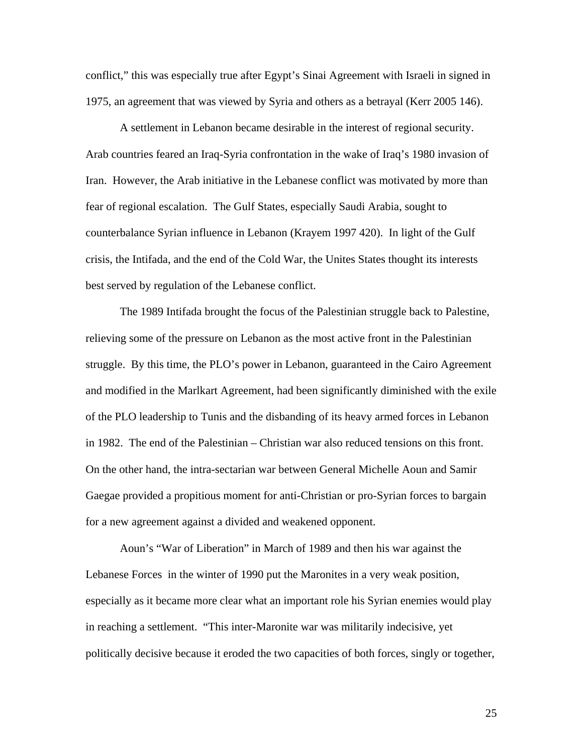conflict," this was especially true after Egypt's Sinai Agreement with Israeli in signed in 1975, an agreement that was viewed by Syria and others as a betrayal (Kerr 2005 146).

A settlement in Lebanon became desirable in the interest of regional security. Arab countries feared an Iraq-Syria confrontation in the wake of Iraq's 1980 invasion of Iran. However, the Arab initiative in the Lebanese conflict was motivated by more than fear of regional escalation. The Gulf States, especially Saudi Arabia, sought to counterbalance Syrian influence in Lebanon (Krayem 1997 420). In light of the Gulf crisis, the Intifada, and the end of the Cold War, the Unites States thought its interests best served by regulation of the Lebanese conflict.

The 1989 Intifada brought the focus of the Palestinian struggle back to Palestine, relieving some of the pressure on Lebanon as the most active front in the Palestinian struggle. By this time, the PLO's power in Lebanon, guaranteed in the Cairo Agreement and modified in the Marlkart Agreement, had been significantly diminished with the exile of the PLO leadership to Tunis and the disbanding of its heavy armed forces in Lebanon in 1982. The end of the Palestinian – Christian war also reduced tensions on this front. On the other hand, the intra-sectarian war between General Michelle Aoun and Samir Gaegae provided a propitious moment for anti-Christian or pro-Syrian forces to bargain for a new agreement against a divided and weakened opponent.

Aoun's "War of Liberation" in March of 1989 and then his war against the Lebanese Forces in the winter of 1990 put the Maronites in a very weak position, especially as it became more clear what an important role his Syrian enemies would play in reaching a settlement. "This inter-Maronite war was militarily indecisive, yet politically decisive because it eroded the two capacities of both forces, singly or together,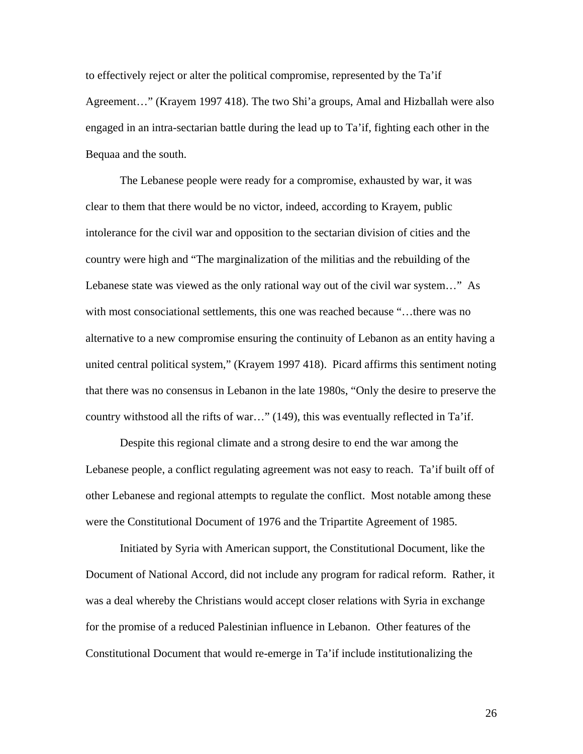to effectively reject or alter the political compromise, represented by the Ta'if Agreement…" (Krayem 1997 418). The two Shi'a groups, Amal and Hizballah were also engaged in an intra-sectarian battle during the lead up to Ta'if, fighting each other in the Bequaa and the south.

The Lebanese people were ready for a compromise, exhausted by war, it was clear to them that there would be no victor, indeed, according to Krayem, public intolerance for the civil war and opposition to the sectarian division of cities and the country were high and "The marginalization of the militias and the rebuilding of the Lebanese state was viewed as the only rational way out of the civil war system…" As with most consociational settlements, this one was reached because "…there was no alternative to a new compromise ensuring the continuity of Lebanon as an entity having a united central political system," (Krayem 1997 418). Picard affirms this sentiment noting that there was no consensus in Lebanon in the late 1980s, "Only the desire to preserve the country withstood all the rifts of war…" (149), this was eventually reflected in Ta'if.

Despite this regional climate and a strong desire to end the war among the Lebanese people, a conflict regulating agreement was not easy to reach. Ta'if built off of other Lebanese and regional attempts to regulate the conflict. Most notable among these were the Constitutional Document of 1976 and the Tripartite Agreement of 1985.

 Initiated by Syria with American support, the Constitutional Document, like the Document of National Accord, did not include any program for radical reform. Rather, it was a deal whereby the Christians would accept closer relations with Syria in exchange for the promise of a reduced Palestinian influence in Lebanon. Other features of the Constitutional Document that would re-emerge in Ta'if include institutionalizing the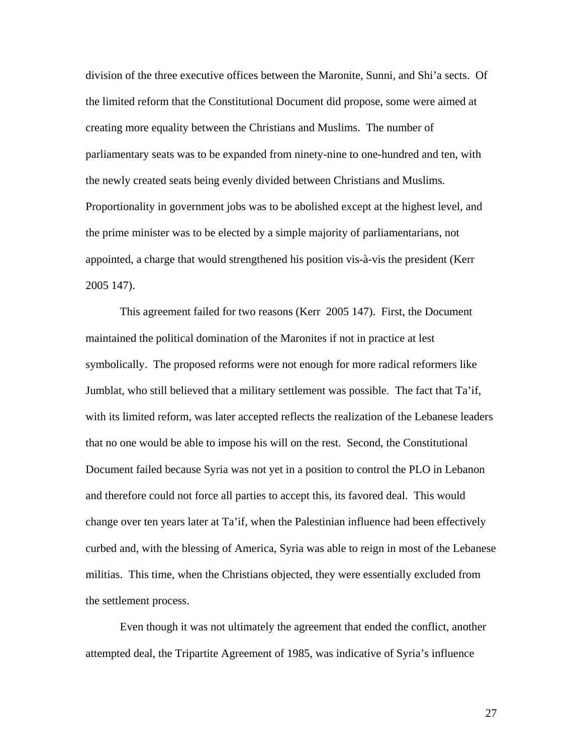division of the three executive offices between the Maronite, Sunni, and Shi'a sects. Of the limited reform that the Constitutional Document did propose, some were aimed at creating more equality between the Christians and Muslims. The number of parliamentary seats was to be expanded from ninety-nine to one-hundred and ten, with the newly created seats being evenly divided between Christians and Muslims. Proportionality in government jobs was to be abolished except at the highest level, and the prime minister was to be elected by a simple majority of parliamentarians, not appointed, a charge that would strengthened his position vis-à-vis the president (Kerr 2005 147).

 This agreement failed for two reasons (Kerr 2005 147). First, the Document maintained the political domination of the Maronites if not in practice at lest symbolically. The proposed reforms were not enough for more radical reformers like Jumblat, who still believed that a military settlement was possible. The fact that Ta'if, with its limited reform, was later accepted reflects the realization of the Lebanese leaders that no one would be able to impose his will on the rest. Second, the Constitutional Document failed because Syria was not yet in a position to control the PLO in Lebanon and therefore could not force all parties to accept this, its favored deal. This would change over ten years later at Ta'if, when the Palestinian influence had been effectively curbed and, with the blessing of America, Syria was able to reign in most of the Lebanese militias. This time, when the Christians objected, they were essentially excluded from the settlement process.

 Even though it was not ultimately the agreement that ended the conflict, another attempted deal, the Tripartite Agreement of 1985, was indicative of Syria's influence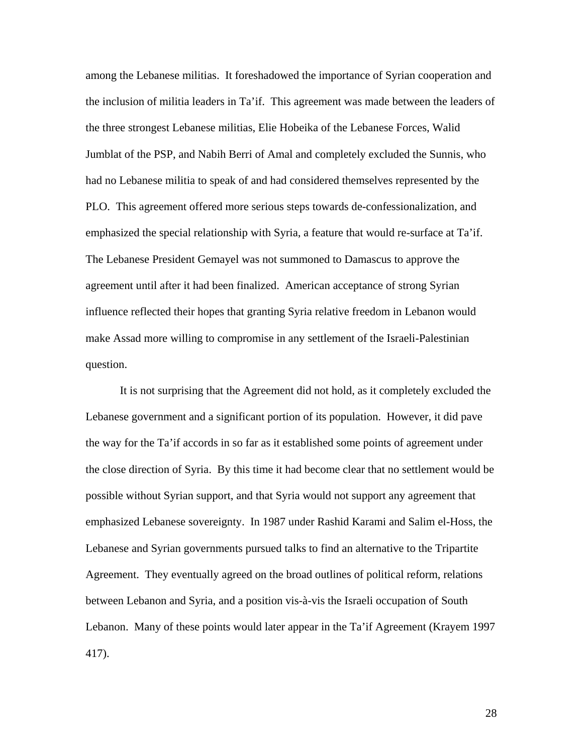among the Lebanese militias. It foreshadowed the importance of Syrian cooperation and the inclusion of militia leaders in Ta'if. This agreement was made between the leaders of the three strongest Lebanese militias, Elie Hobeika of the Lebanese Forces, Walid Jumblat of the PSP, and Nabih Berri of Amal and completely excluded the Sunnis, who had no Lebanese militia to speak of and had considered themselves represented by the PLO. This agreement offered more serious steps towards de-confessionalization, and emphasized the special relationship with Syria, a feature that would re-surface at Ta'if. The Lebanese President Gemayel was not summoned to Damascus to approve the agreement until after it had been finalized. American acceptance of strong Syrian influence reflected their hopes that granting Syria relative freedom in Lebanon would make Assad more willing to compromise in any settlement of the Israeli-Palestinian question.

It is not surprising that the Agreement did not hold, as it completely excluded the Lebanese government and a significant portion of its population. However, it did pave the way for the Ta'if accords in so far as it established some points of agreement under the close direction of Syria. By this time it had become clear that no settlement would be possible without Syrian support, and that Syria would not support any agreement that emphasized Lebanese sovereignty. In 1987 under Rashid Karami and Salim el-Hoss, the Lebanese and Syrian governments pursued talks to find an alternative to the Tripartite Agreement. They eventually agreed on the broad outlines of political reform, relations between Lebanon and Syria, and a position vis-à-vis the Israeli occupation of South Lebanon. Many of these points would later appear in the Ta'if Agreement (Krayem 1997 417).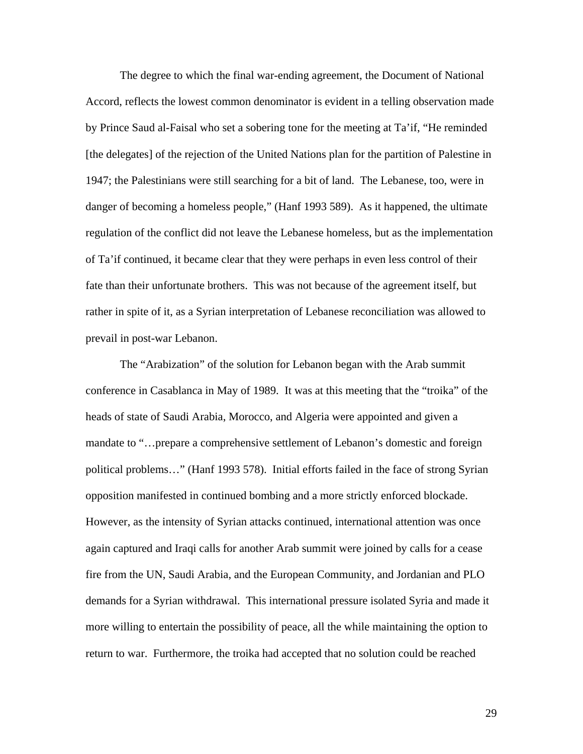The degree to which the final war-ending agreement, the Document of National Accord, reflects the lowest common denominator is evident in a telling observation made by Prince Saud al-Faisal who set a sobering tone for the meeting at Ta'if, "He reminded [the delegates] of the rejection of the United Nations plan for the partition of Palestine in 1947; the Palestinians were still searching for a bit of land. The Lebanese, too, were in danger of becoming a homeless people," (Hanf 1993 589). As it happened, the ultimate regulation of the conflict did not leave the Lebanese homeless, but as the implementation of Ta'if continued, it became clear that they were perhaps in even less control of their fate than their unfortunate brothers. This was not because of the agreement itself, but rather in spite of it, as a Syrian interpretation of Lebanese reconciliation was allowed to prevail in post-war Lebanon.

The "Arabization" of the solution for Lebanon began with the Arab summit conference in Casablanca in May of 1989. It was at this meeting that the "troika" of the heads of state of Saudi Arabia, Morocco, and Algeria were appointed and given a mandate to "…prepare a comprehensive settlement of Lebanon's domestic and foreign political problems…" (Hanf 1993 578). Initial efforts failed in the face of strong Syrian opposition manifested in continued bombing and a more strictly enforced blockade. However, as the intensity of Syrian attacks continued, international attention was once again captured and Iraqi calls for another Arab summit were joined by calls for a cease fire from the UN, Saudi Arabia, and the European Community, and Jordanian and PLO demands for a Syrian withdrawal. This international pressure isolated Syria and made it more willing to entertain the possibility of peace, all the while maintaining the option to return to war. Furthermore, the troika had accepted that no solution could be reached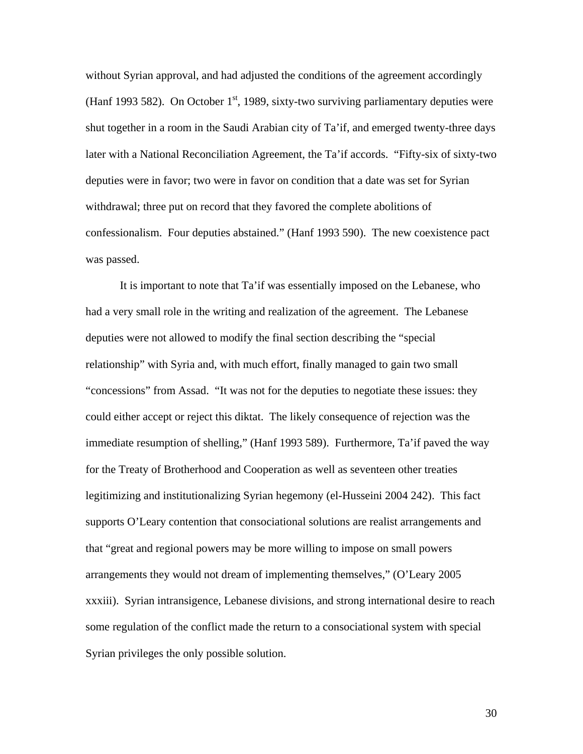without Syrian approval, and had adjusted the conditions of the agreement accordingly (Hanf 1993 582). On October  $1<sup>st</sup>$ , 1989, sixty-two surviving parliamentary deputies were shut together in a room in the Saudi Arabian city of Ta'if, and emerged twenty-three days later with a National Reconciliation Agreement, the Ta'if accords. "Fifty-six of sixty-two deputies were in favor; two were in favor on condition that a date was set for Syrian withdrawal; three put on record that they favored the complete abolitions of confessionalism. Four deputies abstained." (Hanf 1993 590). The new coexistence pact was passed.

 It is important to note that Ta'if was essentially imposed on the Lebanese, who had a very small role in the writing and realization of the agreement. The Lebanese deputies were not allowed to modify the final section describing the "special relationship" with Syria and, with much effort, finally managed to gain two small "concessions" from Assad. "It was not for the deputies to negotiate these issues: they could either accept or reject this diktat. The likely consequence of rejection was the immediate resumption of shelling," (Hanf 1993 589). Furthermore, Ta'if paved the way for the Treaty of Brotherhood and Cooperation as well as seventeen other treaties legitimizing and institutionalizing Syrian hegemony (el-Husseini 2004 242). This fact supports O'Leary contention that consociational solutions are realist arrangements and that "great and regional powers may be more willing to impose on small powers arrangements they would not dream of implementing themselves," (O'Leary 2005 xxxiii). Syrian intransigence, Lebanese divisions, and strong international desire to reach some regulation of the conflict made the return to a consociational system with special Syrian privileges the only possible solution.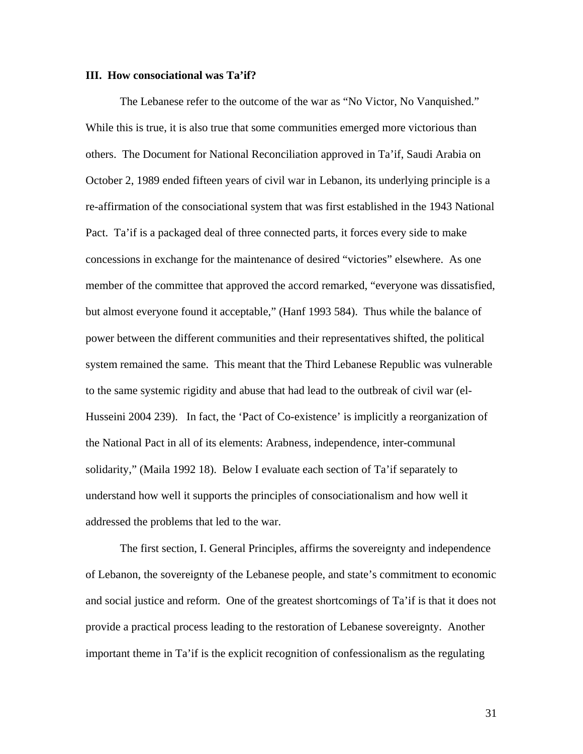#### **III. How consociational was Ta'if?**

The Lebanese refer to the outcome of the war as "No Victor, No Vanquished." While this is true, it is also true that some communities emerged more victorious than others. The Document for National Reconciliation approved in Ta'if, Saudi Arabia on October 2, 1989 ended fifteen years of civil war in Lebanon, its underlying principle is a re-affirmation of the consociational system that was first established in the 1943 National Pact. Ta'if is a packaged deal of three connected parts, it forces every side to make concessions in exchange for the maintenance of desired "victories" elsewhere. As one member of the committee that approved the accord remarked, "everyone was dissatisfied, but almost everyone found it acceptable," (Hanf 1993 584). Thus while the balance of power between the different communities and their representatives shifted, the political system remained the same. This meant that the Third Lebanese Republic was vulnerable to the same systemic rigidity and abuse that had lead to the outbreak of civil war (el-Husseini 2004 239). In fact, the 'Pact of Co-existence' is implicitly a reorganization of the National Pact in all of its elements: Arabness, independence, inter-communal solidarity," (Maila 1992 18). Below I evaluate each section of Ta'if separately to understand how well it supports the principles of consociationalism and how well it addressed the problems that led to the war.

The first section, I. General Principles, affirms the sovereignty and independence of Lebanon, the sovereignty of the Lebanese people, and state's commitment to economic and social justice and reform. One of the greatest shortcomings of Ta'if is that it does not provide a practical process leading to the restoration of Lebanese sovereignty. Another important theme in Ta'if is the explicit recognition of confessionalism as the regulating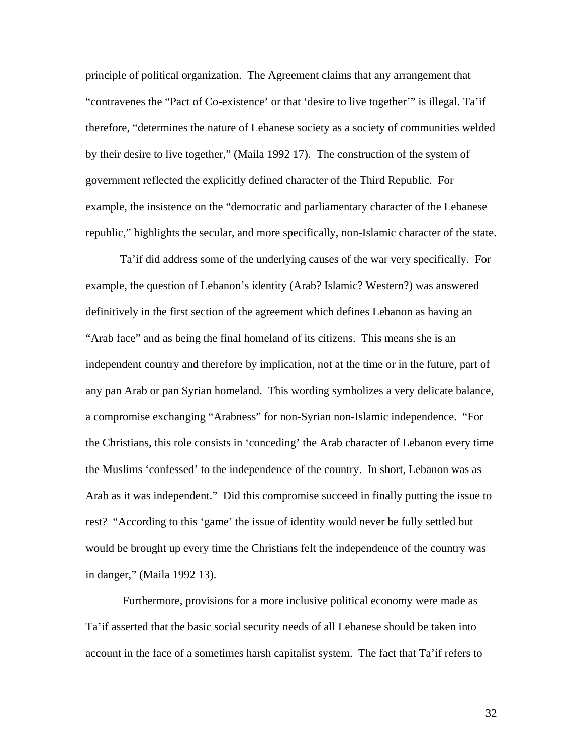principle of political organization. The Agreement claims that any arrangement that "contravenes the "Pact of Co-existence' or that 'desire to live together'" is illegal. Ta'if therefore, "determines the nature of Lebanese society as a society of communities welded by their desire to live together," (Maila 1992 17). The construction of the system of government reflected the explicitly defined character of the Third Republic. For example, the insistence on the "democratic and parliamentary character of the Lebanese republic," highlights the secular, and more specifically, non-Islamic character of the state.

Ta'if did address some of the underlying causes of the war very specifically. For example, the question of Lebanon's identity (Arab? Islamic? Western?) was answered definitively in the first section of the agreement which defines Lebanon as having an "Arab face" and as being the final homeland of its citizens. This means she is an independent country and therefore by implication, not at the time or in the future, part of any pan Arab or pan Syrian homeland. This wording symbolizes a very delicate balance, a compromise exchanging "Arabness" for non-Syrian non-Islamic independence. "For the Christians, this role consists in 'conceding' the Arab character of Lebanon every time the Muslims 'confessed' to the independence of the country. In short, Lebanon was as Arab as it was independent." Did this compromise succeed in finally putting the issue to rest? "According to this 'game' the issue of identity would never be fully settled but would be brought up every time the Christians felt the independence of the country was in danger," (Maila 1992 13).

 Furthermore, provisions for a more inclusive political economy were made as Ta'if asserted that the basic social security needs of all Lebanese should be taken into account in the face of a sometimes harsh capitalist system. The fact that Ta'if refers to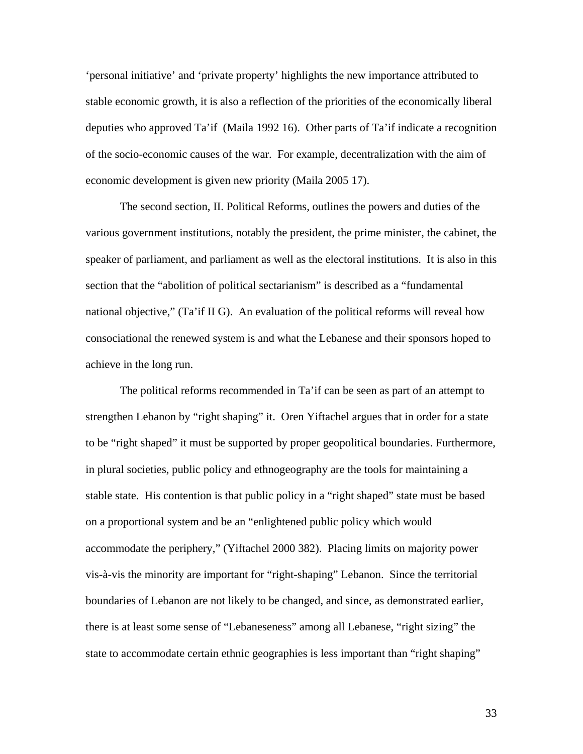'personal initiative' and 'private property' highlights the new importance attributed to stable economic growth, it is also a reflection of the priorities of the economically liberal deputies who approved Ta'if (Maila 1992 16). Other parts of Ta'if indicate a recognition of the socio-economic causes of the war. For example, decentralization with the aim of economic development is given new priority (Maila 2005 17).

The second section, II. Political Reforms, outlines the powers and duties of the various government institutions, notably the president, the prime minister, the cabinet, the speaker of parliament, and parliament as well as the electoral institutions. It is also in this section that the "abolition of political sectarianism" is described as a "fundamental national objective," (Ta'if II G). An evaluation of the political reforms will reveal how consociational the renewed system is and what the Lebanese and their sponsors hoped to achieve in the long run.

The political reforms recommended in Ta'if can be seen as part of an attempt to strengthen Lebanon by "right shaping" it. Oren Yiftachel argues that in order for a state to be "right shaped" it must be supported by proper geopolitical boundaries. Furthermore, in plural societies, public policy and ethnogeography are the tools for maintaining a stable state. His contention is that public policy in a "right shaped" state must be based on a proportional system and be an "enlightened public policy which would accommodate the periphery," (Yiftachel 2000 382). Placing limits on majority power vis-à-vis the minority are important for "right-shaping" Lebanon. Since the territorial boundaries of Lebanon are not likely to be changed, and since, as demonstrated earlier, there is at least some sense of "Lebaneseness" among all Lebanese, "right sizing" the state to accommodate certain ethnic geographies is less important than "right shaping"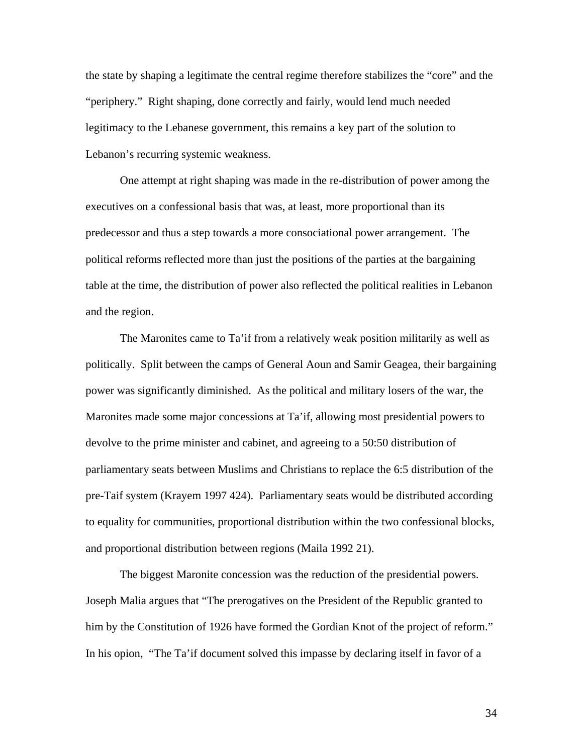the state by shaping a legitimate the central regime therefore stabilizes the "core" and the "periphery." Right shaping, done correctly and fairly, would lend much needed legitimacy to the Lebanese government, this remains a key part of the solution to Lebanon's recurring systemic weakness.

One attempt at right shaping was made in the re-distribution of power among the executives on a confessional basis that was, at least, more proportional than its predecessor and thus a step towards a more consociational power arrangement. The political reforms reflected more than just the positions of the parties at the bargaining table at the time, the distribution of power also reflected the political realities in Lebanon and the region.

The Maronites came to Ta'if from a relatively weak position militarily as well as politically. Split between the camps of General Aoun and Samir Geagea, their bargaining power was significantly diminished. As the political and military losers of the war, the Maronites made some major concessions at Ta'if, allowing most presidential powers to devolve to the prime minister and cabinet, and agreeing to a 50:50 distribution of parliamentary seats between Muslims and Christians to replace the 6:5 distribution of the pre-Taif system (Krayem 1997 424). Parliamentary seats would be distributed according to equality for communities, proportional distribution within the two confessional blocks, and proportional distribution between regions (Maila 1992 21).

 The biggest Maronite concession was the reduction of the presidential powers. Joseph Malia argues that "The prerogatives on the President of the Republic granted to him by the Constitution of 1926 have formed the Gordian Knot of the project of reform." In his opion, "The Ta'if document solved this impasse by declaring itself in favor of a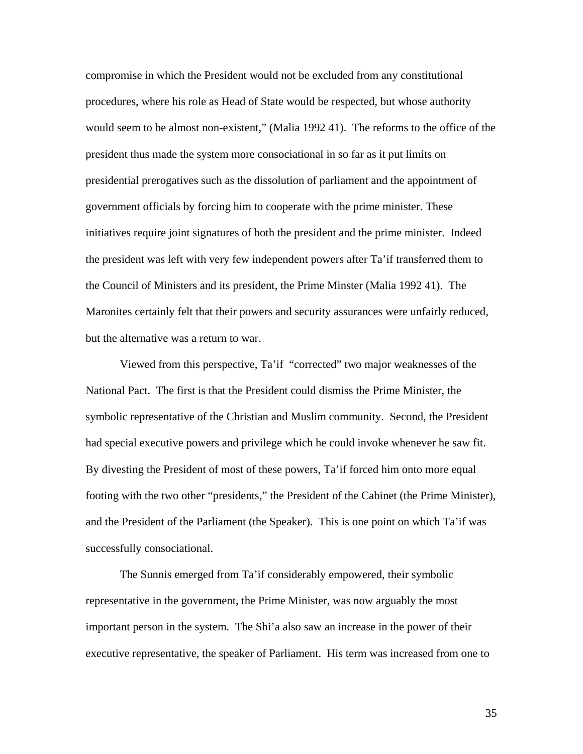compromise in which the President would not be excluded from any constitutional procedures, where his role as Head of State would be respected, but whose authority would seem to be almost non-existent," (Malia 1992 41). The reforms to the office of the president thus made the system more consociational in so far as it put limits on presidential prerogatives such as the dissolution of parliament and the appointment of government officials by forcing him to cooperate with the prime minister. These initiatives require joint signatures of both the president and the prime minister. Indeed the president was left with very few independent powers after Ta'if transferred them to the Council of Ministers and its president, the Prime Minster (Malia 1992 41). The Maronites certainly felt that their powers and security assurances were unfairly reduced, but the alternative was a return to war.

Viewed from this perspective, Ta'if "corrected" two major weaknesses of the National Pact. The first is that the President could dismiss the Prime Minister, the symbolic representative of the Christian and Muslim community. Second, the President had special executive powers and privilege which he could invoke whenever he saw fit. By divesting the President of most of these powers, Ta'if forced him onto more equal footing with the two other "presidents," the President of the Cabinet (the Prime Minister), and the President of the Parliament (the Speaker). This is one point on which Ta'if was successfully consociational.

 The Sunnis emerged from Ta'if considerably empowered, their symbolic representative in the government, the Prime Minister, was now arguably the most important person in the system. The Shi'a also saw an increase in the power of their executive representative, the speaker of Parliament. His term was increased from one to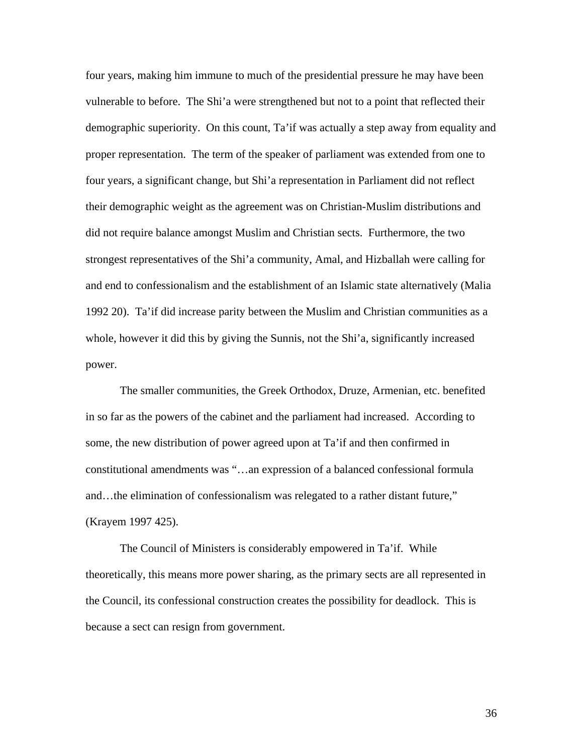four years, making him immune to much of the presidential pressure he may have been vulnerable to before. The Shi'a were strengthened but not to a point that reflected their demographic superiority. On this count, Ta'if was actually a step away from equality and proper representation. The term of the speaker of parliament was extended from one to four years, a significant change, but Shi'a representation in Parliament did not reflect their demographic weight as the agreement was on Christian-Muslim distributions and did not require balance amongst Muslim and Christian sects. Furthermore, the two strongest representatives of the Shi'a community, Amal, and Hizballah were calling for and end to confessionalism and the establishment of an Islamic state alternatively (Malia 1992 20). Ta'if did increase parity between the Muslim and Christian communities as a whole, however it did this by giving the Sunnis, not the Shi'a, significantly increased power.

The smaller communities, the Greek Orthodox, Druze, Armenian, etc. benefited in so far as the powers of the cabinet and the parliament had increased. According to some, the new distribution of power agreed upon at Ta'if and then confirmed in constitutional amendments was "…an expression of a balanced confessional formula and…the elimination of confessionalism was relegated to a rather distant future," (Krayem 1997 425).

The Council of Ministers is considerably empowered in Ta'if. While theoretically, this means more power sharing, as the primary sects are all represented in the Council, its confessional construction creates the possibility for deadlock. This is because a sect can resign from government.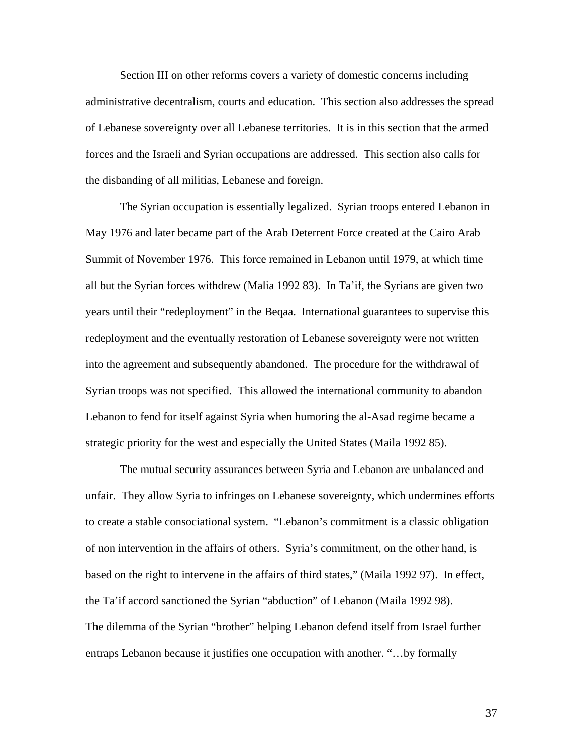Section III on other reforms covers a variety of domestic concerns including administrative decentralism, courts and education. This section also addresses the spread of Lebanese sovereignty over all Lebanese territories. It is in this section that the armed forces and the Israeli and Syrian occupations are addressed. This section also calls for the disbanding of all militias, Lebanese and foreign.

The Syrian occupation is essentially legalized. Syrian troops entered Lebanon in May 1976 and later became part of the Arab Deterrent Force created at the Cairo Arab Summit of November 1976. This force remained in Lebanon until 1979, at which time all but the Syrian forces withdrew (Malia 1992 83). In Ta'if, the Syrians are given two years until their "redeployment" in the Beqaa. International guarantees to supervise this redeployment and the eventually restoration of Lebanese sovereignty were not written into the agreement and subsequently abandoned. The procedure for the withdrawal of Syrian troops was not specified. This allowed the international community to abandon Lebanon to fend for itself against Syria when humoring the al-Asad regime became a strategic priority for the west and especially the United States (Maila 1992 85).

The mutual security assurances between Syria and Lebanon are unbalanced and unfair. They allow Syria to infringes on Lebanese sovereignty, which undermines efforts to create a stable consociational system. "Lebanon's commitment is a classic obligation of non intervention in the affairs of others. Syria's commitment, on the other hand, is based on the right to intervene in the affairs of third states," (Maila 1992 97). In effect, the Ta'if accord sanctioned the Syrian "abduction" of Lebanon (Maila 1992 98). The dilemma of the Syrian "brother" helping Lebanon defend itself from Israel further entraps Lebanon because it justifies one occupation with another. "…by formally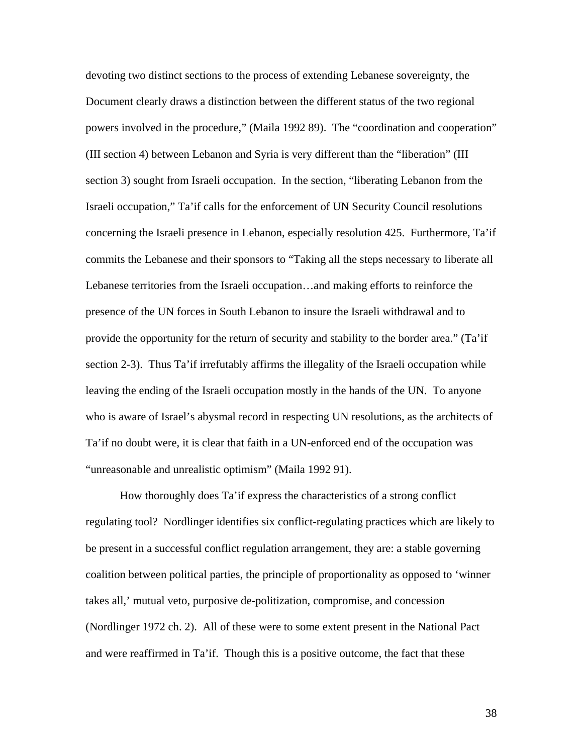devoting two distinct sections to the process of extending Lebanese sovereignty, the Document clearly draws a distinction between the different status of the two regional powers involved in the procedure," (Maila 1992 89). The "coordination and cooperation" (III section 4) between Lebanon and Syria is very different than the "liberation" (III section 3) sought from Israeli occupation. In the section, "liberating Lebanon from the Israeli occupation," Ta'if calls for the enforcement of UN Security Council resolutions concerning the Israeli presence in Lebanon, especially resolution 425. Furthermore, Ta'if commits the Lebanese and their sponsors to "Taking all the steps necessary to liberate all Lebanese territories from the Israeli occupation…and making efforts to reinforce the presence of the UN forces in South Lebanon to insure the Israeli withdrawal and to provide the opportunity for the return of security and stability to the border area." (Ta'if section 2-3). Thus Ta'if irrefutably affirms the illegality of the Israeli occupation while leaving the ending of the Israeli occupation mostly in the hands of the UN. To anyone who is aware of Israel's abysmal record in respecting UN resolutions, as the architects of Ta'if no doubt were, it is clear that faith in a UN-enforced end of the occupation was "unreasonable and unrealistic optimism" (Maila 1992 91).

How thoroughly does Ta'if express the characteristics of a strong conflict regulating tool? Nordlinger identifies six conflict-regulating practices which are likely to be present in a successful conflict regulation arrangement, they are: a stable governing coalition between political parties, the principle of proportionality as opposed to 'winner takes all,' mutual veto, purposive de-politization, compromise, and concession (Nordlinger 1972 ch. 2). All of these were to some extent present in the National Pact and were reaffirmed in Ta'if. Though this is a positive outcome, the fact that these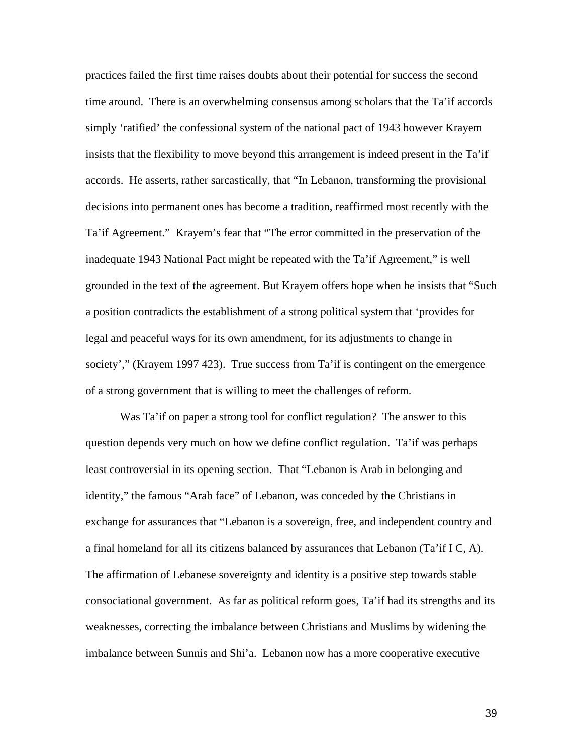practices failed the first time raises doubts about their potential for success the second time around. There is an overwhelming consensus among scholars that the Ta'if accords simply 'ratified' the confessional system of the national pact of 1943 however Krayem insists that the flexibility to move beyond this arrangement is indeed present in the Ta'if accords. He asserts, rather sarcastically, that "In Lebanon, transforming the provisional decisions into permanent ones has become a tradition, reaffirmed most recently with the Ta'if Agreement." Krayem's fear that "The error committed in the preservation of the inadequate 1943 National Pact might be repeated with the Ta'if Agreement," is well grounded in the text of the agreement. But Krayem offers hope when he insists that "Such a position contradicts the establishment of a strong political system that 'provides for legal and peaceful ways for its own amendment, for its adjustments to change in society'," (Krayem 1997 423). True success from Ta'if is contingent on the emergence of a strong government that is willing to meet the challenges of reform.

Was Ta'if on paper a strong tool for conflict regulation? The answer to this question depends very much on how we define conflict regulation. Ta'if was perhaps least controversial in its opening section. That "Lebanon is Arab in belonging and identity," the famous "Arab face" of Lebanon, was conceded by the Christians in exchange for assurances that "Lebanon is a sovereign, free, and independent country and a final homeland for all its citizens balanced by assurances that Lebanon (Ta'if I C, A). The affirmation of Lebanese sovereignty and identity is a positive step towards stable consociational government. As far as political reform goes, Ta'if had its strengths and its weaknesses, correcting the imbalance between Christians and Muslims by widening the imbalance between Sunnis and Shi'a. Lebanon now has a more cooperative executive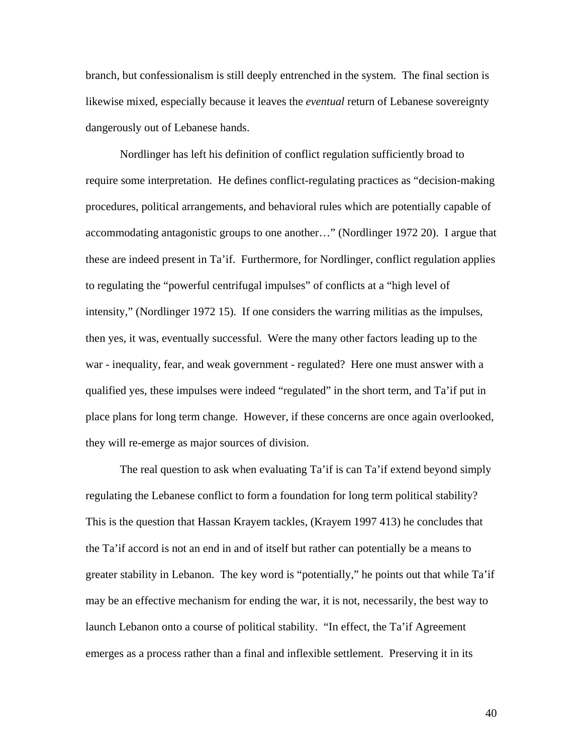branch, but confessionalism is still deeply entrenched in the system. The final section is likewise mixed, especially because it leaves the *eventual* return of Lebanese sovereignty dangerously out of Lebanese hands.

Nordlinger has left his definition of conflict regulation sufficiently broad to require some interpretation. He defines conflict-regulating practices as "decision-making procedures, political arrangements, and behavioral rules which are potentially capable of accommodating antagonistic groups to one another…" (Nordlinger 1972 20). I argue that these are indeed present in Ta'if. Furthermore, for Nordlinger, conflict regulation applies to regulating the "powerful centrifugal impulses" of conflicts at a "high level of intensity," (Nordlinger 1972 15). If one considers the warring militias as the impulses, then yes, it was, eventually successful. Were the many other factors leading up to the war - inequality, fear, and weak government - regulated? Here one must answer with a qualified yes, these impulses were indeed "regulated" in the short term, and Ta'if put in place plans for long term change. However, if these concerns are once again overlooked, they will re-emerge as major sources of division.

The real question to ask when evaluating Ta'if is can Ta'if extend beyond simply regulating the Lebanese conflict to form a foundation for long term political stability? This is the question that Hassan Krayem tackles, (Krayem 1997 413) he concludes that the Ta'if accord is not an end in and of itself but rather can potentially be a means to greater stability in Lebanon. The key word is "potentially," he points out that while Ta'if may be an effective mechanism for ending the war, it is not, necessarily, the best way to launch Lebanon onto a course of political stability. "In effect, the Ta'if Agreement emerges as a process rather than a final and inflexible settlement. Preserving it in its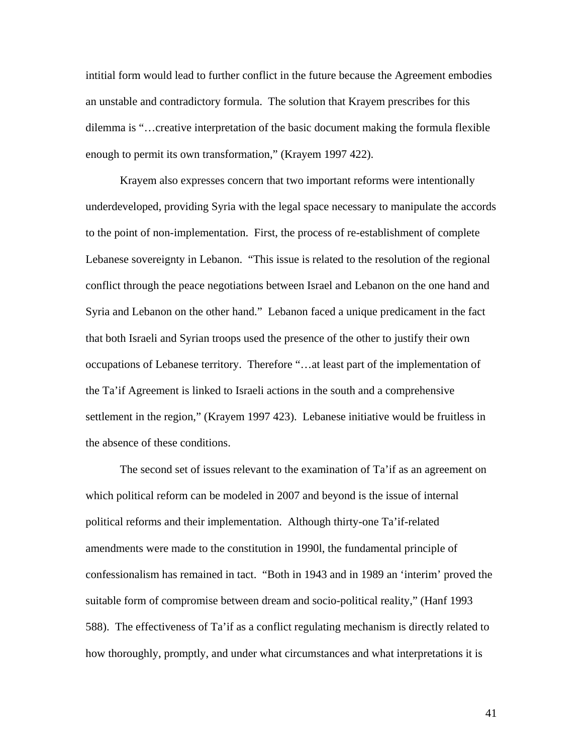intitial form would lead to further conflict in the future because the Agreement embodies an unstable and contradictory formula. The solution that Krayem prescribes for this dilemma is "…creative interpretation of the basic document making the formula flexible enough to permit its own transformation," (Krayem 1997 422).

Krayem also expresses concern that two important reforms were intentionally underdeveloped, providing Syria with the legal space necessary to manipulate the accords to the point of non-implementation. First, the process of re-establishment of complete Lebanese sovereignty in Lebanon. "This issue is related to the resolution of the regional conflict through the peace negotiations between Israel and Lebanon on the one hand and Syria and Lebanon on the other hand." Lebanon faced a unique predicament in the fact that both Israeli and Syrian troops used the presence of the other to justify their own occupations of Lebanese territory. Therefore "…at least part of the implementation of the Ta'if Agreement is linked to Israeli actions in the south and a comprehensive settlement in the region," (Krayem 1997 423). Lebanese initiative would be fruitless in the absence of these conditions.

The second set of issues relevant to the examination of Ta'if as an agreement on which political reform can be modeled in 2007 and beyond is the issue of internal political reforms and their implementation. Although thirty-one Ta'if-related amendments were made to the constitution in 1990l, the fundamental principle of confessionalism has remained in tact. "Both in 1943 and in 1989 an 'interim' proved the suitable form of compromise between dream and socio-political reality," (Hanf 1993 588). The effectiveness of Ta'if as a conflict regulating mechanism is directly related to how thoroughly, promptly, and under what circumstances and what interpretations it is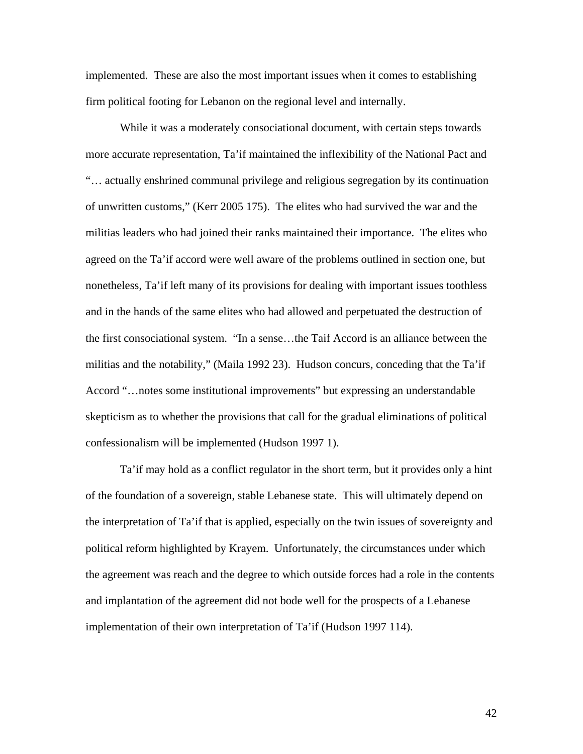implemented. These are also the most important issues when it comes to establishing firm political footing for Lebanon on the regional level and internally.

While it was a moderately consociational document, with certain steps towards more accurate representation, Ta'if maintained the inflexibility of the National Pact and "… actually enshrined communal privilege and religious segregation by its continuation of unwritten customs," (Kerr 2005 175). The elites who had survived the war and the militias leaders who had joined their ranks maintained their importance. The elites who agreed on the Ta'if accord were well aware of the problems outlined in section one, but nonetheless, Ta'if left many of its provisions for dealing with important issues toothless and in the hands of the same elites who had allowed and perpetuated the destruction of the first consociational system. "In a sense…the Taif Accord is an alliance between the militias and the notability," (Maila 1992 23). Hudson concurs, conceding that the Ta'if Accord "…notes some institutional improvements" but expressing an understandable skepticism as to whether the provisions that call for the gradual eliminations of political confessionalism will be implemented (Hudson 1997 1).

Ta'if may hold as a conflict regulator in the short term, but it provides only a hint of the foundation of a sovereign, stable Lebanese state. This will ultimately depend on the interpretation of Ta'if that is applied, especially on the twin issues of sovereignty and political reform highlighted by Krayem. Unfortunately, the circumstances under which the agreement was reach and the degree to which outside forces had a role in the contents and implantation of the agreement did not bode well for the prospects of a Lebanese implementation of their own interpretation of Ta'if (Hudson 1997 114).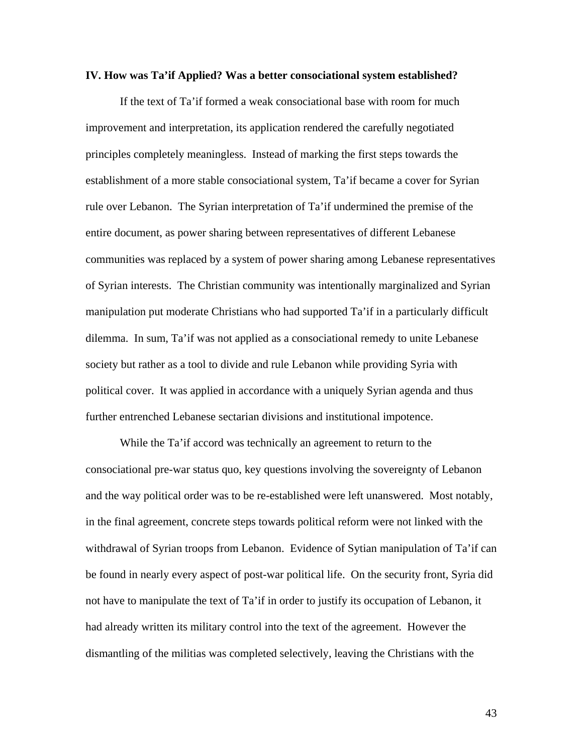## **IV. How was Ta'if Applied? Was a better consociational system established?**

 If the text of Ta'if formed a weak consociational base with room for much improvement and interpretation, its application rendered the carefully negotiated principles completely meaningless. Instead of marking the first steps towards the establishment of a more stable consociational system, Ta'if became a cover for Syrian rule over Lebanon. The Syrian interpretation of Ta'if undermined the premise of the entire document, as power sharing between representatives of different Lebanese communities was replaced by a system of power sharing among Lebanese representatives of Syrian interests. The Christian community was intentionally marginalized and Syrian manipulation put moderate Christians who had supported Ta'if in a particularly difficult dilemma. In sum, Ta'if was not applied as a consociational remedy to unite Lebanese society but rather as a tool to divide and rule Lebanon while providing Syria with political cover. It was applied in accordance with a uniquely Syrian agenda and thus further entrenched Lebanese sectarian divisions and institutional impotence.

 While the Ta'if accord was technically an agreement to return to the consociational pre-war status quo, key questions involving the sovereignty of Lebanon and the way political order was to be re-established were left unanswered. Most notably, in the final agreement, concrete steps towards political reform were not linked with the withdrawal of Syrian troops from Lebanon. Evidence of Sytian manipulation of Ta'if can be found in nearly every aspect of post-war political life. On the security front, Syria did not have to manipulate the text of Ta'if in order to justify its occupation of Lebanon, it had already written its military control into the text of the agreement. However the dismantling of the militias was completed selectively, leaving the Christians with the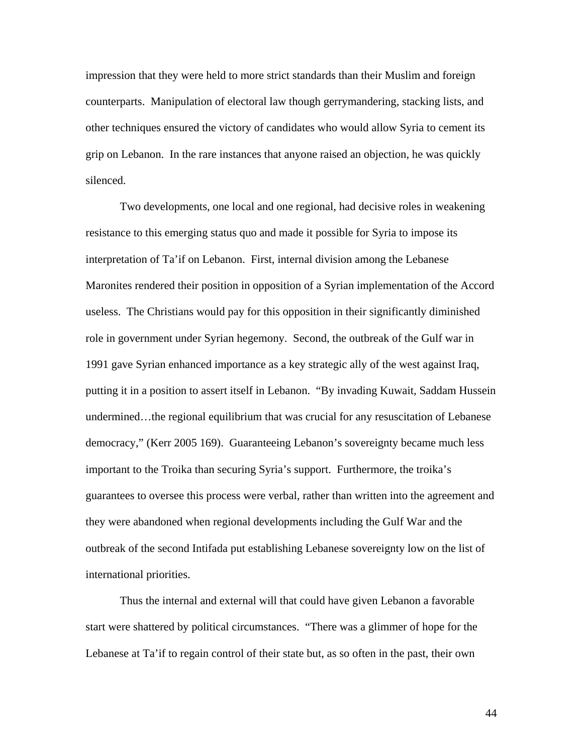impression that they were held to more strict standards than their Muslim and foreign counterparts. Manipulation of electoral law though gerrymandering, stacking lists, and other techniques ensured the victory of candidates who would allow Syria to cement its grip on Lebanon. In the rare instances that anyone raised an objection, he was quickly silenced.

Two developments, one local and one regional, had decisive roles in weakening resistance to this emerging status quo and made it possible for Syria to impose its interpretation of Ta'if on Lebanon. First, internal division among the Lebanese Maronites rendered their position in opposition of a Syrian implementation of the Accord useless. The Christians would pay for this opposition in their significantly diminished role in government under Syrian hegemony. Second, the outbreak of the Gulf war in 1991 gave Syrian enhanced importance as a key strategic ally of the west against Iraq, putting it in a position to assert itself in Lebanon. "By invading Kuwait, Saddam Hussein undermined…the regional equilibrium that was crucial for any resuscitation of Lebanese democracy," (Kerr 2005 169). Guaranteeing Lebanon's sovereignty became much less important to the Troika than securing Syria's support. Furthermore, the troika's guarantees to oversee this process were verbal, rather than written into the agreement and they were abandoned when regional developments including the Gulf War and the outbreak of the second Intifada put establishing Lebanese sovereignty low on the list of international priorities.

Thus the internal and external will that could have given Lebanon a favorable start were shattered by political circumstances. "There was a glimmer of hope for the Lebanese at Ta'if to regain control of their state but, as so often in the past, their own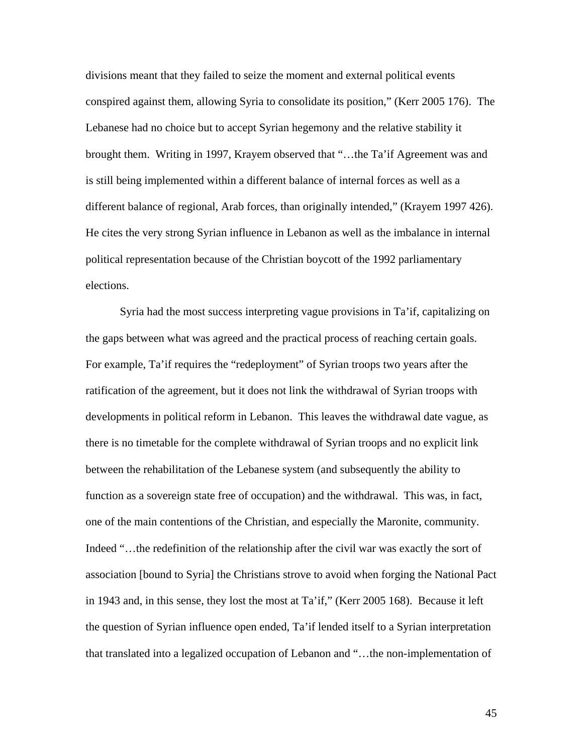divisions meant that they failed to seize the moment and external political events conspired against them, allowing Syria to consolidate its position," (Kerr 2005 176). The Lebanese had no choice but to accept Syrian hegemony and the relative stability it brought them. Writing in 1997, Krayem observed that "…the Ta'if Agreement was and is still being implemented within a different balance of internal forces as well as a different balance of regional, Arab forces, than originally intended," (Krayem 1997 426). He cites the very strong Syrian influence in Lebanon as well as the imbalance in internal political representation because of the Christian boycott of the 1992 parliamentary elections.

Syria had the most success interpreting vague provisions in Ta'if, capitalizing on the gaps between what was agreed and the practical process of reaching certain goals. For example, Ta'if requires the "redeployment" of Syrian troops two years after the ratification of the agreement, but it does not link the withdrawal of Syrian troops with developments in political reform in Lebanon. This leaves the withdrawal date vague, as there is no timetable for the complete withdrawal of Syrian troops and no explicit link between the rehabilitation of the Lebanese system (and subsequently the ability to function as a sovereign state free of occupation) and the withdrawal. This was, in fact, one of the main contentions of the Christian, and especially the Maronite, community. Indeed "…the redefinition of the relationship after the civil war was exactly the sort of association [bound to Syria] the Christians strove to avoid when forging the National Pact in 1943 and, in this sense, they lost the most at Ta'if," (Kerr 2005 168). Because it left the question of Syrian influence open ended, Ta'if lended itself to a Syrian interpretation that translated into a legalized occupation of Lebanon and "…the non-implementation of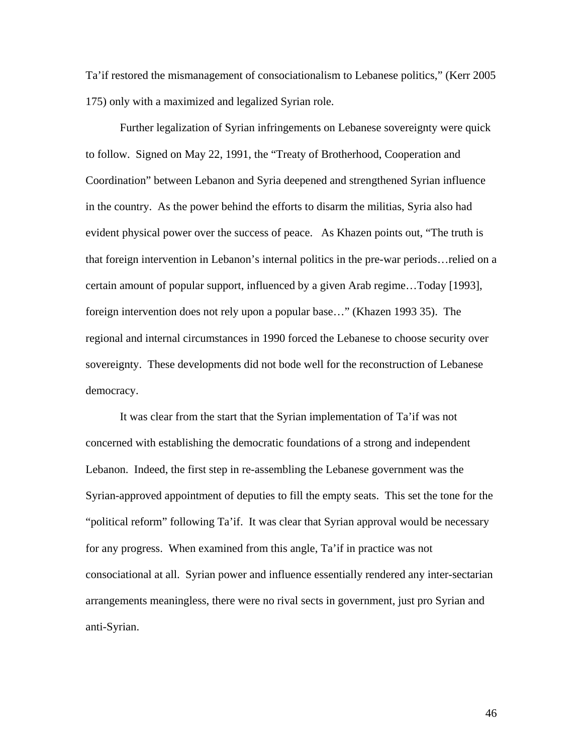Ta'if restored the mismanagement of consociationalism to Lebanese politics," (Kerr 2005 175) only with a maximized and legalized Syrian role.

Further legalization of Syrian infringements on Lebanese sovereignty were quick to follow. Signed on May 22, 1991, the "Treaty of Brotherhood, Cooperation and Coordination" between Lebanon and Syria deepened and strengthened Syrian influence in the country. As the power behind the efforts to disarm the militias, Syria also had evident physical power over the success of peace. As Khazen points out, "The truth is that foreign intervention in Lebanon's internal politics in the pre-war periods…relied on a certain amount of popular support, influenced by a given Arab regime…Today [1993], foreign intervention does not rely upon a popular base…" (Khazen 1993 35). The regional and internal circumstances in 1990 forced the Lebanese to choose security over sovereignty. These developments did not bode well for the reconstruction of Lebanese democracy.

It was clear from the start that the Syrian implementation of Ta'if was not concerned with establishing the democratic foundations of a strong and independent Lebanon. Indeed, the first step in re-assembling the Lebanese government was the Syrian-approved appointment of deputies to fill the empty seats. This set the tone for the "political reform" following Ta'if. It was clear that Syrian approval would be necessary for any progress. When examined from this angle, Ta'if in practice was not consociational at all. Syrian power and influence essentially rendered any inter-sectarian arrangements meaningless, there were no rival sects in government, just pro Syrian and anti-Syrian.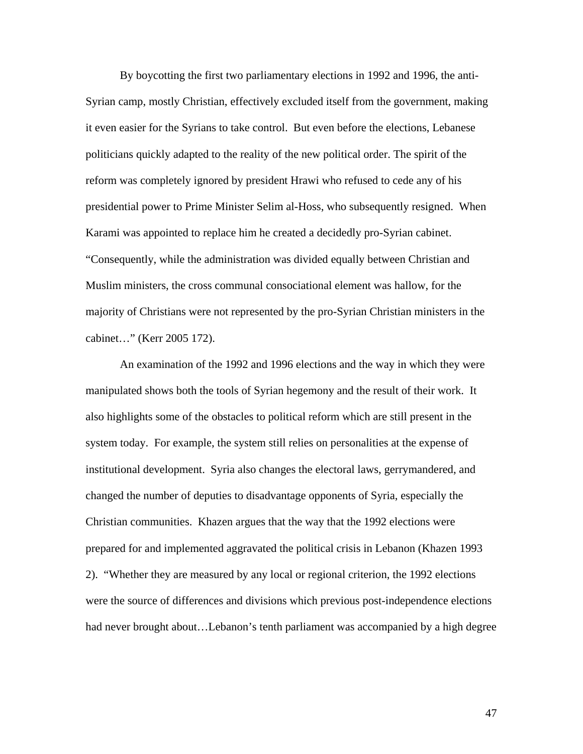By boycotting the first two parliamentary elections in 1992 and 1996, the anti-Syrian camp, mostly Christian, effectively excluded itself from the government, making it even easier for the Syrians to take control. But even before the elections, Lebanese politicians quickly adapted to the reality of the new political order. The spirit of the reform was completely ignored by president Hrawi who refused to cede any of his presidential power to Prime Minister Selim al-Hoss, who subsequently resigned. When Karami was appointed to replace him he created a decidedly pro-Syrian cabinet. "Consequently, while the administration was divided equally between Christian and Muslim ministers, the cross communal consociational element was hallow, for the majority of Christians were not represented by the pro-Syrian Christian ministers in the cabinet…" (Kerr 2005 172).

An examination of the 1992 and 1996 elections and the way in which they were manipulated shows both the tools of Syrian hegemony and the result of their work. It also highlights some of the obstacles to political reform which are still present in the system today. For example, the system still relies on personalities at the expense of institutional development. Syria also changes the electoral laws, gerrymandered, and changed the number of deputies to disadvantage opponents of Syria, especially the Christian communities. Khazen argues that the way that the 1992 elections were prepared for and implemented aggravated the political crisis in Lebanon (Khazen 1993 2). "Whether they are measured by any local or regional criterion, the 1992 elections were the source of differences and divisions which previous post-independence elections had never brought about…Lebanon's tenth parliament was accompanied by a high degree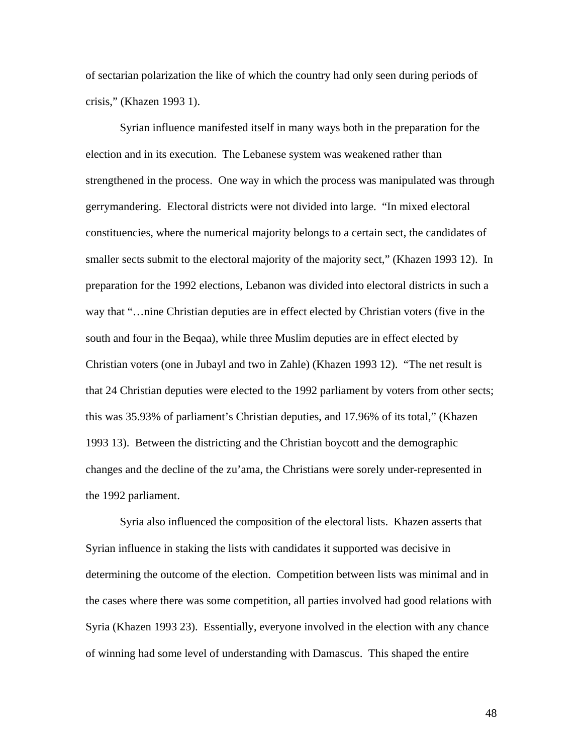of sectarian polarization the like of which the country had only seen during periods of crisis," (Khazen 1993 1).

Syrian influence manifested itself in many ways both in the preparation for the election and in its execution. The Lebanese system was weakened rather than strengthened in the process. One way in which the process was manipulated was through gerrymandering. Electoral districts were not divided into large. "In mixed electoral constituencies, where the numerical majority belongs to a certain sect, the candidates of smaller sects submit to the electoral majority of the majority sect," (Khazen 1993 12). In preparation for the 1992 elections, Lebanon was divided into electoral districts in such a way that "…nine Christian deputies are in effect elected by Christian voters (five in the south and four in the Beqaa), while three Muslim deputies are in effect elected by Christian voters (one in Jubayl and two in Zahle) (Khazen 1993 12). "The net result is that 24 Christian deputies were elected to the 1992 parliament by voters from other sects; this was 35.93% of parliament's Christian deputies, and 17.96% of its total," (Khazen 1993 13). Between the districting and the Christian boycott and the demographic changes and the decline of the zu'ama, the Christians were sorely under-represented in the 1992 parliament.

Syria also influenced the composition of the electoral lists. Khazen asserts that Syrian influence in staking the lists with candidates it supported was decisive in determining the outcome of the election. Competition between lists was minimal and in the cases where there was some competition, all parties involved had good relations with Syria (Khazen 1993 23). Essentially, everyone involved in the election with any chance of winning had some level of understanding with Damascus. This shaped the entire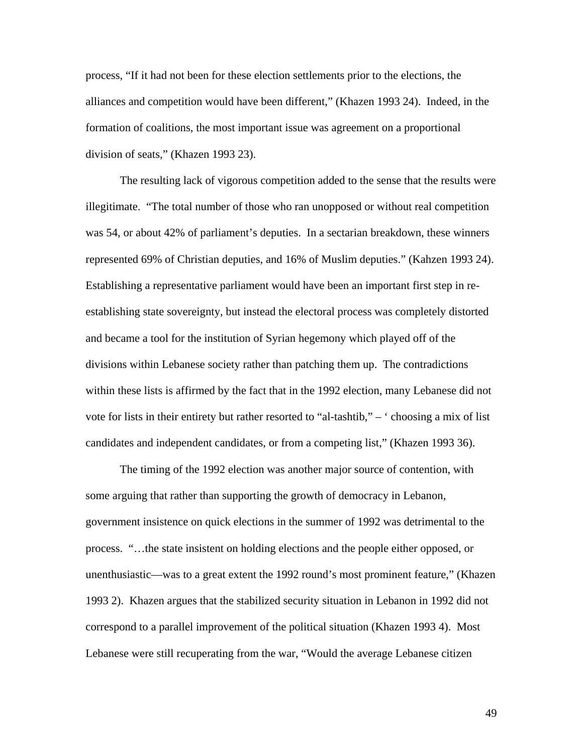process, "If it had not been for these election settlements prior to the elections, the alliances and competition would have been different," (Khazen 1993 24). Indeed, in the formation of coalitions, the most important issue was agreement on a proportional division of seats," (Khazen 1993 23).

The resulting lack of vigorous competition added to the sense that the results were illegitimate. "The total number of those who ran unopposed or without real competition was 54, or about 42% of parliament's deputies. In a sectarian breakdown, these winners represented 69% of Christian deputies, and 16% of Muslim deputies." (Kahzen 1993 24). Establishing a representative parliament would have been an important first step in reestablishing state sovereignty, but instead the electoral process was completely distorted and became a tool for the institution of Syrian hegemony which played off of the divisions within Lebanese society rather than patching them up. The contradictions within these lists is affirmed by the fact that in the 1992 election, many Lebanese did not vote for lists in their entirety but rather resorted to "al-tashtib," – ' choosing a mix of list candidates and independent candidates, or from a competing list," (Khazen 1993 36).

The timing of the 1992 election was another major source of contention, with some arguing that rather than supporting the growth of democracy in Lebanon, government insistence on quick elections in the summer of 1992 was detrimental to the process. "…the state insistent on holding elections and the people either opposed, or unenthusiastic—was to a great extent the 1992 round's most prominent feature," (Khazen 1993 2). Khazen argues that the stabilized security situation in Lebanon in 1992 did not correspond to a parallel improvement of the political situation (Khazen 1993 4). Most Lebanese were still recuperating from the war, "Would the average Lebanese citizen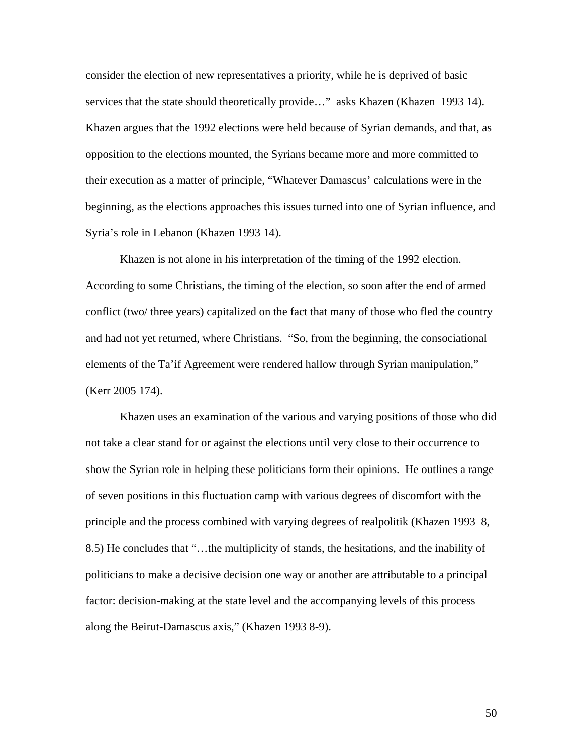consider the election of new representatives a priority, while he is deprived of basic services that the state should theoretically provide…" asks Khazen (Khazen 1993 14). Khazen argues that the 1992 elections were held because of Syrian demands, and that, as opposition to the elections mounted, the Syrians became more and more committed to their execution as a matter of principle, "Whatever Damascus' calculations were in the beginning, as the elections approaches this issues turned into one of Syrian influence, and Syria's role in Lebanon (Khazen 1993 14).

Khazen is not alone in his interpretation of the timing of the 1992 election. According to some Christians, the timing of the election, so soon after the end of armed conflict (two/ three years) capitalized on the fact that many of those who fled the country and had not yet returned, where Christians. "So, from the beginning, the consociational elements of the Ta'if Agreement were rendered hallow through Syrian manipulation," (Kerr 2005 174).

Khazen uses an examination of the various and varying positions of those who did not take a clear stand for or against the elections until very close to their occurrence to show the Syrian role in helping these politicians form their opinions. He outlines a range of seven positions in this fluctuation camp with various degrees of discomfort with the principle and the process combined with varying degrees of realpolitik (Khazen 1993 8, 8.5) He concludes that "…the multiplicity of stands, the hesitations, and the inability of politicians to make a decisive decision one way or another are attributable to a principal factor: decision-making at the state level and the accompanying levels of this process along the Beirut-Damascus axis," (Khazen 1993 8-9).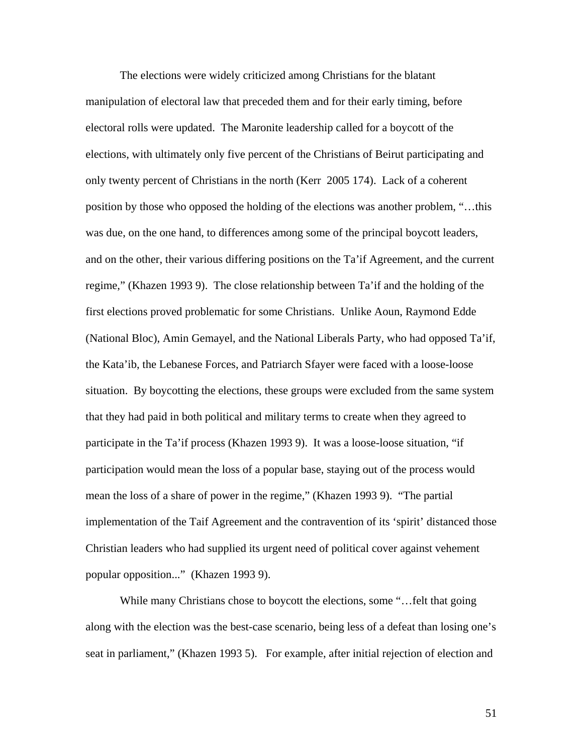The elections were widely criticized among Christians for the blatant manipulation of electoral law that preceded them and for their early timing, before electoral rolls were updated. The Maronite leadership called for a boycott of the elections, with ultimately only five percent of the Christians of Beirut participating and only twenty percent of Christians in the north (Kerr 2005 174). Lack of a coherent position by those who opposed the holding of the elections was another problem, "…this was due, on the one hand, to differences among some of the principal boycott leaders, and on the other, their various differing positions on the Ta'if Agreement, and the current regime," (Khazen 1993 9). The close relationship between Ta'if and the holding of the first elections proved problematic for some Christians. Unlike Aoun, Raymond Edde (National Bloc), Amin Gemayel, and the National Liberals Party, who had opposed Ta'if, the Kata'ib, the Lebanese Forces, and Patriarch Sfayer were faced with a loose-loose situation. By boycotting the elections, these groups were excluded from the same system that they had paid in both political and military terms to create when they agreed to participate in the Ta'if process (Khazen 1993 9). It was a loose-loose situation, "if participation would mean the loss of a popular base, staying out of the process would mean the loss of a share of power in the regime," (Khazen 1993 9). "The partial implementation of the Taif Agreement and the contravention of its 'spirit' distanced those Christian leaders who had supplied its urgent need of political cover against vehement popular opposition..." (Khazen 1993 9).

While many Christians chose to boycott the elections, some "...felt that going along with the election was the best-case scenario, being less of a defeat than losing one's seat in parliament," (Khazen 1993 5). For example, after initial rejection of election and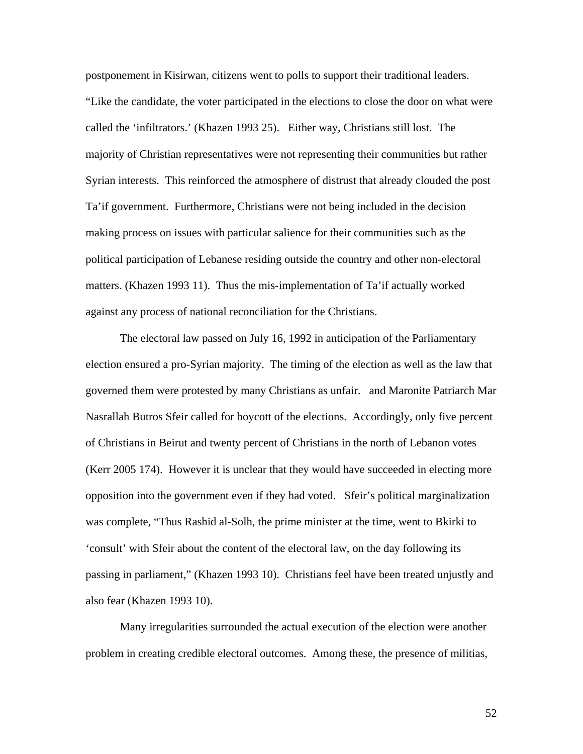postponement in Kisirwan, citizens went to polls to support their traditional leaders. "Like the candidate, the voter participated in the elections to close the door on what were called the 'infiltrators.' (Khazen 1993 25). Either way, Christians still lost. The majority of Christian representatives were not representing their communities but rather Syrian interests. This reinforced the atmosphere of distrust that already clouded the post Ta'if government. Furthermore, Christians were not being included in the decision making process on issues with particular salience for their communities such as the political participation of Lebanese residing outside the country and other non-electoral matters. (Khazen 1993 11). Thus the mis-implementation of Ta'if actually worked against any process of national reconciliation for the Christians.

The electoral law passed on July 16, 1992 in anticipation of the Parliamentary election ensured a pro-Syrian majority. The timing of the election as well as the law that governed them were protested by many Christians as unfair. and Maronite Patriarch Mar Nasrallah Butros Sfeir called for boycott of the elections. Accordingly, only five percent of Christians in Beirut and twenty percent of Christians in the north of Lebanon votes (Kerr 2005 174). However it is unclear that they would have succeeded in electing more opposition into the government even if they had voted. Sfeir's political marginalization was complete, "Thus Rashid al-Solh, the prime minister at the time, went to Bkirki to 'consult' with Sfeir about the content of the electoral law, on the day following its passing in parliament," (Khazen 1993 10). Christians feel have been treated unjustly and also fear (Khazen 1993 10).

Many irregularities surrounded the actual execution of the election were another problem in creating credible electoral outcomes. Among these, the presence of militias,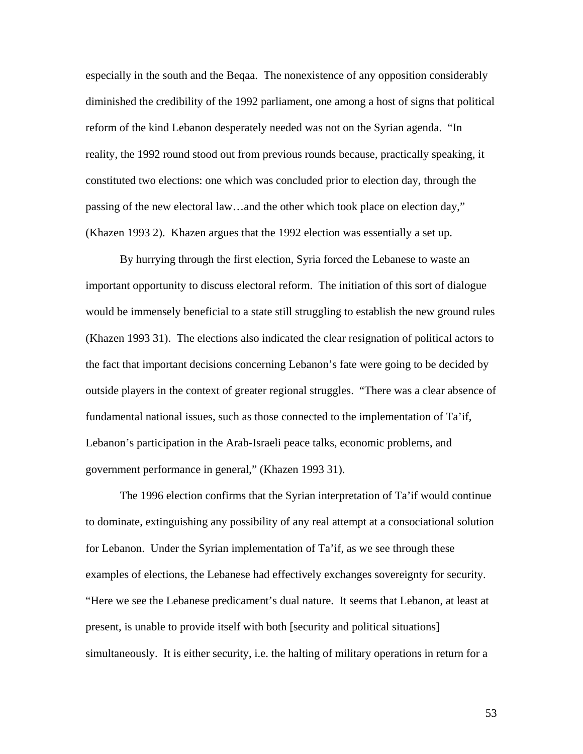especially in the south and the Beqaa. The nonexistence of any opposition considerably diminished the credibility of the 1992 parliament, one among a host of signs that political reform of the kind Lebanon desperately needed was not on the Syrian agenda. "In reality, the 1992 round stood out from previous rounds because, practically speaking, it constituted two elections: one which was concluded prior to election day, through the passing of the new electoral law…and the other which took place on election day," (Khazen 1993 2). Khazen argues that the 1992 election was essentially a set up.

By hurrying through the first election, Syria forced the Lebanese to waste an important opportunity to discuss electoral reform. The initiation of this sort of dialogue would be immensely beneficial to a state still struggling to establish the new ground rules (Khazen 1993 31). The elections also indicated the clear resignation of political actors to the fact that important decisions concerning Lebanon's fate were going to be decided by outside players in the context of greater regional struggles. "There was a clear absence of fundamental national issues, such as those connected to the implementation of Ta'if, Lebanon's participation in the Arab-Israeli peace talks, economic problems, and government performance in general," (Khazen 1993 31).

The 1996 election confirms that the Syrian interpretation of Ta'if would continue to dominate, extinguishing any possibility of any real attempt at a consociational solution for Lebanon. Under the Syrian implementation of Ta'if, as we see through these examples of elections, the Lebanese had effectively exchanges sovereignty for security. "Here we see the Lebanese predicament's dual nature. It seems that Lebanon, at least at present, is unable to provide itself with both [security and political situations] simultaneously. It is either security, i.e. the halting of military operations in return for a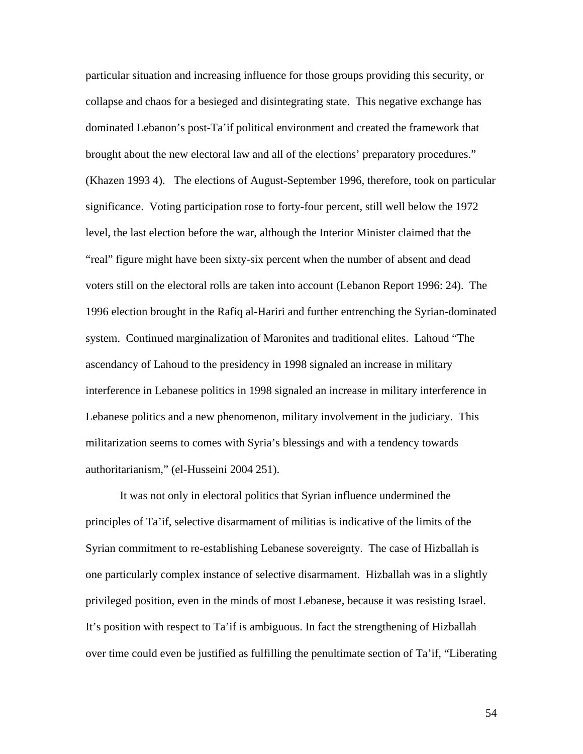particular situation and increasing influence for those groups providing this security, or collapse and chaos for a besieged and disintegrating state. This negative exchange has dominated Lebanon's post-Ta'if political environment and created the framework that brought about the new electoral law and all of the elections' preparatory procedures." (Khazen 1993 4). The elections of August-September 1996, therefore, took on particular significance. Voting participation rose to forty-four percent, still well below the 1972 level, the last election before the war, although the Interior Minister claimed that the "real" figure might have been sixty-six percent when the number of absent and dead voters still on the electoral rolls are taken into account (Lebanon Report 1996: 24). The 1996 election brought in the Rafiq al-Hariri and further entrenching the Syrian-dominated system. Continued marginalization of Maronites and traditional elites. Lahoud "The ascendancy of Lahoud to the presidency in 1998 signaled an increase in military interference in Lebanese politics in 1998 signaled an increase in military interference in Lebanese politics and a new phenomenon, military involvement in the judiciary. This militarization seems to comes with Syria's blessings and with a tendency towards authoritarianism," (el-Husseini 2004 251).

It was not only in electoral politics that Syrian influence undermined the principles of Ta'if, selective disarmament of militias is indicative of the limits of the Syrian commitment to re-establishing Lebanese sovereignty. The case of Hizballah is one particularly complex instance of selective disarmament. Hizballah was in a slightly privileged position, even in the minds of most Lebanese, because it was resisting Israel. It's position with respect to Ta'if is ambiguous. In fact the strengthening of Hizballah over time could even be justified as fulfilling the penultimate section of Ta'if, "Liberating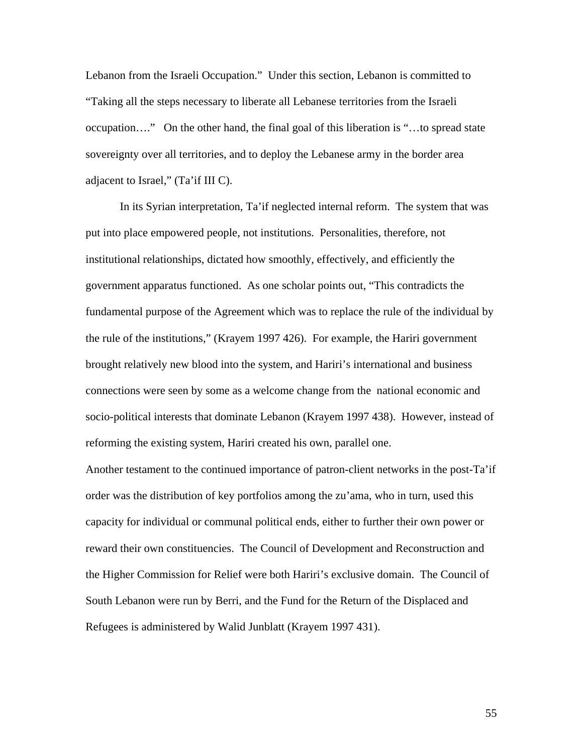Lebanon from the Israeli Occupation." Under this section, Lebanon is committed to "Taking all the steps necessary to liberate all Lebanese territories from the Israeli occupation…." On the other hand, the final goal of this liberation is "…to spread state sovereignty over all territories, and to deploy the Lebanese army in the border area adjacent to Israel," (Ta'if III C).

In its Syrian interpretation, Ta'if neglected internal reform. The system that was put into place empowered people, not institutions. Personalities, therefore, not institutional relationships, dictated how smoothly, effectively, and efficiently the government apparatus functioned. As one scholar points out, "This contradicts the fundamental purpose of the Agreement which was to replace the rule of the individual by the rule of the institutions," (Krayem 1997 426). For example, the Hariri government brought relatively new blood into the system, and Hariri's international and business connections were seen by some as a welcome change from the national economic and socio-political interests that dominate Lebanon (Krayem 1997 438). However, instead of reforming the existing system, Hariri created his own, parallel one.

Another testament to the continued importance of patron-client networks in the post-Ta'if order was the distribution of key portfolios among the zu'ama, who in turn, used this capacity for individual or communal political ends, either to further their own power or reward their own constituencies. The Council of Development and Reconstruction and the Higher Commission for Relief were both Hariri's exclusive domain. The Council of South Lebanon were run by Berri, and the Fund for the Return of the Displaced and Refugees is administered by Walid Junblatt (Krayem 1997 431).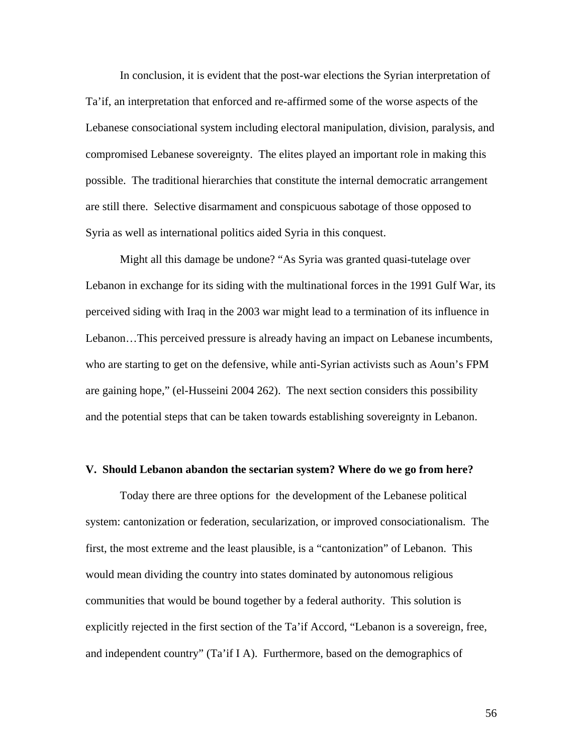In conclusion, it is evident that the post-war elections the Syrian interpretation of Ta'if, an interpretation that enforced and re-affirmed some of the worse aspects of the Lebanese consociational system including electoral manipulation, division, paralysis, and compromised Lebanese sovereignty. The elites played an important role in making this possible. The traditional hierarchies that constitute the internal democratic arrangement are still there. Selective disarmament and conspicuous sabotage of those opposed to Syria as well as international politics aided Syria in this conquest.

Might all this damage be undone? "As Syria was granted quasi-tutelage over Lebanon in exchange for its siding with the multinational forces in the 1991 Gulf War, its perceived siding with Iraq in the 2003 war might lead to a termination of its influence in Lebanon…This perceived pressure is already having an impact on Lebanese incumbents, who are starting to get on the defensive, while anti-Syrian activists such as Aoun's FPM are gaining hope," (el-Husseini 2004 262). The next section considers this possibility and the potential steps that can be taken towards establishing sovereignty in Lebanon.

## **V. Should Lebanon abandon the sectarian system? Where do we go from here?**

 Today there are three options for the development of the Lebanese political system: cantonization or federation, secularization, or improved consociationalism. The first, the most extreme and the least plausible, is a "cantonization" of Lebanon. This would mean dividing the country into states dominated by autonomous religious communities that would be bound together by a federal authority. This solution is explicitly rejected in the first section of the Ta'if Accord, "Lebanon is a sovereign, free, and independent country" (Ta'if I A). Furthermore, based on the demographics of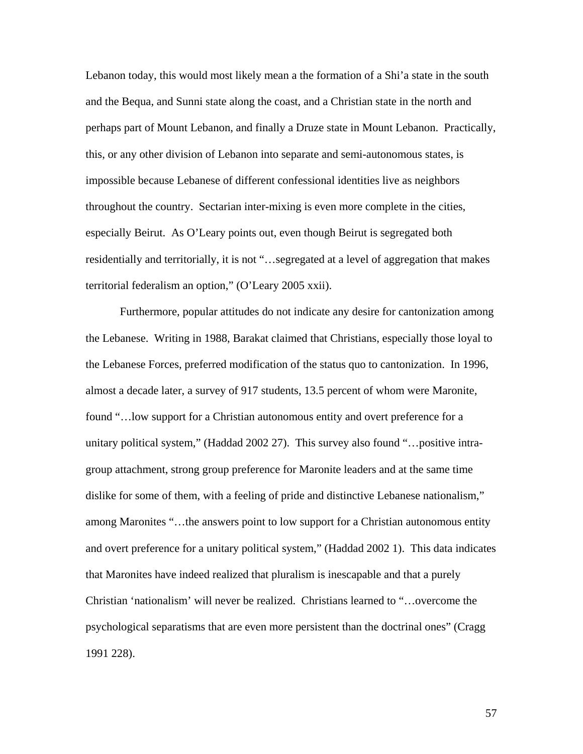Lebanon today, this would most likely mean a the formation of a Shi'a state in the south and the Bequa, and Sunni state along the coast, and a Christian state in the north and perhaps part of Mount Lebanon, and finally a Druze state in Mount Lebanon. Practically, this, or any other division of Lebanon into separate and semi-autonomous states, is impossible because Lebanese of different confessional identities live as neighbors throughout the country. Sectarian inter-mixing is even more complete in the cities, especially Beirut. As O'Leary points out, even though Beirut is segregated both residentially and territorially, it is not "…segregated at a level of aggregation that makes territorial federalism an option," (O'Leary 2005 xxii).

Furthermore, popular attitudes do not indicate any desire for cantonization among the Lebanese. Writing in 1988, Barakat claimed that Christians, especially those loyal to the Lebanese Forces, preferred modification of the status quo to cantonization. In 1996, almost a decade later, a survey of 917 students, 13.5 percent of whom were Maronite, found "…low support for a Christian autonomous entity and overt preference for a unitary political system," (Haddad 2002 27). This survey also found "... positive intragroup attachment, strong group preference for Maronite leaders and at the same time dislike for some of them, with a feeling of pride and distinctive Lebanese nationalism," among Maronites "…the answers point to low support for a Christian autonomous entity and overt preference for a unitary political system," (Haddad 2002 1). This data indicates that Maronites have indeed realized that pluralism is inescapable and that a purely Christian 'nationalism' will never be realized. Christians learned to "…overcome the psychological separatisms that are even more persistent than the doctrinal ones" (Cragg 1991 228).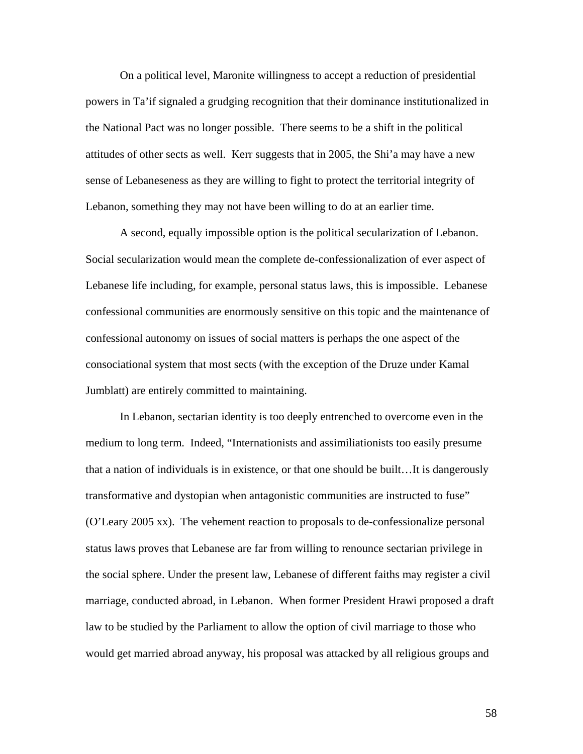On a political level, Maronite willingness to accept a reduction of presidential powers in Ta'if signaled a grudging recognition that their dominance institutionalized in the National Pact was no longer possible. There seems to be a shift in the political attitudes of other sects as well. Kerr suggests that in 2005, the Shi'a may have a new sense of Lebaneseness as they are willing to fight to protect the territorial integrity of Lebanon, something they may not have been willing to do at an earlier time.

 A second, equally impossible option is the political secularization of Lebanon. Social secularization would mean the complete de-confessionalization of ever aspect of Lebanese life including, for example, personal status laws, this is impossible. Lebanese confessional communities are enormously sensitive on this topic and the maintenance of confessional autonomy on issues of social matters is perhaps the one aspect of the consociational system that most sects (with the exception of the Druze under Kamal Jumblatt) are entirely committed to maintaining.

 In Lebanon, sectarian identity is too deeply entrenched to overcome even in the medium to long term. Indeed, "Internationists and assimiliationists too easily presume that a nation of individuals is in existence, or that one should be built…It is dangerously transformative and dystopian when antagonistic communities are instructed to fuse" (O'Leary 2005 xx). The vehement reaction to proposals to de-confessionalize personal status laws proves that Lebanese are far from willing to renounce sectarian privilege in the social sphere. Under the present law, Lebanese of different faiths may register a civil marriage, conducted abroad, in Lebanon. When former President Hrawi proposed a draft law to be studied by the Parliament to allow the option of civil marriage to those who would get married abroad anyway, his proposal was attacked by all religious groups and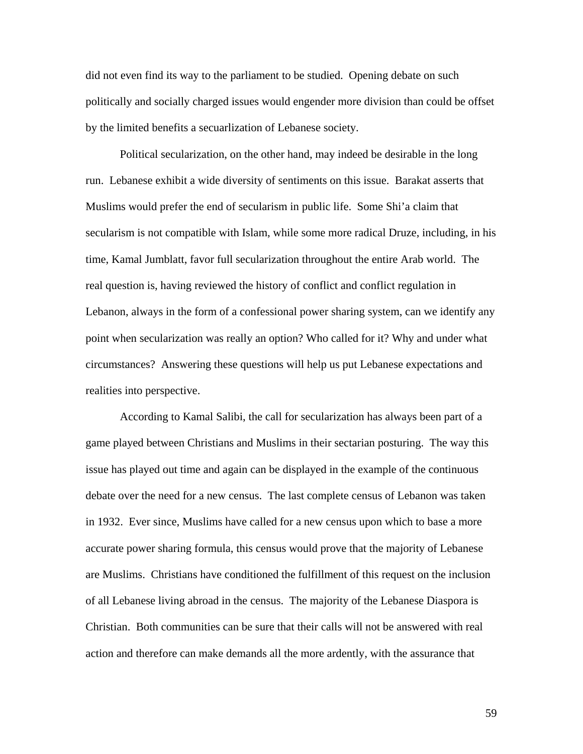did not even find its way to the parliament to be studied. Opening debate on such politically and socially charged issues would engender more division than could be offset by the limited benefits a secuarlization of Lebanese society.

Political secularization, on the other hand, may indeed be desirable in the long run. Lebanese exhibit a wide diversity of sentiments on this issue. Barakat asserts that Muslims would prefer the end of secularism in public life. Some Shi'a claim that secularism is not compatible with Islam, while some more radical Druze, including, in his time, Kamal Jumblatt, favor full secularization throughout the entire Arab world. The real question is, having reviewed the history of conflict and conflict regulation in Lebanon, always in the form of a confessional power sharing system, can we identify any point when secularization was really an option? Who called for it? Why and under what circumstances? Answering these questions will help us put Lebanese expectations and realities into perspective.

According to Kamal Salibi, the call for secularization has always been part of a game played between Christians and Muslims in their sectarian posturing. The way this issue has played out time and again can be displayed in the example of the continuous debate over the need for a new census. The last complete census of Lebanon was taken in 1932. Ever since, Muslims have called for a new census upon which to base a more accurate power sharing formula, this census would prove that the majority of Lebanese are Muslims. Christians have conditioned the fulfillment of this request on the inclusion of all Lebanese living abroad in the census. The majority of the Lebanese Diaspora is Christian. Both communities can be sure that their calls will not be answered with real action and therefore can make demands all the more ardently, with the assurance that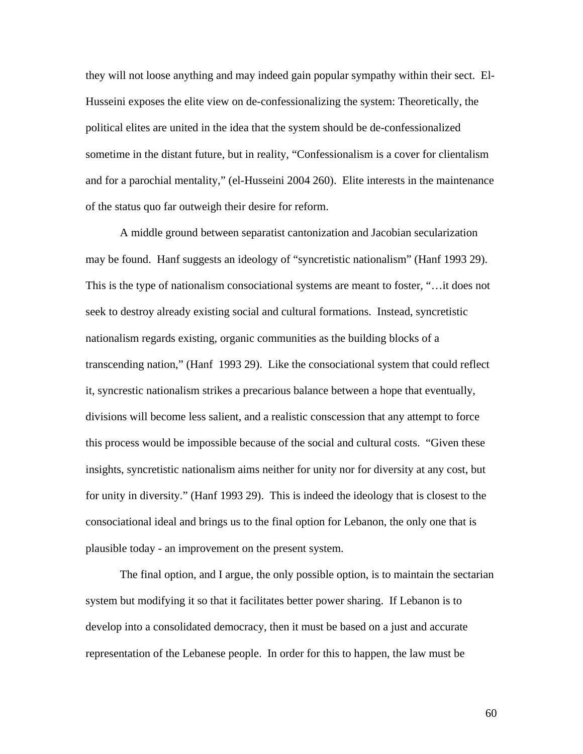they will not loose anything and may indeed gain popular sympathy within their sect. El-Husseini exposes the elite view on de-confessionalizing the system: Theoretically, the political elites are united in the idea that the system should be de-confessionalized sometime in the distant future, but in reality, "Confessionalism is a cover for clientalism and for a parochial mentality," (el-Husseini 2004 260). Elite interests in the maintenance of the status quo far outweigh their desire for reform.

A middle ground between separatist cantonization and Jacobian secularization may be found. Hanf suggests an ideology of "syncretistic nationalism" (Hanf 1993 29). This is the type of nationalism consociational systems are meant to foster, "…it does not seek to destroy already existing social and cultural formations. Instead, syncretistic nationalism regards existing, organic communities as the building blocks of a transcending nation," (Hanf 1993 29). Like the consociational system that could reflect it, syncrestic nationalism strikes a precarious balance between a hope that eventually, divisions will become less salient, and a realistic conscession that any attempt to force this process would be impossible because of the social and cultural costs. "Given these insights, syncretistic nationalism aims neither for unity nor for diversity at any cost, but for unity in diversity." (Hanf 1993 29). This is indeed the ideology that is closest to the consociational ideal and brings us to the final option for Lebanon, the only one that is plausible today - an improvement on the present system.

The final option, and I argue, the only possible option, is to maintain the sectarian system but modifying it so that it facilitates better power sharing. If Lebanon is to develop into a consolidated democracy, then it must be based on a just and accurate representation of the Lebanese people. In order for this to happen, the law must be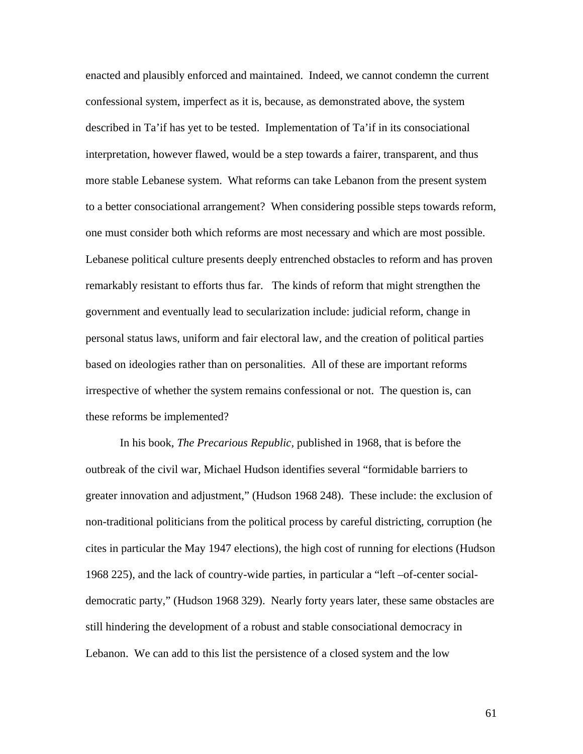enacted and plausibly enforced and maintained. Indeed, we cannot condemn the current confessional system, imperfect as it is, because, as demonstrated above, the system described in Ta'if has yet to be tested. Implementation of Ta'if in its consociational interpretation, however flawed, would be a step towards a fairer, transparent, and thus more stable Lebanese system. What reforms can take Lebanon from the present system to a better consociational arrangement? When considering possible steps towards reform, one must consider both which reforms are most necessary and which are most possible. Lebanese political culture presents deeply entrenched obstacles to reform and has proven remarkably resistant to efforts thus far. The kinds of reform that might strengthen the government and eventually lead to secularization include: judicial reform, change in personal status laws, uniform and fair electoral law, and the creation of political parties based on ideologies rather than on personalities. All of these are important reforms irrespective of whether the system remains confessional or not. The question is, can these reforms be implemented?

In his book, *The Precarious Republic,* published in 1968, that is before the outbreak of the civil war, Michael Hudson identifies several "formidable barriers to greater innovation and adjustment," (Hudson 1968 248). These include: the exclusion of non-traditional politicians from the political process by careful districting, corruption (he cites in particular the May 1947 elections), the high cost of running for elections (Hudson 1968 225), and the lack of country-wide parties, in particular a "left –of-center socialdemocratic party," (Hudson 1968 329). Nearly forty years later, these same obstacles are still hindering the development of a robust and stable consociational democracy in Lebanon. We can add to this list the persistence of a closed system and the low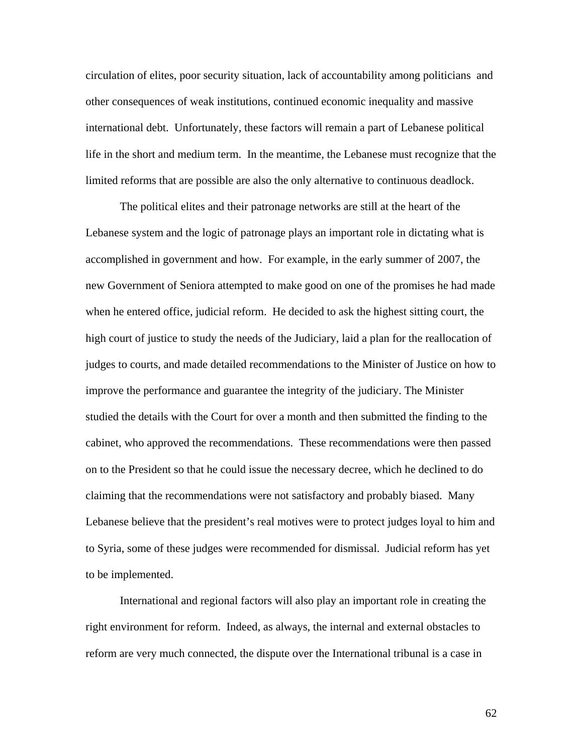circulation of elites, poor security situation, lack of accountability among politicians and other consequences of weak institutions, continued economic inequality and massive international debt. Unfortunately, these factors will remain a part of Lebanese political life in the short and medium term. In the meantime, the Lebanese must recognize that the limited reforms that are possible are also the only alternative to continuous deadlock.

The political elites and their patronage networks are still at the heart of the Lebanese system and the logic of patronage plays an important role in dictating what is accomplished in government and how. For example, in the early summer of 2007, the new Government of Seniora attempted to make good on one of the promises he had made when he entered office, judicial reform. He decided to ask the highest sitting court, the high court of justice to study the needs of the Judiciary, laid a plan for the reallocation of judges to courts, and made detailed recommendations to the Minister of Justice on how to improve the performance and guarantee the integrity of the judiciary. The Minister studied the details with the Court for over a month and then submitted the finding to the cabinet, who approved the recommendations. These recommendations were then passed on to the President so that he could issue the necessary decree, which he declined to do claiming that the recommendations were not satisfactory and probably biased. Many Lebanese believe that the president's real motives were to protect judges loyal to him and to Syria, some of these judges were recommended for dismissal. Judicial reform has yet to be implemented.

International and regional factors will also play an important role in creating the right environment for reform. Indeed, as always, the internal and external obstacles to reform are very much connected, the dispute over the International tribunal is a case in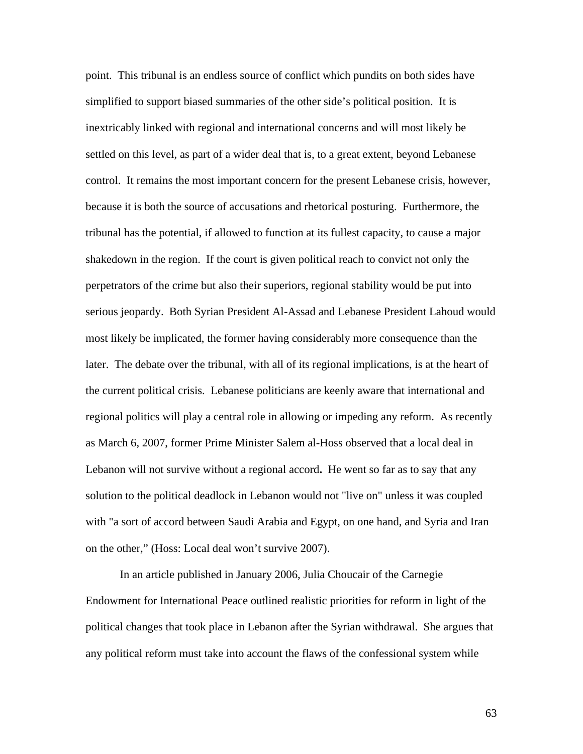point. This tribunal is an endless source of conflict which pundits on both sides have simplified to support biased summaries of the other side's political position. It is inextricably linked with regional and international concerns and will most likely be settled on this level, as part of a wider deal that is, to a great extent, beyond Lebanese control. It remains the most important concern for the present Lebanese crisis, however, because it is both the source of accusations and rhetorical posturing. Furthermore, the tribunal has the potential, if allowed to function at its fullest capacity, to cause a major shakedown in the region. If the court is given political reach to convict not only the perpetrators of the crime but also their superiors, regional stability would be put into serious jeopardy. Both Syrian President Al-Assad and Lebanese President Lahoud would most likely be implicated, the former having considerably more consequence than the later. The debate over the tribunal, with all of its regional implications, is at the heart of the current political crisis. Lebanese politicians are keenly aware that international and regional politics will play a central role in allowing or impeding any reform. As recently as March 6, 2007, former Prime Minister Salem al-Hoss observed that a local deal in Lebanon will not survive without a regional accord**.** He went so far as to say that any solution to the political deadlock in Lebanon would not "live on" unless it was coupled with "a sort of accord between Saudi Arabia and Egypt, on one hand, and Syria and Iran on the other," (Hoss: Local deal won't survive 2007).

In an article published in January 2006, Julia Choucair of the Carnegie Endowment for International Peace outlined realistic priorities for reform in light of the political changes that took place in Lebanon after the Syrian withdrawal. She argues that any political reform must take into account the flaws of the confessional system while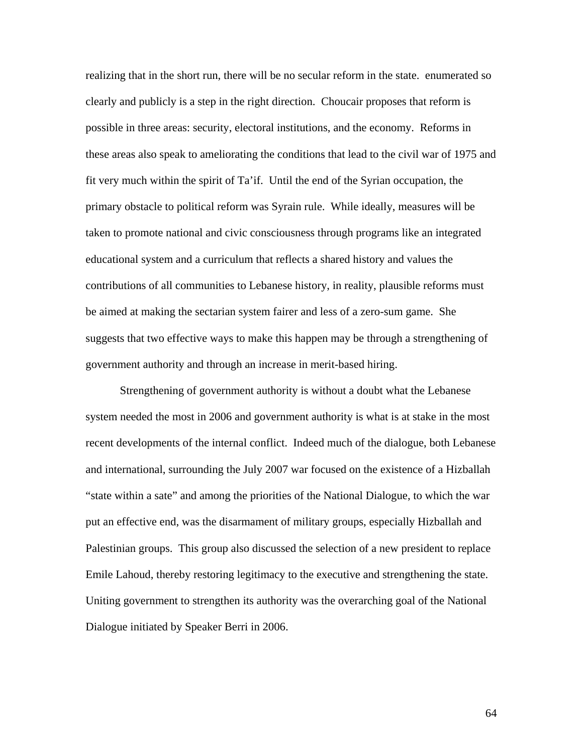realizing that in the short run, there will be no secular reform in the state. enumerated so clearly and publicly is a step in the right direction. Choucair proposes that reform is possible in three areas: security, electoral institutions, and the economy. Reforms in these areas also speak to ameliorating the conditions that lead to the civil war of 1975 and fit very much within the spirit of Ta'if. Until the end of the Syrian occupation, the primary obstacle to political reform was Syrain rule. While ideally, measures will be taken to promote national and civic consciousness through programs like an integrated educational system and a curriculum that reflects a shared history and values the contributions of all communities to Lebanese history, in reality, plausible reforms must be aimed at making the sectarian system fairer and less of a zero-sum game. She suggests that two effective ways to make this happen may be through a strengthening of government authority and through an increase in merit-based hiring.

 Strengthening of government authority is without a doubt what the Lebanese system needed the most in 2006 and government authority is what is at stake in the most recent developments of the internal conflict. Indeed much of the dialogue, both Lebanese and international, surrounding the July 2007 war focused on the existence of a Hizballah "state within a sate" and among the priorities of the National Dialogue, to which the war put an effective end, was the disarmament of military groups, especially Hizballah and Palestinian groups. This group also discussed the selection of a new president to replace Emile Lahoud, thereby restoring legitimacy to the executive and strengthening the state. Uniting government to strengthen its authority was the overarching goal of the National Dialogue initiated by Speaker Berri in 2006.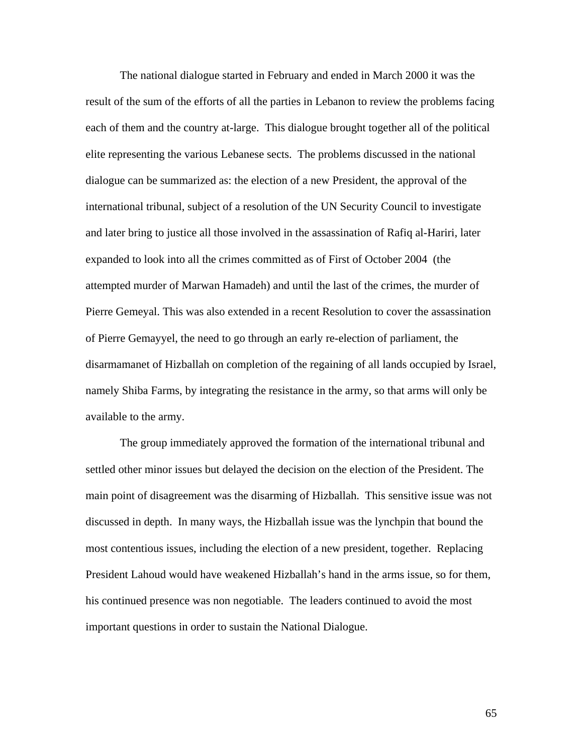The national dialogue started in February and ended in March 2000 it was the result of the sum of the efforts of all the parties in Lebanon to review the problems facing each of them and the country at-large. This dialogue brought together all of the political elite representing the various Lebanese sects. The problems discussed in the national dialogue can be summarized as: the election of a new President, the approval of the international tribunal, subject of a resolution of the UN Security Council to investigate and later bring to justice all those involved in the assassination of Rafiq al-Hariri, later expanded to look into all the crimes committed as of First of October 2004 (the attempted murder of Marwan Hamadeh) and until the last of the crimes, the murder of Pierre Gemeyal. This was also extended in a recent Resolution to cover the assassination of Pierre Gemayyel, the need to go through an early re-election of parliament, the disarmamanet of Hizballah on completion of the regaining of all lands occupied by Israel, namely Shiba Farms, by integrating the resistance in the army, so that arms will only be available to the army.

The group immediately approved the formation of the international tribunal and settled other minor issues but delayed the decision on the election of the President. The main point of disagreement was the disarming of Hizballah. This sensitive issue was not discussed in depth. In many ways, the Hizballah issue was the lynchpin that bound the most contentious issues, including the election of a new president, together. Replacing President Lahoud would have weakened Hizballah's hand in the arms issue, so for them, his continued presence was non negotiable. The leaders continued to avoid the most important questions in order to sustain the National Dialogue.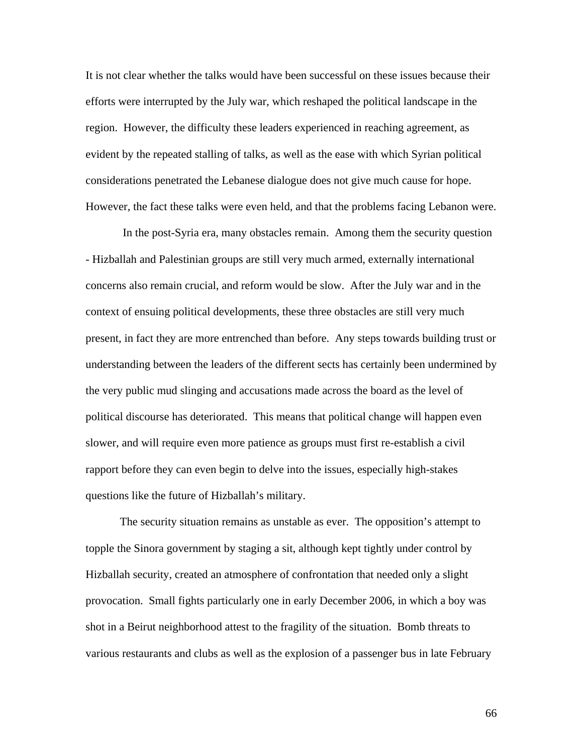It is not clear whether the talks would have been successful on these issues because their efforts were interrupted by the July war, which reshaped the political landscape in the region. However, the difficulty these leaders experienced in reaching agreement, as evident by the repeated stalling of talks, as well as the ease with which Syrian political considerations penetrated the Lebanese dialogue does not give much cause for hope. However, the fact these talks were even held, and that the problems facing Lebanon were.

 In the post-Syria era, many obstacles remain. Among them the security question - Hizballah and Palestinian groups are still very much armed, externally international concerns also remain crucial, and reform would be slow. After the July war and in the context of ensuing political developments, these three obstacles are still very much present, in fact they are more entrenched than before. Any steps towards building trust or understanding between the leaders of the different sects has certainly been undermined by the very public mud slinging and accusations made across the board as the level of political discourse has deteriorated. This means that political change will happen even slower, and will require even more patience as groups must first re-establish a civil rapport before they can even begin to delve into the issues, especially high-stakes questions like the future of Hizballah's military.

The security situation remains as unstable as ever. The opposition's attempt to topple the Sinora government by staging a sit, although kept tightly under control by Hizballah security, created an atmosphere of confrontation that needed only a slight provocation. Small fights particularly one in early December 2006, in which a boy was shot in a Beirut neighborhood attest to the fragility of the situation. Bomb threats to various restaurants and clubs as well as the explosion of a passenger bus in late February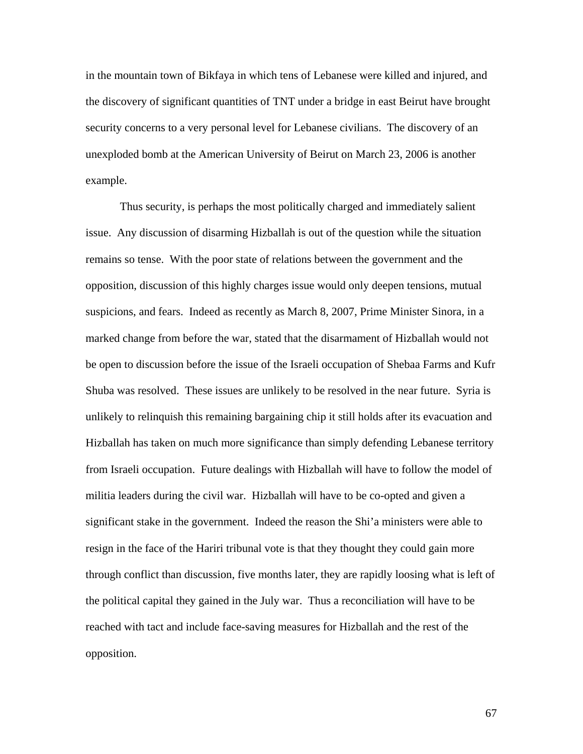in the mountain town of Bikfaya in which tens of Lebanese were killed and injured, and the discovery of significant quantities of TNT under a bridge in east Beirut have brought security concerns to a very personal level for Lebanese civilians. The discovery of an unexploded bomb at the American University of Beirut on March 23, 2006 is another example.

Thus security, is perhaps the most politically charged and immediately salient issue. Any discussion of disarming Hizballah is out of the question while the situation remains so tense. With the poor state of relations between the government and the opposition, discussion of this highly charges issue would only deepen tensions, mutual suspicions, and fears. Indeed as recently as March 8, 2007, Prime Minister Sinora, in a marked change from before the war, stated that the disarmament of Hizballah would not be open to discussion before the issue of the Israeli occupation of Shebaa Farms and Kufr Shuba was resolved. These issues are unlikely to be resolved in the near future. Syria is unlikely to relinquish this remaining bargaining chip it still holds after its evacuation and Hizballah has taken on much more significance than simply defending Lebanese territory from Israeli occupation. Future dealings with Hizballah will have to follow the model of militia leaders during the civil war. Hizballah will have to be co-opted and given a significant stake in the government. Indeed the reason the Shi'a ministers were able to resign in the face of the Hariri tribunal vote is that they thought they could gain more through conflict than discussion, five months later, they are rapidly loosing what is left of the political capital they gained in the July war. Thus a reconciliation will have to be reached with tact and include face-saving measures for Hizballah and the rest of the opposition.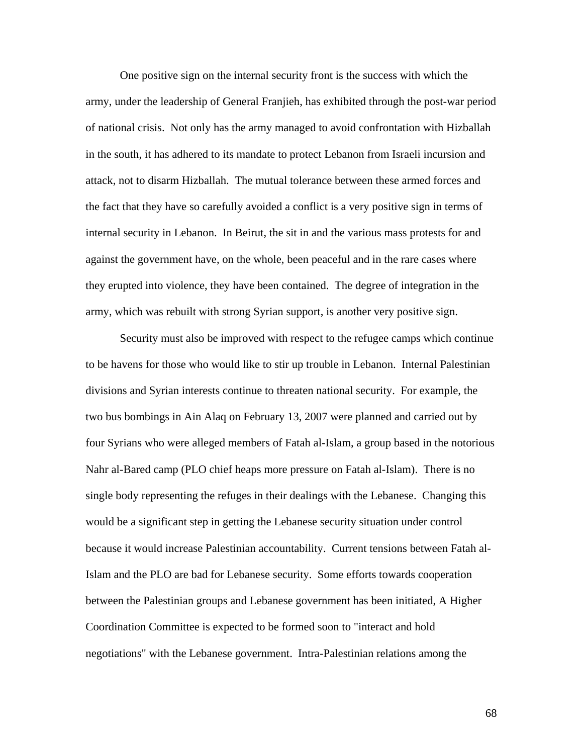One positive sign on the internal security front is the success with which the army, under the leadership of General Franjieh, has exhibited through the post-war period of national crisis. Not only has the army managed to avoid confrontation with Hizballah in the south, it has adhered to its mandate to protect Lebanon from Israeli incursion and attack, not to disarm Hizballah. The mutual tolerance between these armed forces and the fact that they have so carefully avoided a conflict is a very positive sign in terms of internal security in Lebanon. In Beirut, the sit in and the various mass protests for and against the government have, on the whole, been peaceful and in the rare cases where they erupted into violence, they have been contained. The degree of integration in the army, which was rebuilt with strong Syrian support, is another very positive sign.

Security must also be improved with respect to the refugee camps which continue to be havens for those who would like to stir up trouble in Lebanon. Internal Palestinian divisions and Syrian interests continue to threaten national security. For example, the two bus bombings in Ain Alaq on February 13, 2007 were planned and carried out by four Syrians who were alleged members of Fatah al-Islam, a group based in the notorious Nahr al-Bared camp (PLO chief heaps more pressure on Fatah al-Islam). There is no single body representing the refuges in their dealings with the Lebanese. Changing this would be a significant step in getting the Lebanese security situation under control because it would increase Palestinian accountability. Current tensions between Fatah al-Islam and the PLO are bad for Lebanese security. Some efforts towards cooperation between the Palestinian groups and Lebanese government has been initiated, A Higher Coordination Committee is expected to be formed soon to "interact and hold negotiations" with the Lebanese government. Intra-Palestinian relations among the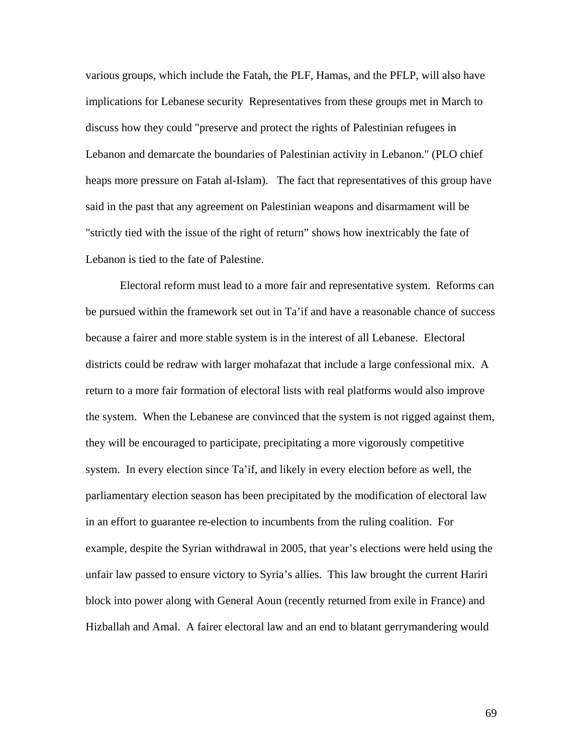various groups, which include the Fatah, the PLF, Hamas, and the PFLP, will also have implications for Lebanese security Representatives from these groups met in March to discuss how they could "preserve and protect the rights of Palestinian refugees in Lebanon and demarcate the boundaries of Palestinian activity in Lebanon." (PLO chief heaps more pressure on Fatah al-Islam). The fact that representatives of this group have said in the past that any agreement on Palestinian weapons and disarmament will be "strictly tied with the issue of the right of return" shows how inextricably the fate of Lebanon is tied to the fate of Palestine.

Electoral reform must lead to a more fair and representative system. Reforms can be pursued within the framework set out in Ta'if and have a reasonable chance of success because a fairer and more stable system is in the interest of all Lebanese. Electoral districts could be redraw with larger mohafazat that include a large confessional mix. A return to a more fair formation of electoral lists with real platforms would also improve the system. When the Lebanese are convinced that the system is not rigged against them, they will be encouraged to participate, precipitating a more vigorously competitive system. In every election since Ta'if, and likely in every election before as well, the parliamentary election season has been precipitated by the modification of electoral law in an effort to guarantee re-election to incumbents from the ruling coalition. For example, despite the Syrian withdrawal in 2005, that year's elections were held using the unfair law passed to ensure victory to Syria's allies. This law brought the current Hariri block into power along with General Aoun (recently returned from exile in France) and Hizballah and Amal. A fairer electoral law and an end to blatant gerrymandering would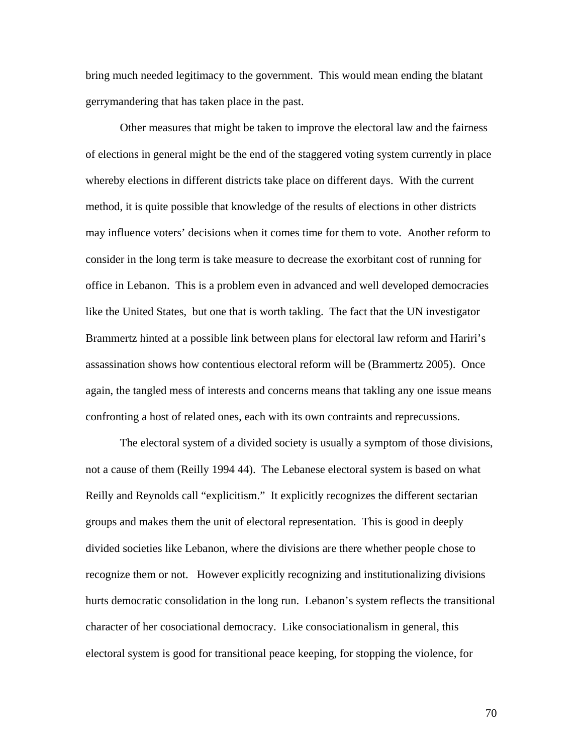bring much needed legitimacy to the government. This would mean ending the blatant gerrymandering that has taken place in the past.

Other measures that might be taken to improve the electoral law and the fairness of elections in general might be the end of the staggered voting system currently in place whereby elections in different districts take place on different days. With the current method, it is quite possible that knowledge of the results of elections in other districts may influence voters' decisions when it comes time for them to vote. Another reform to consider in the long term is take measure to decrease the exorbitant cost of running for office in Lebanon. This is a problem even in advanced and well developed democracies like the United States, but one that is worth takling. The fact that the UN investigator Brammertz hinted at a possible link between plans for electoral law reform and Hariri's assassination shows how contentious electoral reform will be (Brammertz 2005). Once again, the tangled mess of interests and concerns means that takling any one issue means confronting a host of related ones, each with its own contraints and reprecussions.

The electoral system of a divided society is usually a symptom of those divisions, not a cause of them (Reilly 1994 44). The Lebanese electoral system is based on what Reilly and Reynolds call "explicitism." It explicitly recognizes the different sectarian groups and makes them the unit of electoral representation. This is good in deeply divided societies like Lebanon, where the divisions are there whether people chose to recognize them or not. However explicitly recognizing and institutionalizing divisions hurts democratic consolidation in the long run. Lebanon's system reflects the transitional character of her cosociational democracy. Like consociationalism in general, this electoral system is good for transitional peace keeping, for stopping the violence, for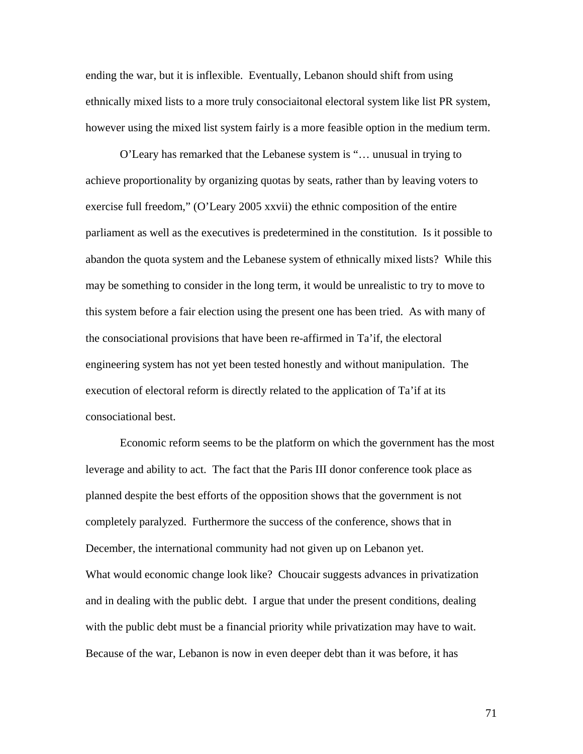ending the war, but it is inflexible. Eventually, Lebanon should shift from using ethnically mixed lists to a more truly consociaitonal electoral system like list PR system, however using the mixed list system fairly is a more feasible option in the medium term.

O'Leary has remarked that the Lebanese system is "… unusual in trying to achieve proportionality by organizing quotas by seats, rather than by leaving voters to exercise full freedom," (O'Leary 2005 xxvii) the ethnic composition of the entire parliament as well as the executives is predetermined in the constitution. Is it possible to abandon the quota system and the Lebanese system of ethnically mixed lists? While this may be something to consider in the long term, it would be unrealistic to try to move to this system before a fair election using the present one has been tried. As with many of the consociational provisions that have been re-affirmed in Ta'if, the electoral engineering system has not yet been tested honestly and without manipulation. The execution of electoral reform is directly related to the application of Ta'if at its consociational best.

Economic reform seems to be the platform on which the government has the most leverage and ability to act. The fact that the Paris III donor conference took place as planned despite the best efforts of the opposition shows that the government is not completely paralyzed. Furthermore the success of the conference, shows that in December, the international community had not given up on Lebanon yet. What would economic change look like? Choucair suggests advances in privatization and in dealing with the public debt. I argue that under the present conditions, dealing with the public debt must be a financial priority while privatization may have to wait. Because of the war, Lebanon is now in even deeper debt than it was before, it has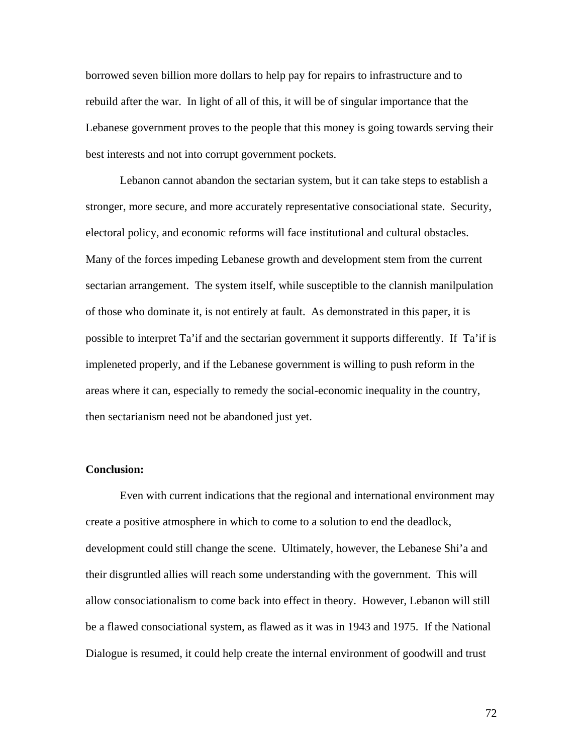borrowed seven billion more dollars to help pay for repairs to infrastructure and to rebuild after the war. In light of all of this, it will be of singular importance that the Lebanese government proves to the people that this money is going towards serving their best interests and not into corrupt government pockets.

Lebanon cannot abandon the sectarian system, but it can take steps to establish a stronger, more secure, and more accurately representative consociational state. Security, electoral policy, and economic reforms will face institutional and cultural obstacles. Many of the forces impeding Lebanese growth and development stem from the current sectarian arrangement. The system itself, while susceptible to the clannish manilpulation of those who dominate it, is not entirely at fault. As demonstrated in this paper, it is possible to interpret Ta'if and the sectarian government it supports differently. If Ta'if is impleneted properly, and if the Lebanese government is willing to push reform in the areas where it can, especially to remedy the social-economic inequality in the country, then sectarianism need not be abandoned just yet.

### **Conclusion:**

Even with current indications that the regional and international environment may create a positive atmosphere in which to come to a solution to end the deadlock, development could still change the scene. Ultimately, however, the Lebanese Shi'a and their disgruntled allies will reach some understanding with the government. This will allow consociationalism to come back into effect in theory. However, Lebanon will still be a flawed consociational system, as flawed as it was in 1943 and 1975. If the National Dialogue is resumed, it could help create the internal environment of goodwill and trust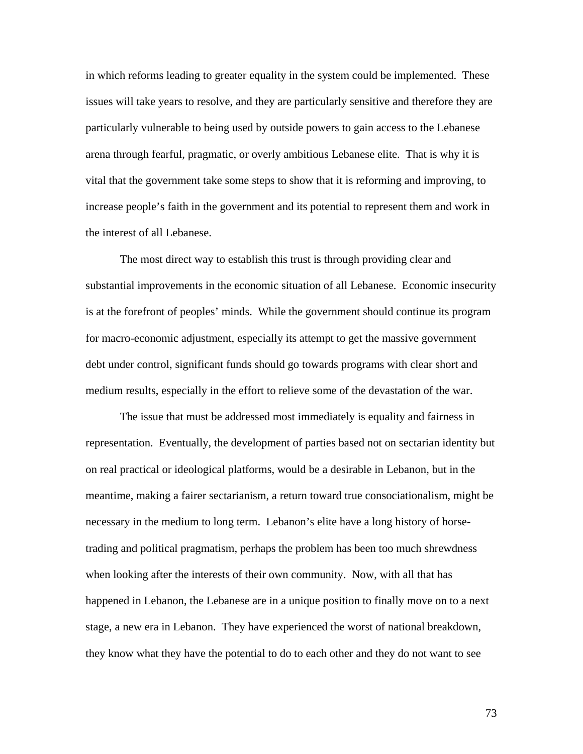in which reforms leading to greater equality in the system could be implemented. These issues will take years to resolve, and they are particularly sensitive and therefore they are particularly vulnerable to being used by outside powers to gain access to the Lebanese arena through fearful, pragmatic, or overly ambitious Lebanese elite. That is why it is vital that the government take some steps to show that it is reforming and improving, to increase people's faith in the government and its potential to represent them and work in the interest of all Lebanese.

The most direct way to establish this trust is through providing clear and substantial improvements in the economic situation of all Lebanese. Economic insecurity is at the forefront of peoples' minds. While the government should continue its program for macro-economic adjustment, especially its attempt to get the massive government debt under control, significant funds should go towards programs with clear short and medium results, especially in the effort to relieve some of the devastation of the war.

The issue that must be addressed most immediately is equality and fairness in representation. Eventually, the development of parties based not on sectarian identity but on real practical or ideological platforms, would be a desirable in Lebanon, but in the meantime, making a fairer sectarianism, a return toward true consociationalism, might be necessary in the medium to long term. Lebanon's elite have a long history of horsetrading and political pragmatism, perhaps the problem has been too much shrewdness when looking after the interests of their own community. Now, with all that has happened in Lebanon, the Lebanese are in a unique position to finally move on to a next stage, a new era in Lebanon. They have experienced the worst of national breakdown, they know what they have the potential to do to each other and they do not want to see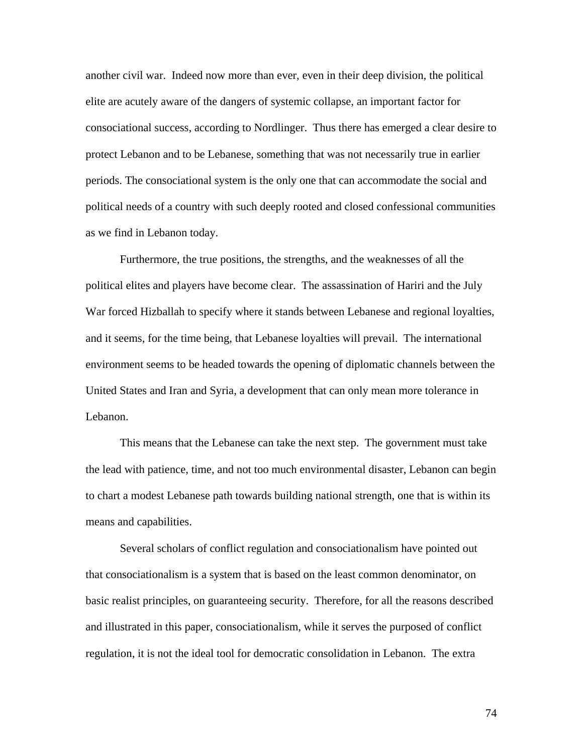another civil war. Indeed now more than ever, even in their deep division, the political elite are acutely aware of the dangers of systemic collapse, an important factor for consociational success, according to Nordlinger. Thus there has emerged a clear desire to protect Lebanon and to be Lebanese, something that was not necessarily true in earlier periods. The consociational system is the only one that can accommodate the social and political needs of a country with such deeply rooted and closed confessional communities as we find in Lebanon today.

Furthermore, the true positions, the strengths, and the weaknesses of all the political elites and players have become clear. The assassination of Hariri and the July War forced Hizballah to specify where it stands between Lebanese and regional loyalties, and it seems, for the time being, that Lebanese loyalties will prevail. The international environment seems to be headed towards the opening of diplomatic channels between the United States and Iran and Syria, a development that can only mean more tolerance in Lebanon.

This means that the Lebanese can take the next step. The government must take the lead with patience, time, and not too much environmental disaster, Lebanon can begin to chart a modest Lebanese path towards building national strength, one that is within its means and capabilities.

Several scholars of conflict regulation and consociationalism have pointed out that consociationalism is a system that is based on the least common denominator, on basic realist principles, on guaranteeing security. Therefore, for all the reasons described and illustrated in this paper, consociationalism, while it serves the purposed of conflict regulation, it is not the ideal tool for democratic consolidation in Lebanon. The extra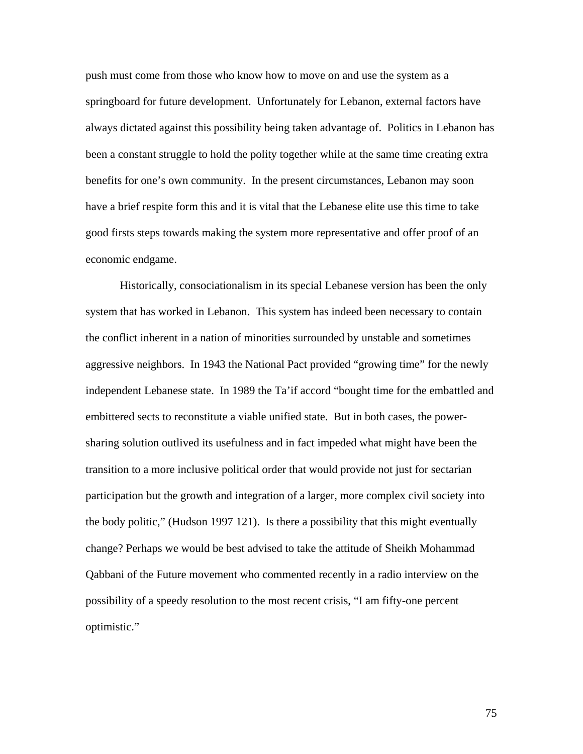push must come from those who know how to move on and use the system as a springboard for future development. Unfortunately for Lebanon, external factors have always dictated against this possibility being taken advantage of. Politics in Lebanon has been a constant struggle to hold the polity together while at the same time creating extra benefits for one's own community. In the present circumstances, Lebanon may soon have a brief respite form this and it is vital that the Lebanese elite use this time to take good firsts steps towards making the system more representative and offer proof of an economic endgame.

Historically, consociationalism in its special Lebanese version has been the only system that has worked in Lebanon. This system has indeed been necessary to contain the conflict inherent in a nation of minorities surrounded by unstable and sometimes aggressive neighbors. In 1943 the National Pact provided "growing time" for the newly independent Lebanese state. In 1989 the Ta'if accord "bought time for the embattled and embittered sects to reconstitute a viable unified state. But in both cases, the powersharing solution outlived its usefulness and in fact impeded what might have been the transition to a more inclusive political order that would provide not just for sectarian participation but the growth and integration of a larger, more complex civil society into the body politic," (Hudson 1997 121). Is there a possibility that this might eventually change? Perhaps we would be best advised to take the attitude of Sheikh Mohammad Qabbani of the Future movement who commented recently in a radio interview on the possibility of a speedy resolution to the most recent crisis, "I am fifty-one percent optimistic."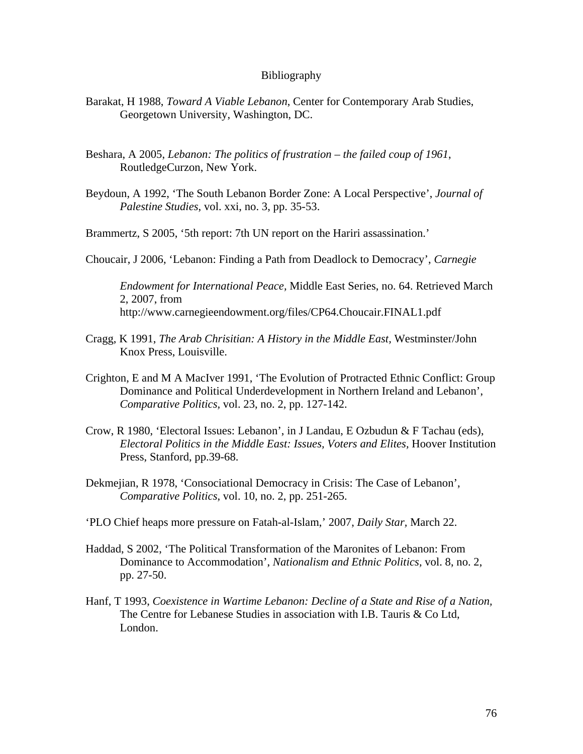#### Bibliography

- Barakat, H 1988, *Toward A Viable Lebanon*, Center for Contemporary Arab Studies, Georgetown University, Washington, DC.
- Beshara, A 2005, *Lebanon: The politics of frustration the failed coup of 1961*, RoutledgeCurzon, New York.
- Beydoun, A 1992, 'The South Lebanon Border Zone: A Local Perspective', *Journal of Palestine Studies*, vol. xxi, no. 3, pp. 35-53.

Brammertz, S 2005, '5th report: 7th UN report on the Hariri assassination.'

Choucair, J 2006, 'Lebanon: Finding a Path from Deadlock to Democracy', *Carnegie*

*Endowment for International Peace,* Middle East Series, no. 64. Retrieved March 2, 2007, from http://www.carnegieendowment.org/files/CP64.Choucair.FINAL1.pdf

- Cragg, K 1991, *The Arab Chrisitian: A History in the Middle East,* Westminster/John Knox Press, Louisville.
- Crighton, E and M A MacIver 1991, 'The Evolution of Protracted Ethnic Conflict: Group Dominance and Political Underdevelopment in Northern Ireland and Lebanon', *Comparative Politics,* vol. 23, no. 2, pp. 127-142.
- Crow, R 1980, 'Electoral Issues: Lebanon', in J Landau, E Ozbudun & F Tachau (eds), *Electoral Politics in the Middle East: Issues, Voters and Elites,* Hoover Institution Press, Stanford, pp.39-68.
- Dekmejian, R 1978, 'Consociational Democracy in Crisis: The Case of Lebanon', *Comparative Politics*, vol. 10, no. 2, pp. 251-265.
- 'PLO Chief heaps more pressure on Fatah-al-Islam,' 2007, *Daily Star,* March 22.
- Haddad, S 2002, 'The Political Transformation of the Maronites of Lebanon: From Dominance to Accommodation', *Nationalism and Ethnic Politics,* vol. 8, no. 2, pp. 27-50.
- Hanf, T 1993, *Coexistence in Wartime Lebanon: Decline of a State and Rise of a Nation,*  The Centre for Lebanese Studies in association with I.B. Tauris & Co Ltd, London.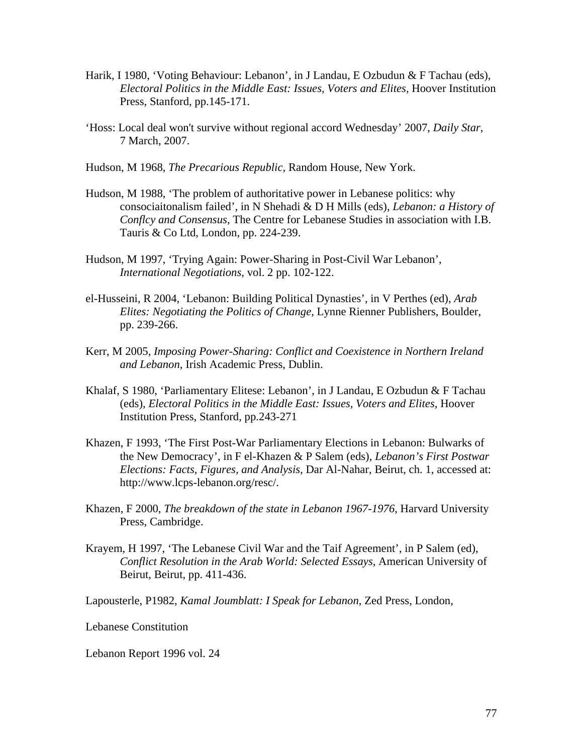- Harik, I 1980, 'Voting Behaviour: Lebanon', in J Landau, E Ozbudun & F Tachau (eds), *Electoral Politics in the Middle East: Issues, Voters and Elites,* Hoover Institution Press, Stanford, pp.145-171.
- 'Hoss: Local deal won't survive without regional accord Wednesday' 2007, *Daily Star*, 7 March, 2007.

Hudson, M 1968, *The Precarious Republic,* Random House, New York.

- Hudson, M 1988, 'The problem of authoritative power in Lebanese politics: why consociaitonalism failed', in N Shehadi & D H Mills (eds), *Lebanon: a History of Conflcy and Consensus*, The Centre for Lebanese Studies in association with I.B. Tauris & Co Ltd, London, pp. 224-239.
- Hudson, M 1997, 'Trying Again: Power-Sharing in Post-Civil War Lebanon', *International Negotiations,* vol. 2 pp. 102-122.
- el-Husseini, R 2004, 'Lebanon: Building Political Dynasties', in V Perthes (ed), *Arab Elites: Negotiating the Politics of Change,* Lynne Rienner Publishers, Boulder, pp. 239-266.
- Kerr, M 2005, *Imposing Power-Sharing: Conflict and Coexistence in Northern Ireland and Lebanon,* Irish Academic Press, Dublin.
- Khalaf, S 1980, 'Parliamentary Elitese: Lebanon', in J Landau, E Ozbudun & F Tachau (eds), *Electoral Politics in the Middle East: Issues, Voters and Elites,* Hoover Institution Press, Stanford, pp.243-271
- Khazen, F 1993, 'The First Post-War Parliamentary Elections in Lebanon: Bulwarks of the New Democracy', in F el-Khazen & P Salem (eds), *Lebanon's First Postwar Elections: Facts, Figures, and Analysis,* Dar Al-Nahar, Beirut, ch. 1, accessed at: http://www.lcps-lebanon.org/resc/.
- Khazen, F 2000, *The breakdown of the state in Lebanon 1967-1976*, Harvard University Press, Cambridge.
- Krayem, H 1997, 'The Lebanese Civil War and the Taif Agreement', in P Salem (ed), *Conflict Resolution in the Arab World: Selected Essays,* American University of Beirut, Beirut, pp. 411-436.

Lapousterle, P1982, *Kamal Joumblatt: I Speak for Lebanon*, Zed Press, London,

Lebanese Constitution

Lebanon Report 1996 vol. 24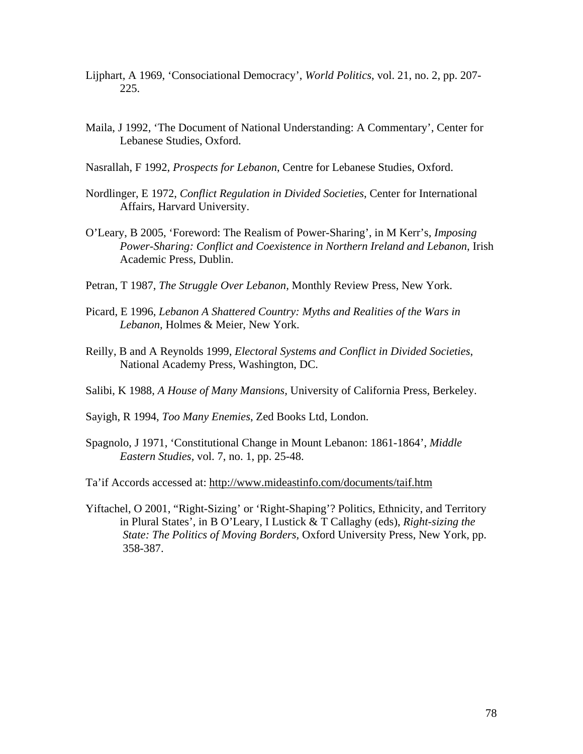- Lijphart, A 1969, 'Consociational Democracy', *World Politics*, vol. 21, no. 2, pp. 207- 225.
- Maila, J 1992, 'The Document of National Understanding: A Commentary', Center for Lebanese Studies, Oxford.
- Nasrallah, F 1992, *Prospects for Lebanon*, Centre for Lebanese Studies, Oxford.
- Nordlinger, E 1972, *Conflict Regulation in Divided Societies*, Center for International Affairs, Harvard University.
- O'Leary, B 2005, 'Foreword: The Realism of Power-Sharing', in M Kerr's, *Imposing Power-Sharing: Conflict and Coexistence in Northern Ireland and Lebanon*, Irish Academic Press, Dublin.
- Petran, T 1987, *The Struggle Over Lebanon,* Monthly Review Press, New York.
- Picard, E 1996, *Lebanon A Shattered Country: Myths and Realities of the Wars in Lebanon,* Holmes & Meier, New York.
- Reilly, B and A Reynolds 1999, *Electoral Systems and Conflict in Divided Societies*, National Academy Press, Washington, DC.
- Salibi, K 1988, *A House of Many Mansions,* University of California Press, Berkeley.
- Sayigh, R 1994, *Too Many Enemies*, Zed Books Ltd, London.
- Spagnolo, J 1971, 'Constitutional Change in Mount Lebanon: 1861-1864', *Middle Eastern Studies,* vol. 7, no. 1, pp. 25-48.
- Ta'if Accords accessed at: <http://www.mideastinfo.com/documents/taif.htm>
- Yiftachel, O 2001, "Right-Sizing' or 'Right-Shaping'? Politics, Ethnicity, and Territory in Plural States', in B O'Leary, I Lustick & T Callaghy (eds), *Right-sizing the State: The Politics of Moving Borders,* Oxford University Press, New York, pp. 358-387.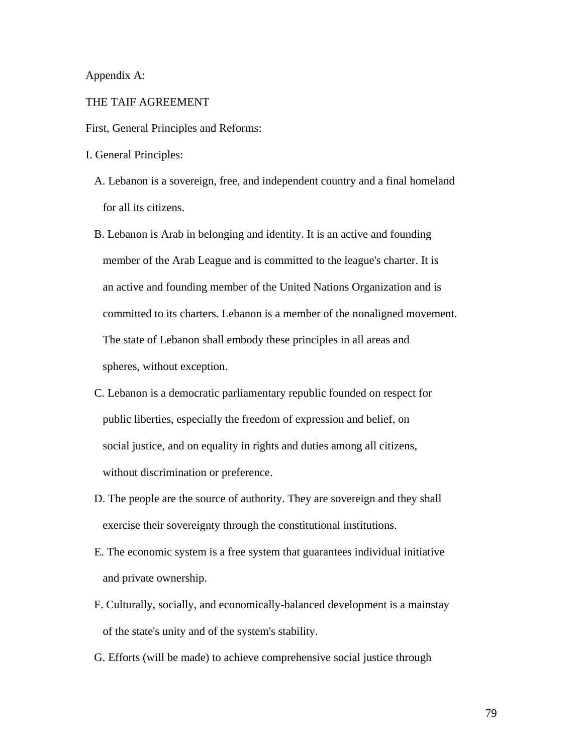Appendix A:

### THE TAIF AGREEMENT

First, General Principles and Reforms:

I. General Principles:

- A. Lebanon is a sovereign, free, and independent country and a final homeland for all its citizens.
- B. Lebanon is Arab in belonging and identity. It is an active and founding member of the Arab League and is committed to the league's charter. It is an active and founding member of the United Nations Organization and is committed to its charters. Lebanon is a member of the nonaligned movement. The state of Lebanon shall embody these principles in all areas and spheres, without exception.
- C. Lebanon is a democratic parliamentary republic founded on respect for public liberties, especially the freedom of expression and belief, on social justice, and on equality in rights and duties among all citizens, without discrimination or preference.
- D. The people are the source of authority. They are sovereign and they shall exercise their sovereignty through the constitutional institutions.
- E. The economic system is a free system that guarantees individual initiative and private ownership.
- F. Culturally, socially, and economically-balanced development is a mainstay of the state's unity and of the system's stability.
- G. Efforts (will be made) to achieve comprehensive social justice through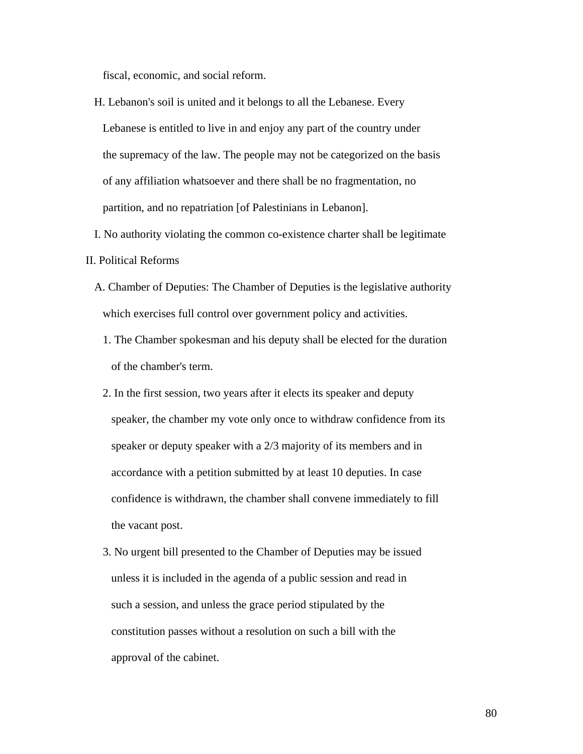fiscal, economic, and social reform.

- H. Lebanon's soil is united and it belongs to all the Lebanese. Every Lebanese is entitled to live in and enjoy any part of the country under the supremacy of the law. The people may not be categorized on the basis of any affiliation whatsoever and there shall be no fragmentation, no partition, and no repatriation [of Palestinians in Lebanon].
- I. No authority violating the common co-existence charter shall be legitimate
- II. Political Reforms
	- A. Chamber of Deputies: The Chamber of Deputies is the legislative authority which exercises full control over government policy and activities.
		- 1. The Chamber spokesman and his deputy shall be elected for the duration of the chamber's term.
		- 2. In the first session, two years after it elects its speaker and deputy speaker, the chamber my vote only once to withdraw confidence from its speaker or deputy speaker with a 2/3 majority of its members and in accordance with a petition submitted by at least 10 deputies. In case confidence is withdrawn, the chamber shall convene immediately to fill the vacant post.
		- 3. No urgent bill presented to the Chamber of Deputies may be issued unless it is included in the agenda of a public session and read in such a session, and unless the grace period stipulated by the constitution passes without a resolution on such a bill with the approval of the cabinet.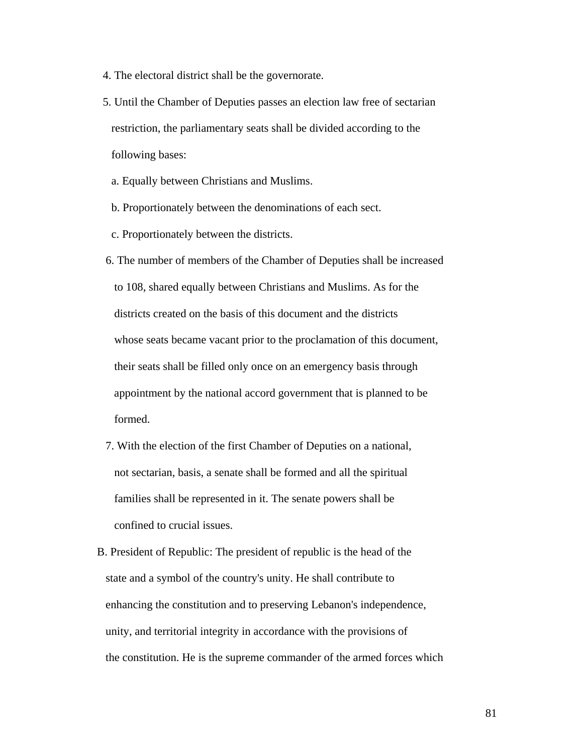- 4. The electoral district shall be the governorate.
- 5. Until the Chamber of Deputies passes an election law free of sectarian restriction, the parliamentary seats shall be divided according to the following bases:
	- a. Equally between Christians and Muslims.
	- b. Proportionately between the denominations of each sect.
	- c. Proportionately between the districts.
- 6. The number of members of the Chamber of Deputies shall be increased to 108, shared equally between Christians and Muslims. As for the districts created on the basis of this document and the districts whose seats became vacant prior to the proclamation of this document, their seats shall be filled only once on an emergency basis through appointment by the national accord government that is planned to be formed.
- 7. With the election of the first Chamber of Deputies on a national, not sectarian, basis, a senate shall be formed and all the spiritual families shall be represented in it. The senate powers shall be confined to crucial issues.
- B. President of Republic: The president of republic is the head of the state and a symbol of the country's unity. He shall contribute to enhancing the constitution and to preserving Lebanon's independence, unity, and territorial integrity in accordance with the provisions of the constitution. He is the supreme commander of the armed forces which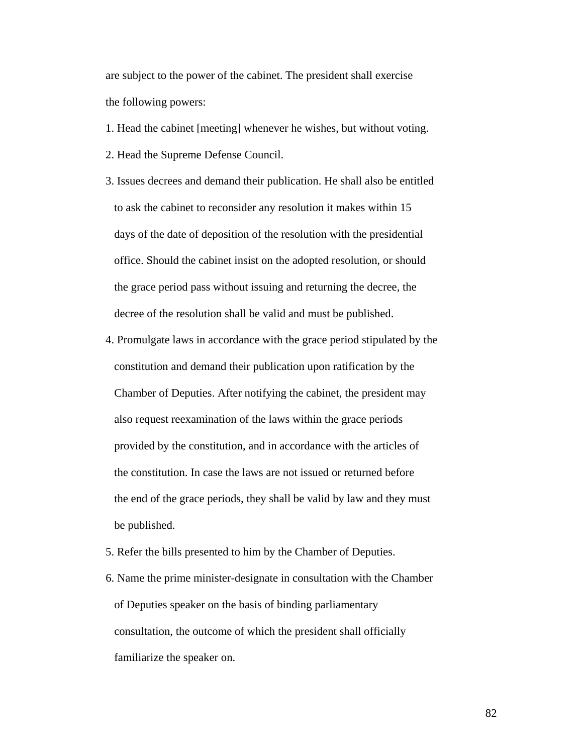are subject to the power of the cabinet. The president shall exercise the following powers:

- 1. Head the cabinet [meeting] whenever he wishes, but without voting.
- 2. Head the Supreme Defense Council.
- 3. Issues decrees and demand their publication. He shall also be entitled to ask the cabinet to reconsider any resolution it makes within 15 days of the date of deposition of the resolution with the presidential office. Should the cabinet insist on the adopted resolution, or should the grace period pass without issuing and returning the decree, the decree of the resolution shall be valid and must be published.
- 4. Promulgate laws in accordance with the grace period stipulated by the constitution and demand their publication upon ratification by the Chamber of Deputies. After notifying the cabinet, the president may also request reexamination of the laws within the grace periods provided by the constitution, and in accordance with the articles of the constitution. In case the laws are not issued or returned before the end of the grace periods, they shall be valid by law and they must be published.
- 5. Refer the bills presented to him by the Chamber of Deputies.
- 6. Name the prime minister-designate in consultation with the Chamber of Deputies speaker on the basis of binding parliamentary consultation, the outcome of which the president shall officially familiarize the speaker on.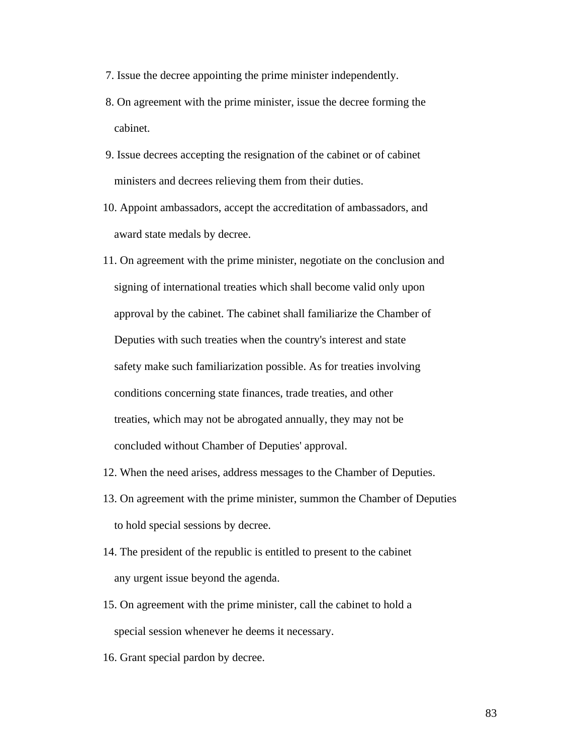- 7. Issue the decree appointing the prime minister independently.
- 8. On agreement with the prime minister, issue the decree forming the cabinet.
- 9. Issue decrees accepting the resignation of the cabinet or of cabinet ministers and decrees relieving them from their duties.
- 10. Appoint ambassadors, accept the accreditation of ambassadors, and award state medals by decree.
- 11. On agreement with the prime minister, negotiate on the conclusion and signing of international treaties which shall become valid only upon approval by the cabinet. The cabinet shall familiarize the Chamber of Deputies with such treaties when the country's interest and state safety make such familiarization possible. As for treaties involving conditions concerning state finances, trade treaties, and other treaties, which may not be abrogated annually, they may not be concluded without Chamber of Deputies' approval.
- 12. When the need arises, address messages to the Chamber of Deputies.
- 13. On agreement with the prime minister, summon the Chamber of Deputies to hold special sessions by decree.
- 14. The president of the republic is entitled to present to the cabinet any urgent issue beyond the agenda.
- 15. On agreement with the prime minister, call the cabinet to hold a special session whenever he deems it necessary.
- 16. Grant special pardon by decree.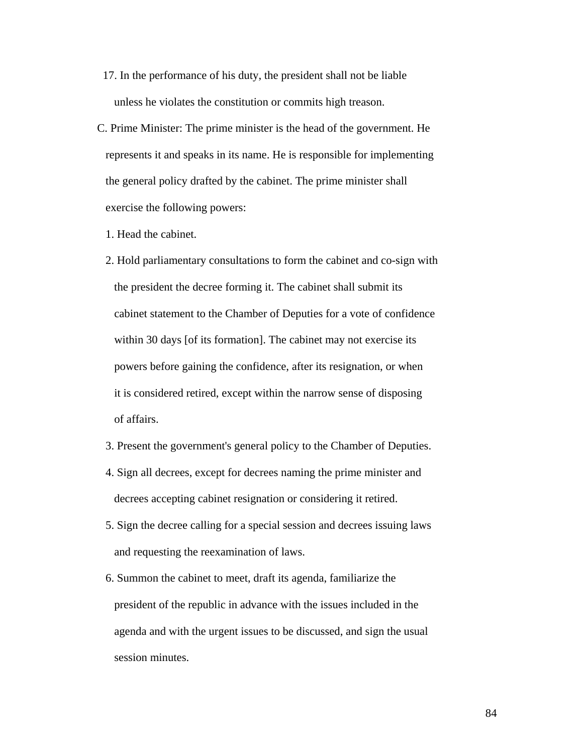- 17. In the performance of his duty, the president shall not be liable unless he violates the constitution or commits high treason.
- C. Prime Minister: The prime minister is the head of the government. He represents it and speaks in its name. He is responsible for implementing the general policy drafted by the cabinet. The prime minister shall exercise the following powers:
	- 1. Head the cabinet.
	- 2. Hold parliamentary consultations to form the cabinet and co-sign with the president the decree forming it. The cabinet shall submit its cabinet statement to the Chamber of Deputies for a vote of confidence within 30 days [of its formation]. The cabinet may not exercise its powers before gaining the confidence, after its resignation, or when it is considered retired, except within the narrow sense of disposing of affairs.
	- 3. Present the government's general policy to the Chamber of Deputies.
	- 4. Sign all decrees, except for decrees naming the prime minister and decrees accepting cabinet resignation or considering it retired.
	- 5. Sign the decree calling for a special session and decrees issuing laws and requesting the reexamination of laws.
	- 6. Summon the cabinet to meet, draft its agenda, familiarize the president of the republic in advance with the issues included in the agenda and with the urgent issues to be discussed, and sign the usual session minutes.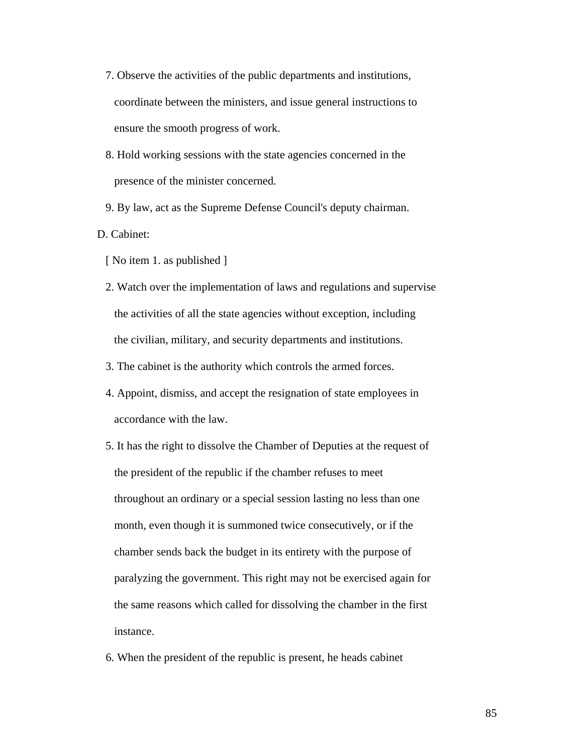- 7. Observe the activities of the public departments and institutions, coordinate between the ministers, and issue general instructions to ensure the smooth progress of work.
- 8. Hold working sessions with the state agencies concerned in the presence of the minister concerned.
- 9. By law, act as the Supreme Defense Council's deputy chairman.
- D. Cabinet:
	- [ No item 1. as published ]
	- 2. Watch over the implementation of laws and regulations and supervise the activities of all the state agencies without exception, including the civilian, military, and security departments and institutions.
	- 3. The cabinet is the authority which controls the armed forces.
	- 4. Appoint, dismiss, and accept the resignation of state employees in accordance with the law.
	- 5. It has the right to dissolve the Chamber of Deputies at the request of the president of the republic if the chamber refuses to meet throughout an ordinary or a special session lasting no less than one month, even though it is summoned twice consecutively, or if the chamber sends back the budget in its entirety with the purpose of paralyzing the government. This right may not be exercised again for the same reasons which called for dissolving the chamber in the first instance.
	- 6. When the president of the republic is present, he heads cabinet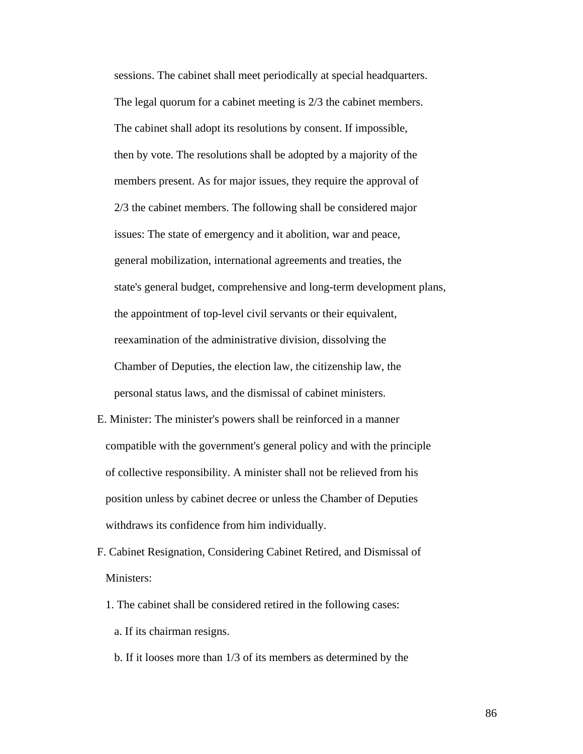sessions. The cabinet shall meet periodically at special headquarters. The legal quorum for a cabinet meeting is 2/3 the cabinet members. The cabinet shall adopt its resolutions by consent. If impossible, then by vote. The resolutions shall be adopted by a majority of the members present. As for major issues, they require the approval of 2/3 the cabinet members. The following shall be considered major issues: The state of emergency and it abolition, war and peace, general mobilization, international agreements and treaties, the state's general budget, comprehensive and long-term development plans, the appointment of top-level civil servants or their equivalent, reexamination of the administrative division, dissolving the Chamber of Deputies, the election law, the citizenship law, the personal status laws, and the dismissal of cabinet ministers.

- E. Minister: The minister's powers shall be reinforced in a manner compatible with the government's general policy and with the principle of collective responsibility. A minister shall not be relieved from his position unless by cabinet decree or unless the Chamber of Deputies withdraws its confidence from him individually.
- F. Cabinet Resignation, Considering Cabinet Retired, and Dismissal of Ministers:
	- 1. The cabinet shall be considered retired in the following cases: a. If its chairman resigns.
		- b. If it looses more than 1/3 of its members as determined by the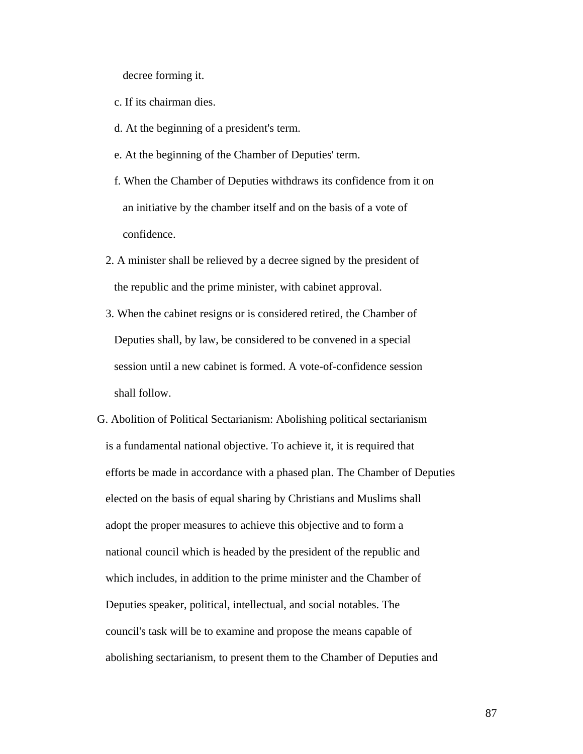decree forming it.

- c. If its chairman dies.
- d. At the beginning of a president's term.
- e. At the beginning of the Chamber of Deputies' term.
- f. When the Chamber of Deputies withdraws its confidence from it on an initiative by the chamber itself and on the basis of a vote of confidence.
- 2. A minister shall be relieved by a decree signed by the president of the republic and the prime minister, with cabinet approval.
- 3. When the cabinet resigns or is considered retired, the Chamber of Deputies shall, by law, be considered to be convened in a special session until a new cabinet is formed. A vote-of-confidence session shall follow.
- G. Abolition of Political Sectarianism: Abolishing political sectarianism is a fundamental national objective. To achieve it, it is required that efforts be made in accordance with a phased plan. The Chamber of Deputies elected on the basis of equal sharing by Christians and Muslims shall adopt the proper measures to achieve this objective and to form a national council which is headed by the president of the republic and which includes, in addition to the prime minister and the Chamber of Deputies speaker, political, intellectual, and social notables. The council's task will be to examine and propose the means capable of abolishing sectarianism, to present them to the Chamber of Deputies and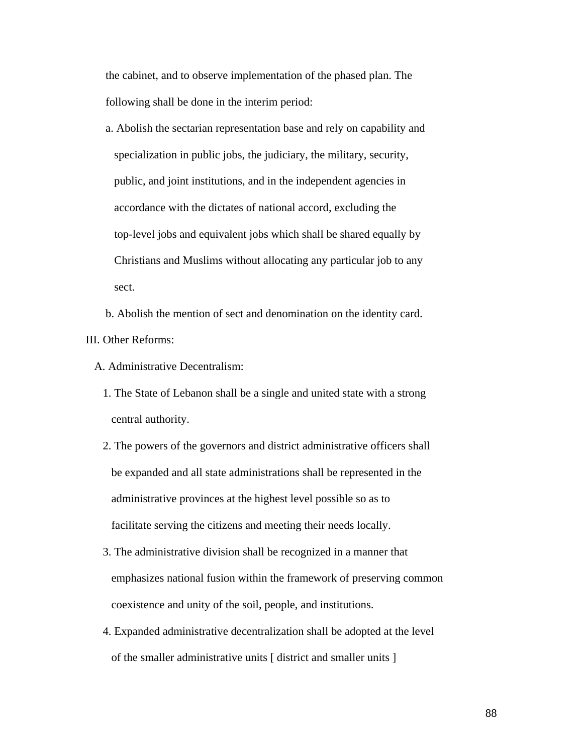the cabinet, and to observe implementation of the phased plan. The following shall be done in the interim period:

 a. Abolish the sectarian representation base and rely on capability and specialization in public jobs, the judiciary, the military, security, public, and joint institutions, and in the independent agencies in accordance with the dictates of national accord, excluding the top-level jobs and equivalent jobs which shall be shared equally by Christians and Muslims without allocating any particular job to any sect.

 b. Abolish the mention of sect and denomination on the identity card. III. Other Reforms:

A. Administrative Decentralism:

- 1. The State of Lebanon shall be a single and united state with a strong central authority.
- 2. The powers of the governors and district administrative officers shall be expanded and all state administrations shall be represented in the administrative provinces at the highest level possible so as to facilitate serving the citizens and meeting their needs locally.
- 3. The administrative division shall be recognized in a manner that emphasizes national fusion within the framework of preserving common coexistence and unity of the soil, people, and institutions.
- 4. Expanded administrative decentralization shall be adopted at the level of the smaller administrative units [ district and smaller units ]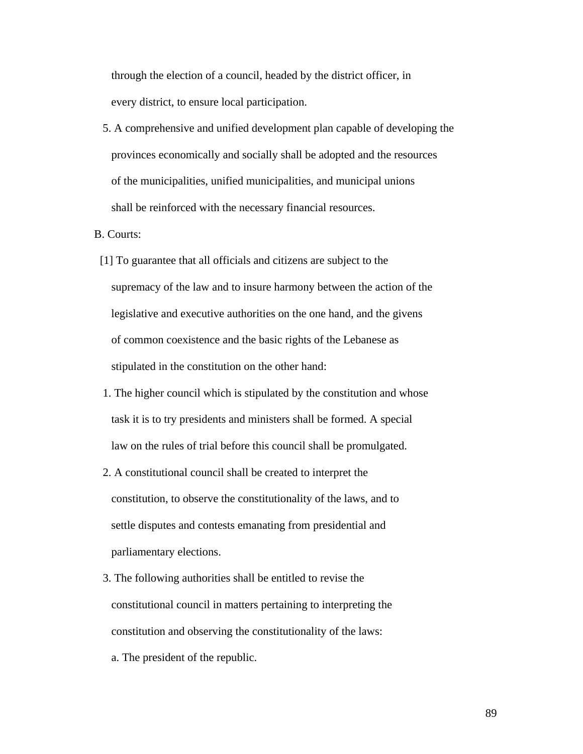through the election of a council, headed by the district officer, in every district, to ensure local participation.

 5. A comprehensive and unified development plan capable of developing the provinces economically and socially shall be adopted and the resources of the municipalities, unified municipalities, and municipal unions shall be reinforced with the necessary financial resources.

B. Courts:

- [1] To guarantee that all officials and citizens are subject to the supremacy of the law and to insure harmony between the action of the legislative and executive authorities on the one hand, and the givens of common coexistence and the basic rights of the Lebanese as stipulated in the constitution on the other hand:
- 1. The higher council which is stipulated by the constitution and whose task it is to try presidents and ministers shall be formed. A special law on the rules of trial before this council shall be promulgated.
- 2. A constitutional council shall be created to interpret the constitution, to observe the constitutionality of the laws, and to settle disputes and contests emanating from presidential and parliamentary elections.
- 3. The following authorities shall be entitled to revise the constitutional council in matters pertaining to interpreting the constitution and observing the constitutionality of the laws:
	- a. The president of the republic.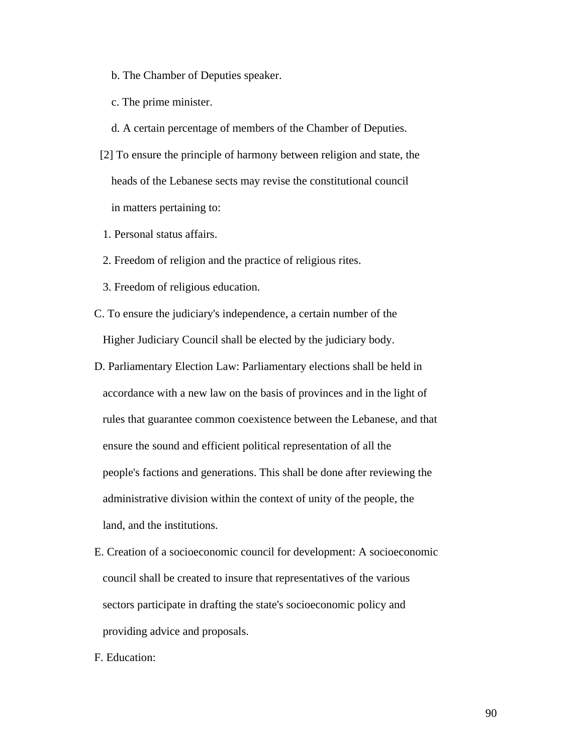- b. The Chamber of Deputies speaker.
- c. The prime minister.
- d. A certain percentage of members of the Chamber of Deputies.
- [2] To ensure the principle of harmony between religion and state, the heads of the Lebanese sects may revise the constitutional council in matters pertaining to:
- 1. Personal status affairs.
- 2. Freedom of religion and the practice of religious rites.
- 3. Freedom of religious education.
- C. To ensure the judiciary's independence, a certain number of the Higher Judiciary Council shall be elected by the judiciary body.
- D. Parliamentary Election Law: Parliamentary elections shall be held in accordance with a new law on the basis of provinces and in the light of rules that guarantee common coexistence between the Lebanese, and that ensure the sound and efficient political representation of all the people's factions and generations. This shall be done after reviewing the administrative division within the context of unity of the people, the land, and the institutions.
- E. Creation of a socioeconomic council for development: A socioeconomic council shall be created to insure that representatives of the various sectors participate in drafting the state's socioeconomic policy and providing advice and proposals.
- F. Education: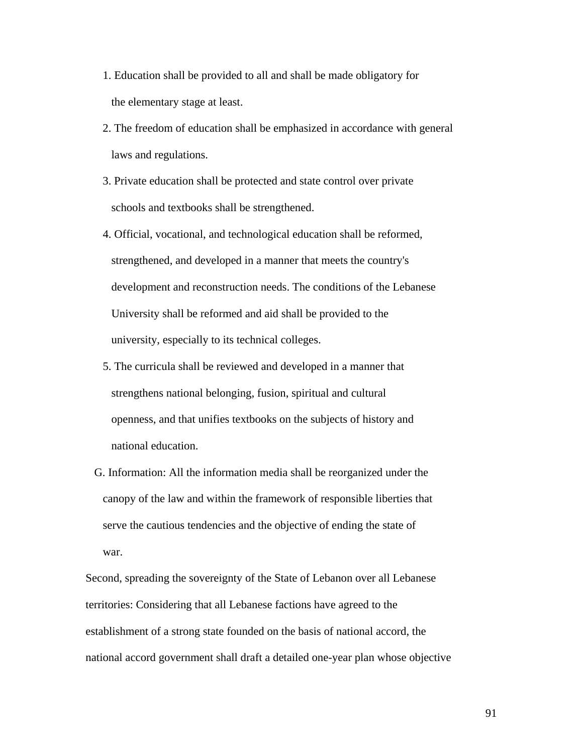- 1. Education shall be provided to all and shall be made obligatory for the elementary stage at least.
- 2. The freedom of education shall be emphasized in accordance with general laws and regulations.
- 3. Private education shall be protected and state control over private schools and textbooks shall be strengthened.
- 4. Official, vocational, and technological education shall be reformed, strengthened, and developed in a manner that meets the country's development and reconstruction needs. The conditions of the Lebanese University shall be reformed and aid shall be provided to the university, especially to its technical colleges.
- 5. The curricula shall be reviewed and developed in a manner that strengthens national belonging, fusion, spiritual and cultural openness, and that unifies textbooks on the subjects of history and national education.
- G. Information: All the information media shall be reorganized under the canopy of the law and within the framework of responsible liberties that serve the cautious tendencies and the objective of ending the state of war.

Second, spreading the sovereignty of the State of Lebanon over all Lebanese territories: Considering that all Lebanese factions have agreed to the establishment of a strong state founded on the basis of national accord, the national accord government shall draft a detailed one-year plan whose objective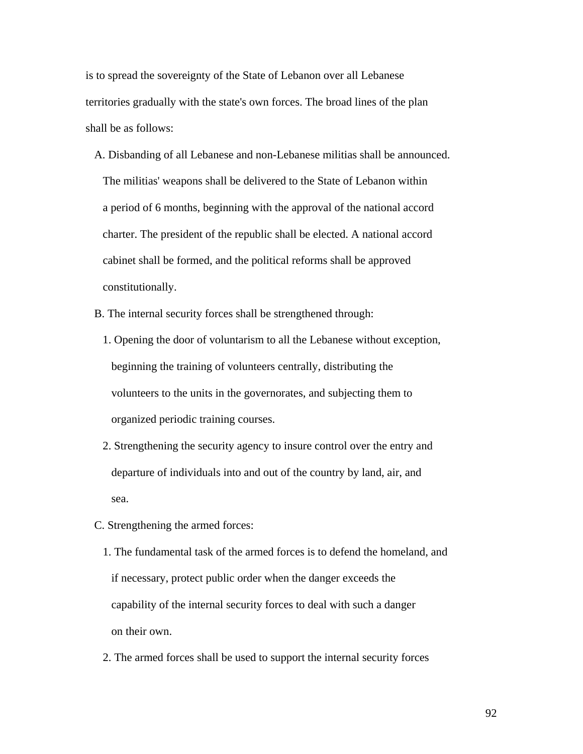is to spread the sovereignty of the State of Lebanon over all Lebanese territories gradually with the state's own forces. The broad lines of the plan shall be as follows:

- A. Disbanding of all Lebanese and non-Lebanese militias shall be announced. The militias' weapons shall be delivered to the State of Lebanon within a period of 6 months, beginning with the approval of the national accord charter. The president of the republic shall be elected. A national accord cabinet shall be formed, and the political reforms shall be approved constitutionally.
- B. The internal security forces shall be strengthened through:
	- 1. Opening the door of voluntarism to all the Lebanese without exception, beginning the training of volunteers centrally, distributing the volunteers to the units in the governorates, and subjecting them to organized periodic training courses.
	- 2. Strengthening the security agency to insure control over the entry and departure of individuals into and out of the country by land, air, and sea.
- C. Strengthening the armed forces:
	- 1. The fundamental task of the armed forces is to defend the homeland, and if necessary, protect public order when the danger exceeds the capability of the internal security forces to deal with such a danger on their own.
	- 2. The armed forces shall be used to support the internal security forces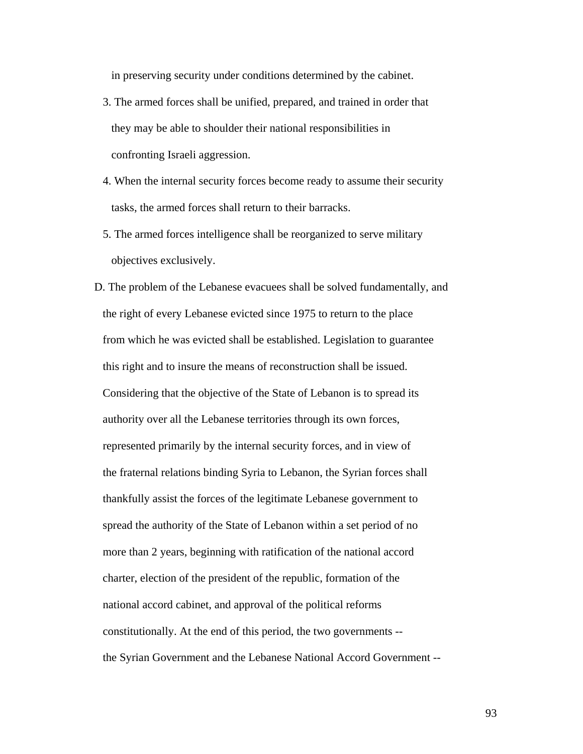in preserving security under conditions determined by the cabinet.

- 3. The armed forces shall be unified, prepared, and trained in order that they may be able to shoulder their national responsibilities in confronting Israeli aggression.
- 4. When the internal security forces become ready to assume their security tasks, the armed forces shall return to their barracks.
- 5. The armed forces intelligence shall be reorganized to serve military objectives exclusively.
- D. The problem of the Lebanese evacuees shall be solved fundamentally, and the right of every Lebanese evicted since 1975 to return to the place from which he was evicted shall be established. Legislation to guarantee this right and to insure the means of reconstruction shall be issued. Considering that the objective of the State of Lebanon is to spread its authority over all the Lebanese territories through its own forces, represented primarily by the internal security forces, and in view of the fraternal relations binding Syria to Lebanon, the Syrian forces shall thankfully assist the forces of the legitimate Lebanese government to spread the authority of the State of Lebanon within a set period of no more than 2 years, beginning with ratification of the national accord charter, election of the president of the republic, formation of the national accord cabinet, and approval of the political reforms constitutionally. At the end of this period, the two governments - the Syrian Government and the Lebanese National Accord Government --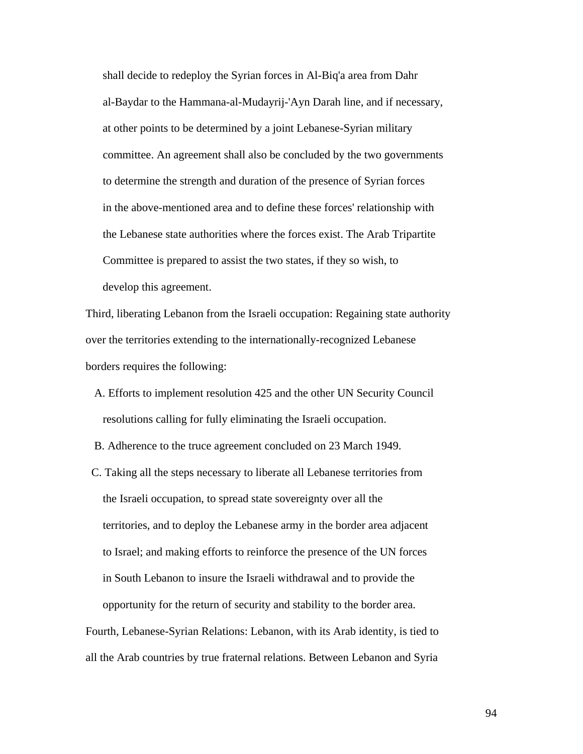shall decide to redeploy the Syrian forces in Al-Biq'a area from Dahr al-Baydar to the Hammana-al-Mudayrij-'Ayn Darah line, and if necessary, at other points to be determined by a joint Lebanese-Syrian military committee. An agreement shall also be concluded by the two governments to determine the strength and duration of the presence of Syrian forces in the above-mentioned area and to define these forces' relationship with the Lebanese state authorities where the forces exist. The Arab Tripartite Committee is prepared to assist the two states, if they so wish, to develop this agreement.

Third, liberating Lebanon from the Israeli occupation: Regaining state authority over the territories extending to the internationally-recognized Lebanese borders requires the following:

- A. Efforts to implement resolution 425 and the other UN Security Council resolutions calling for fully eliminating the Israeli occupation.
- B. Adherence to the truce agreement concluded on 23 March 1949.
- C. Taking all the steps necessary to liberate all Lebanese territories from the Israeli occupation, to spread state sovereignty over all the territories, and to deploy the Lebanese army in the border area adjacent to Israel; and making efforts to reinforce the presence of the UN forces in South Lebanon to insure the Israeli withdrawal and to provide the opportunity for the return of security and stability to the border area. Fourth, Lebanese-Syrian Relations: Lebanon, with its Arab identity, is tied to

all the Arab countries by true fraternal relations. Between Lebanon and Syria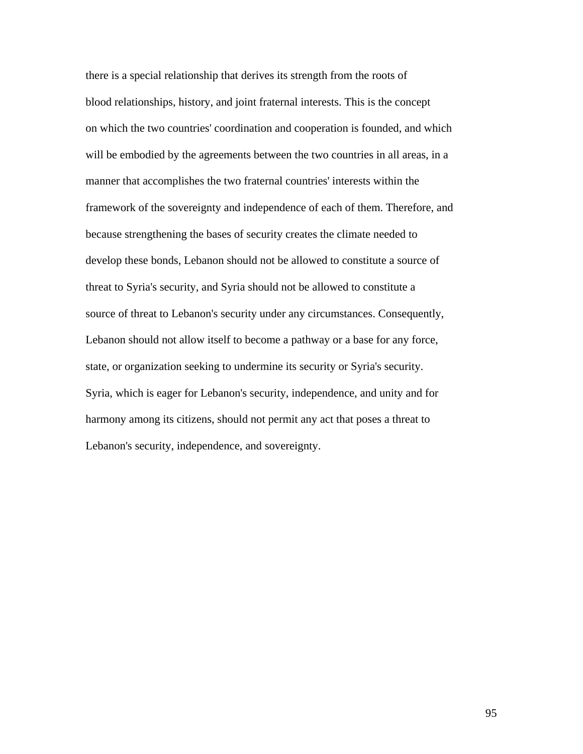there is a special relationship that derives its strength from the roots of blood relationships, history, and joint fraternal interests. This is the concept on which the two countries' coordination and cooperation is founded, and which will be embodied by the agreements between the two countries in all areas, in a manner that accomplishes the two fraternal countries' interests within the framework of the sovereignty and independence of each of them. Therefore, and because strengthening the bases of security creates the climate needed to develop these bonds, Lebanon should not be allowed to constitute a source of threat to Syria's security, and Syria should not be allowed to constitute a source of threat to Lebanon's security under any circumstances. Consequently, Lebanon should not allow itself to become a pathway or a base for any force, state, or organization seeking to undermine its security or Syria's security. Syria, which is eager for Lebanon's security, independence, and unity and for harmony among its citizens, should not permit any act that poses a threat to Lebanon's security, independence, and sovereignty.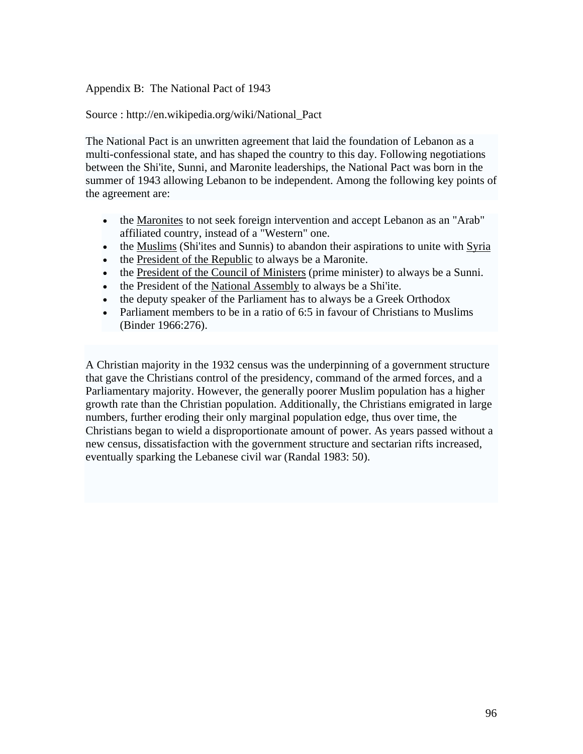Appendix B: The National Pact of 1943

Source : http://en.wikipedia.org/wiki/National\_Pact

The National Pact is an unwritten agreement that laid the foundation of [Lebanon](http://en.wikipedia.org/wiki/Lebanon) as a [multi-confessional](http://en.wikipedia.org/wiki/Confessionalism_%28politics%29) state, and has shaped the country to this day. Following negotiations between the [Shi'ite,](http://en.wikipedia.org/wiki/Shi%27ite) [Sunni,](http://en.wikipedia.org/wiki/Sunni) and [Maronite](http://en.wikipedia.org/wiki/Maronite) leaderships, the National Pact was born in the summer of [1943](http://en.wikipedia.org/wiki/1943) allowing Lebanon to be independent. Among the following key points of the agreement are:

- the [Maronites](http://en.wikipedia.org/wiki/Maronites) to not seek foreign intervention and accept Lebanon as an "Arab" affiliated country, instead of a "Western" one.
- the [Muslims](http://en.wikipedia.org/wiki/Muslims) (Shi'ites and Sunnis) to abandon their aspirations to unite with Syria
- the [President of the Republic](http://en.wikipedia.org/wiki/List_of_Presidents_of_Lebanon) to always be a Maronite.
- the [President of the Council of Ministers](http://en.wikipedia.org/wiki/List_of_Prime_Ministers_of_Lebanon) (prime minister) to always be a Sunni.
- the President of the [National Assembly](http://en.wikipedia.org/wiki/National_Assembly_of_Lebanon) to always be a Shi'ite.
- the deputy speaker of the Parliament has to always be a Greek Orthodox
- Parliament members to be in a ratio of 6:5 in favour of Christians to Muslims (Binder 1966:276).

A Christian majority in the [1932](http://en.wikipedia.org/wiki/1932) census was the underpinning of a government structure that gave the Christians control of the presidency, command of the armed forces, and a Parliamentary majority. However, the generally poorer Muslim population has a higher growth rate than the Christian population. Additionally, the Christians emigrated in large numbers, further eroding their only marginal population edge, thus over time, the Christians began to wield a disproportionate amount of power. As years passed without a new census, dissatisfaction with the government structure and sectarian rifts increased, eventually sparking the [Lebanese civil war](http://en.wikipedia.org/wiki/Lebanese_civil_war) (Randal 1983: 50).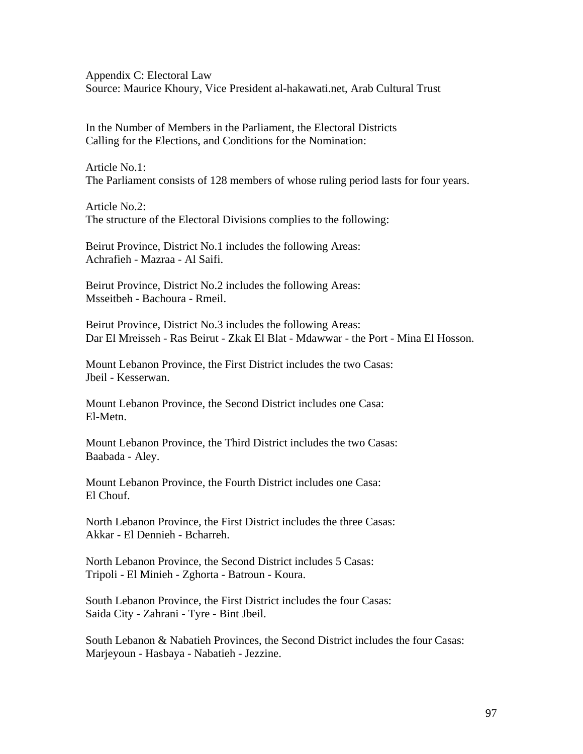Appendix C: Electoral Law Source: Maurice Khoury, Vice President al-hakawati.net, Arab Cultural Trust

In the Number of Members in the Parliament, the Electoral Districts Calling for the Elections, and Conditions for the Nomination:

Article No.1: The Parliament consists of 128 members of whose ruling period lasts for four years.

Article No.2: The structure of the Electoral Divisions complies to the following:

Beirut Province, District No.1 includes the following Areas: Achrafieh - Mazraa - Al Saifi.

Beirut Province, District No.2 includes the following Areas: Msseitbeh - Bachoura - Rmeil.

Beirut Province, District No.3 includes the following Areas: Dar El Mreisseh - Ras Beirut - Zkak El Blat - Mdawwar - the Port - Mina El Hosson.

Mount Lebanon Province, the First District includes the two Casas: Jbeil - Kesserwan.

Mount Lebanon Province, the Second District includes one Casa: El-Metn.

Mount Lebanon Province, the Third District includes the two Casas: Baabada - Aley.

Mount Lebanon Province, the Fourth District includes one Casa: El Chouf.

North Lebanon Province, the First District includes the three Casas: Akkar - El Dennieh - Bcharreh.

North Lebanon Province, the Second District includes 5 Casas: Tripoli - El Minieh - Zghorta - Batroun - Koura.

South Lebanon Province, the First District includes the four Casas: Saida City - Zahrani - Tyre - Bint Jbeil.

South Lebanon & Nabatieh Provinces, the Second District includes the four Casas: Marjeyoun - Hasbaya - Nabatieh - Jezzine.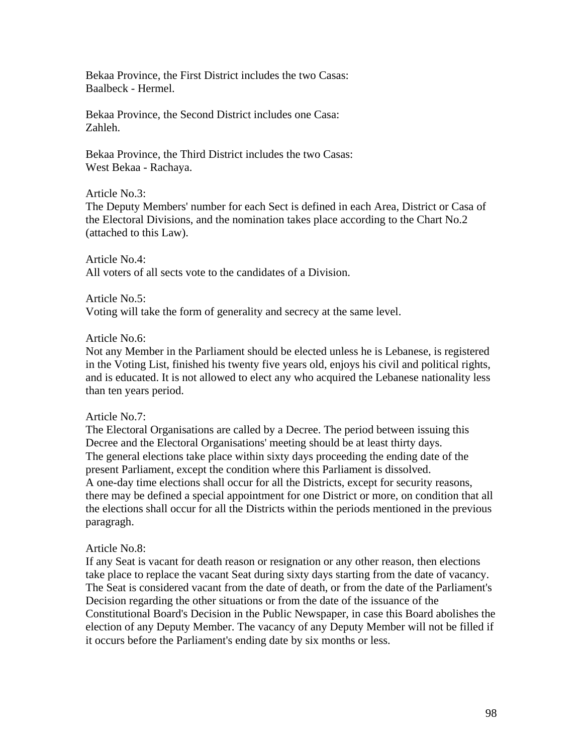Bekaa Province, the First District includes the two Casas: Baalbeck - Hermel.

Bekaa Province, the Second District includes one Casa: Zahleh.

Bekaa Province, the Third District includes the two Casas: West Bekaa - Rachaya.

Article No.3:

The Deputy Members' number for each Sect is defined in each Area, District or Casa of the Electoral Divisions, and the nomination takes place according to the Chart No.2 (attached to this Law).

Article No.4: All voters of all sects vote to the candidates of a Division.

Article No.5:

Voting will take the form of generality and secrecy at the same level.

Article No.6:

Not any Member in the Parliament should be elected unless he is Lebanese, is registered in the Voting List, finished his twenty five years old, enjoys his civil and political rights, and is educated. It is not allowed to elect any who acquired the Lebanese nationality less than ten years period.

# Article No.7:

The Electoral Organisations are called by a Decree. The period between issuing this Decree and the Electoral Organisations' meeting should be at least thirty days. The general elections take place within sixty days proceeding the ending date of the present Parliament, except the condition where this Parliament is dissolved. A one-day time elections shall occur for all the Districts, except for security reasons, there may be defined a special appointment for one District or more, on condition that all the elections shall occur for all the Districts within the periods mentioned in the previous paragragh.

# Article No.8:

If any Seat is vacant for death reason or resignation or any other reason, then elections take place to replace the vacant Seat during sixty days starting from the date of vacancy. The Seat is considered vacant from the date of death, or from the date of the Parliament's Decision regarding the other situations or from the date of the issuance of the Constitutional Board's Decision in the Public Newspaper, in case this Board abolishes the election of any Deputy Member. The vacancy of any Deputy Member will not be filled if it occurs before the Parliament's ending date by six months or less.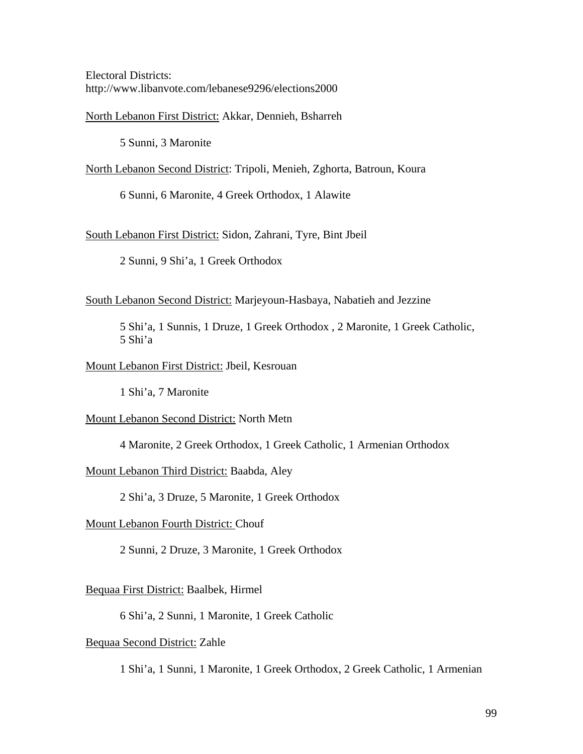Electoral Districts: <http://www.libanvote.com/lebanese9296/elections2000>

North Lebanon First District: Akkar, Dennieh, Bsharreh

5 Sunni, 3 Maronite

North Lebanon Second District: Tripoli, Menieh, Zghorta, Batroun, Koura

6 Sunni, 6 Maronite, 4 Greek Orthodox, 1 Alawite

South Lebanon First District: Sidon, Zahrani, Tyre, Bint Jbeil

2 Sunni, 9 Shi'a, 1 Greek Orthodox

South Lebanon Second District: Marjeyoun-Hasbaya, Nabatieh and Jezzine

5 Shi'a, 1 Sunnis, 1 Druze, 1 Greek Orthodox , 2 Maronite, 1 Greek Catholic, 5 Shi'a

### Mount Lebanon First District: Jbeil, Kesrouan

1 Shi'a, 7 Maronite

Mount Lebanon Second District: North Metn

4 Maronite, 2 Greek Orthodox, 1 Greek Catholic, 1 Armenian Orthodox

Mount Lebanon Third District: Baabda, Aley

2 Shi'a, 3 Druze, 5 Maronite, 1 Greek Orthodox

Mount Lebanon Fourth District: Chouf

2 Sunni, 2 Druze, 3 Maronite, 1 Greek Orthodox

#### Bequaa First District: Baalbek, Hirmel

6 Shi'a, 2 Sunni, 1 Maronite, 1 Greek Catholic

### Bequaa Second District: Zahle

1 Shi'a, 1 Sunni, 1 Maronite, 1 Greek Orthodox, 2 Greek Catholic, 1 Armenian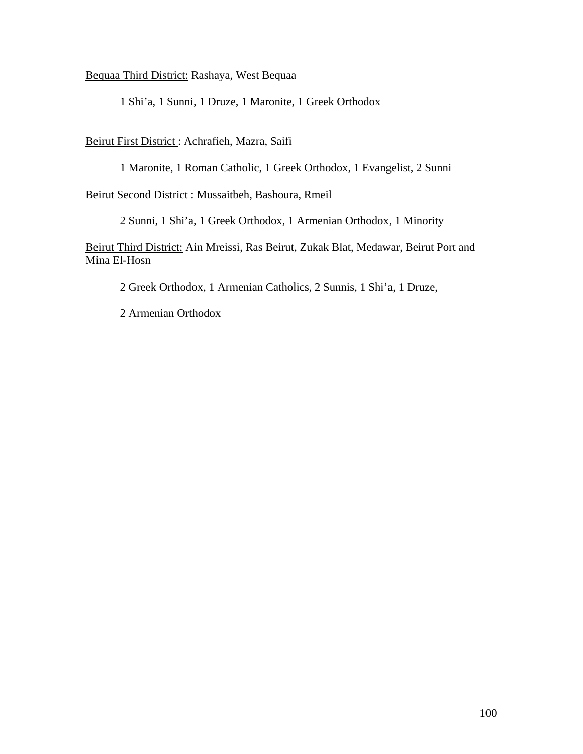Bequaa Third District: Rashaya, West Bequaa

1 Shi'a, 1 Sunni, 1 Druze, 1 Maronite, 1 Greek Orthodox

Beirut First District : Achrafieh, Mazra, Saifi

1 Maronite, 1 Roman Catholic, 1 Greek Orthodox, 1 Evangelist, 2 Sunni

Beirut Second District : Mussaitbeh, Bashoura, Rmeil

2 Sunni, 1 Shi'a, 1 Greek Orthodox, 1 Armenian Orthodox, 1 Minority

Beirut Third District: Ain Mreissi, Ras Beirut, Zukak Blat, Medawar, Beirut Port and Mina El-Hosn

2 Greek Orthodox, 1 Armenian Catholics, 2 Sunnis, 1 Shi'a, 1 Druze,

2 Armenian Orthodox